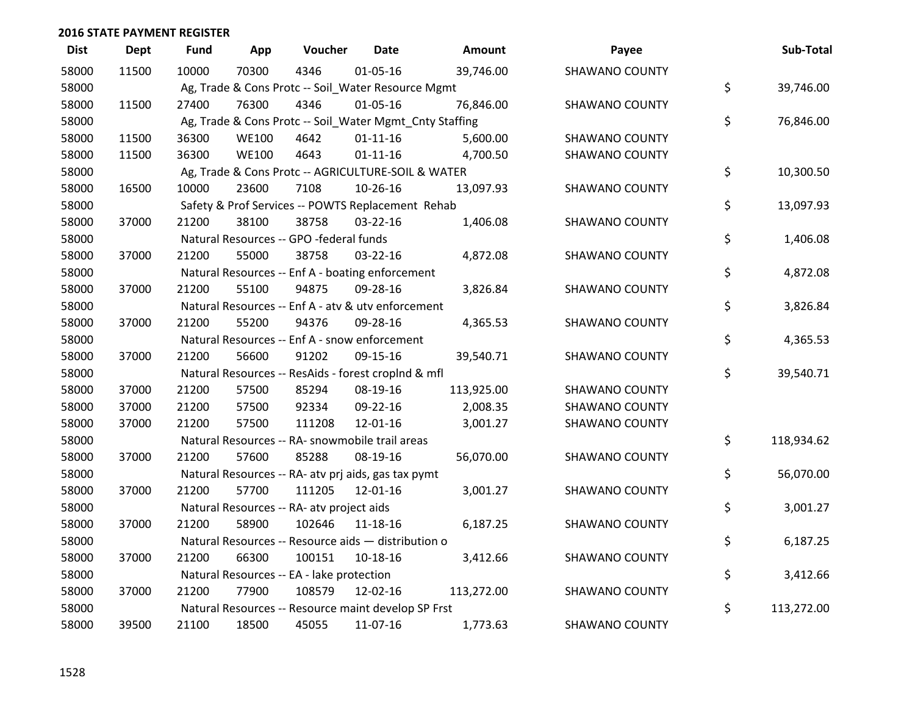| <b>Dist</b> | <b>Dept</b> | Fund  | App          | Voucher                                   | <b>Date</b>                                             | Amount     | Payee                 | Sub-Total        |
|-------------|-------------|-------|--------------|-------------------------------------------|---------------------------------------------------------|------------|-----------------------|------------------|
| 58000       | 11500       | 10000 | 70300        | 4346                                      | 01-05-16                                                | 39,746.00  | <b>SHAWANO COUNTY</b> |                  |
| 58000       |             |       |              |                                           | Ag, Trade & Cons Protc -- Soil_Water Resource Mgmt      |            |                       | \$<br>39,746.00  |
| 58000       | 11500       | 27400 | 76300        | 4346                                      | $01 - 05 - 16$                                          | 76,846.00  | <b>SHAWANO COUNTY</b> |                  |
| 58000       |             |       |              |                                           | Ag, Trade & Cons Protc -- Soil_Water Mgmt_Cnty Staffing |            |                       | \$<br>76,846.00  |
| 58000       | 11500       | 36300 | <b>WE100</b> | 4642                                      | $01 - 11 - 16$                                          | 5,600.00   | <b>SHAWANO COUNTY</b> |                  |
| 58000       | 11500       | 36300 | <b>WE100</b> | 4643                                      | $01 - 11 - 16$                                          | 4,700.50   | <b>SHAWANO COUNTY</b> |                  |
| 58000       |             |       |              |                                           | Ag, Trade & Cons Protc -- AGRICULTURE-SOIL & WATER      |            |                       | \$<br>10,300.50  |
| 58000       | 16500       | 10000 | 23600        | 7108                                      | 10-26-16                                                | 13,097.93  | <b>SHAWANO COUNTY</b> |                  |
| 58000       |             |       |              |                                           | Safety & Prof Services -- POWTS Replacement Rehab       |            |                       | \$<br>13,097.93  |
| 58000       | 37000       | 21200 | 38100        | 38758                                     | 03-22-16                                                | 1,406.08   | <b>SHAWANO COUNTY</b> |                  |
| 58000       |             |       |              | Natural Resources -- GPO -federal funds   |                                                         |            |                       | \$<br>1,406.08   |
| 58000       | 37000       | 21200 | 55000        | 38758                                     | 03-22-16                                                | 4,872.08   | <b>SHAWANO COUNTY</b> |                  |
| 58000       |             |       |              |                                           | Natural Resources -- Enf A - boating enforcement        |            |                       | \$<br>4,872.08   |
| 58000       | 37000       | 21200 | 55100        | 94875                                     | 09-28-16                                                | 3,826.84   | <b>SHAWANO COUNTY</b> |                  |
| 58000       |             |       |              |                                           | Natural Resources -- Enf A - atv & utv enforcement      |            |                       | \$<br>3,826.84   |
| 58000       | 37000       | 21200 | 55200        | 94376                                     | 09-28-16                                                | 4,365.53   | <b>SHAWANO COUNTY</b> |                  |
| 58000       |             |       |              |                                           | Natural Resources -- Enf A - snow enforcement           |            |                       | \$<br>4,365.53   |
| 58000       | 37000       | 21200 | 56600        | 91202                                     | 09-15-16                                                | 39,540.71  | <b>SHAWANO COUNTY</b> |                  |
| 58000       |             |       |              |                                           | Natural Resources -- ResAids - forest croplnd & mfl     |            |                       | \$<br>39,540.71  |
| 58000       | 37000       | 21200 | 57500        | 85294                                     | 08-19-16                                                | 113,925.00 | <b>SHAWANO COUNTY</b> |                  |
| 58000       | 37000       | 21200 | 57500        | 92334                                     | 09-22-16                                                | 2,008.35   | <b>SHAWANO COUNTY</b> |                  |
| 58000       | 37000       | 21200 | 57500        | 111208                                    | 12-01-16                                                | 3,001.27   | <b>SHAWANO COUNTY</b> |                  |
| 58000       |             |       |              |                                           | Natural Resources -- RA- snowmobile trail areas         |            |                       | \$<br>118,934.62 |
| 58000       | 37000       | 21200 | 57600        | 85288                                     | 08-19-16                                                | 56,070.00  | <b>SHAWANO COUNTY</b> |                  |
| 58000       |             |       |              |                                           | Natural Resources -- RA- atv prj aids, gas tax pymt     |            |                       | \$<br>56,070.00  |
| 58000       | 37000       | 21200 | 57700        | 111205                                    | 12-01-16                                                | 3,001.27   | <b>SHAWANO COUNTY</b> |                  |
| 58000       |             |       |              | Natural Resources -- RA- atv project aids |                                                         |            |                       | \$<br>3,001.27   |
| 58000       | 37000       | 21200 | 58900        | 102646                                    | 11-18-16                                                | 6,187.25   | <b>SHAWANO COUNTY</b> |                  |
| 58000       |             |       |              |                                           | Natural Resources -- Resource aids - distribution o     |            |                       | \$<br>6,187.25   |
| 58000       | 37000       | 21200 | 66300        | 100151                                    | 10-18-16                                                | 3,412.66   | <b>SHAWANO COUNTY</b> |                  |
| 58000       |             |       |              | Natural Resources -- EA - lake protection |                                                         |            |                       | \$<br>3,412.66   |
| 58000       | 37000       | 21200 | 77900        | 108579                                    | 12-02-16                                                | 113,272.00 | <b>SHAWANO COUNTY</b> |                  |
| 58000       |             |       |              |                                           | Natural Resources -- Resource maint develop SP Frst     |            |                       | \$<br>113,272.00 |
| 58000       | 39500       | 21100 | 18500        | 45055                                     | 11-07-16                                                | 1,773.63   | <b>SHAWANO COUNTY</b> |                  |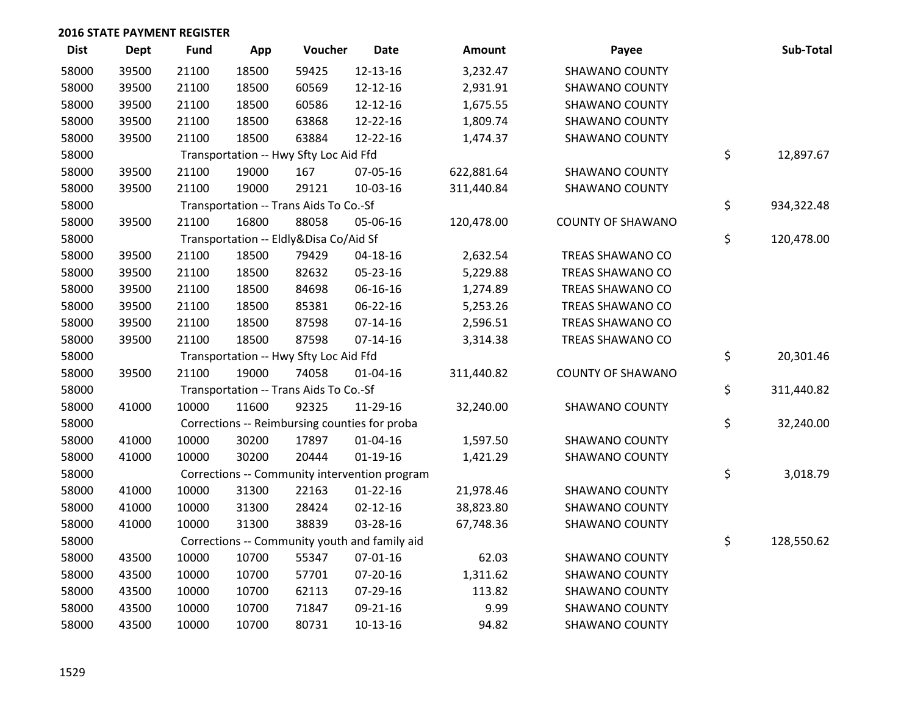| <b>Dist</b> | Dept  | Fund  | App   | Voucher                                       | <b>Date</b>                                   | Amount     | Payee                    | Sub-Total        |
|-------------|-------|-------|-------|-----------------------------------------------|-----------------------------------------------|------------|--------------------------|------------------|
| 58000       | 39500 | 21100 | 18500 | 59425                                         | 12-13-16                                      | 3,232.47   | <b>SHAWANO COUNTY</b>    |                  |
| 58000       | 39500 | 21100 | 18500 | 60569                                         | 12-12-16                                      | 2,931.91   | <b>SHAWANO COUNTY</b>    |                  |
| 58000       | 39500 | 21100 | 18500 | 60586                                         | 12-12-16                                      | 1,675.55   | <b>SHAWANO COUNTY</b>    |                  |
| 58000       | 39500 | 21100 | 18500 | 63868                                         | 12-22-16                                      | 1,809.74   | <b>SHAWANO COUNTY</b>    |                  |
| 58000       | 39500 | 21100 | 18500 | 63884                                         | 12-22-16                                      | 1,474.37   | <b>SHAWANO COUNTY</b>    |                  |
| 58000       |       |       |       | Transportation -- Hwy Sfty Loc Aid Ffd        |                                               |            |                          | \$<br>12,897.67  |
| 58000       | 39500 | 21100 | 19000 | 167                                           | 07-05-16                                      | 622,881.64 | <b>SHAWANO COUNTY</b>    |                  |
| 58000       | 39500 | 21100 | 19000 | 29121                                         | 10-03-16                                      | 311,440.84 | <b>SHAWANO COUNTY</b>    |                  |
| 58000       |       |       |       | Transportation -- Trans Aids To Co.-Sf        |                                               |            |                          | \$<br>934,322.48 |
| 58000       | 39500 | 21100 | 16800 | 88058                                         | 05-06-16                                      | 120,478.00 | <b>COUNTY OF SHAWANO</b> |                  |
| 58000       |       |       |       | Transportation -- Eldly&Disa Co/Aid Sf        |                                               |            |                          | \$<br>120,478.00 |
| 58000       | 39500 | 21100 | 18500 | 79429                                         | $04 - 18 - 16$                                | 2,632.54   | TREAS SHAWANO CO         |                  |
| 58000       | 39500 | 21100 | 18500 | 82632                                         | 05-23-16                                      | 5,229.88   | TREAS SHAWANO CO         |                  |
| 58000       | 39500 | 21100 | 18500 | 84698                                         | 06-16-16                                      | 1,274.89   | TREAS SHAWANO CO         |                  |
| 58000       | 39500 | 21100 | 18500 | 85381                                         | 06-22-16                                      | 5,253.26   | TREAS SHAWANO CO         |                  |
| 58000       | 39500 | 21100 | 18500 | 87598                                         | $07-14-16$                                    | 2,596.51   | TREAS SHAWANO CO         |                  |
| 58000       | 39500 | 21100 | 18500 | 87598                                         | $07 - 14 - 16$                                | 3,314.38   | TREAS SHAWANO CO         |                  |
| 58000       |       |       |       | Transportation -- Hwy Sfty Loc Aid Ffd        |                                               |            |                          | \$<br>20,301.46  |
| 58000       | 39500 | 21100 | 19000 | 74058                                         | $01 - 04 - 16$                                | 311,440.82 | <b>COUNTY OF SHAWANO</b> |                  |
| 58000       |       |       |       | Transportation -- Trans Aids To Co.-Sf        |                                               |            |                          | \$<br>311,440.82 |
| 58000       | 41000 | 10000 | 11600 | 92325                                         | 11-29-16                                      | 32,240.00  | <b>SHAWANO COUNTY</b>    |                  |
| 58000       |       |       |       | Corrections -- Reimbursing counties for proba |                                               |            |                          | \$<br>32,240.00  |
| 58000       | 41000 | 10000 | 30200 | 17897                                         | $01 - 04 - 16$                                | 1,597.50   | <b>SHAWANO COUNTY</b>    |                  |
| 58000       | 41000 | 10000 | 30200 | 20444                                         | $01-19-16$                                    | 1,421.29   | <b>SHAWANO COUNTY</b>    |                  |
| 58000       |       |       |       |                                               | Corrections -- Community intervention program |            |                          | \$<br>3,018.79   |
| 58000       | 41000 | 10000 | 31300 | 22163                                         | $01 - 22 - 16$                                | 21,978.46  | <b>SHAWANO COUNTY</b>    |                  |
| 58000       | 41000 | 10000 | 31300 | 28424                                         | $02 - 12 - 16$                                | 38,823.80  | <b>SHAWANO COUNTY</b>    |                  |
| 58000       | 41000 | 10000 | 31300 | 38839                                         | 03-28-16                                      | 67,748.36  | <b>SHAWANO COUNTY</b>    |                  |
| 58000       |       |       |       |                                               | Corrections -- Community youth and family aid |            |                          | \$<br>128,550.62 |
| 58000       | 43500 | 10000 | 10700 | 55347                                         | $07 - 01 - 16$                                | 62.03      | <b>SHAWANO COUNTY</b>    |                  |
| 58000       | 43500 | 10000 | 10700 | 57701                                         | 07-20-16                                      | 1,311.62   | <b>SHAWANO COUNTY</b>    |                  |
| 58000       | 43500 | 10000 | 10700 | 62113                                         | 07-29-16                                      | 113.82     | <b>SHAWANO COUNTY</b>    |                  |
| 58000       | 43500 | 10000 | 10700 | 71847                                         | 09-21-16                                      | 9.99       | <b>SHAWANO COUNTY</b>    |                  |
| 58000       | 43500 | 10000 | 10700 | 80731                                         | $10-13-16$                                    | 94.82      | <b>SHAWANO COUNTY</b>    |                  |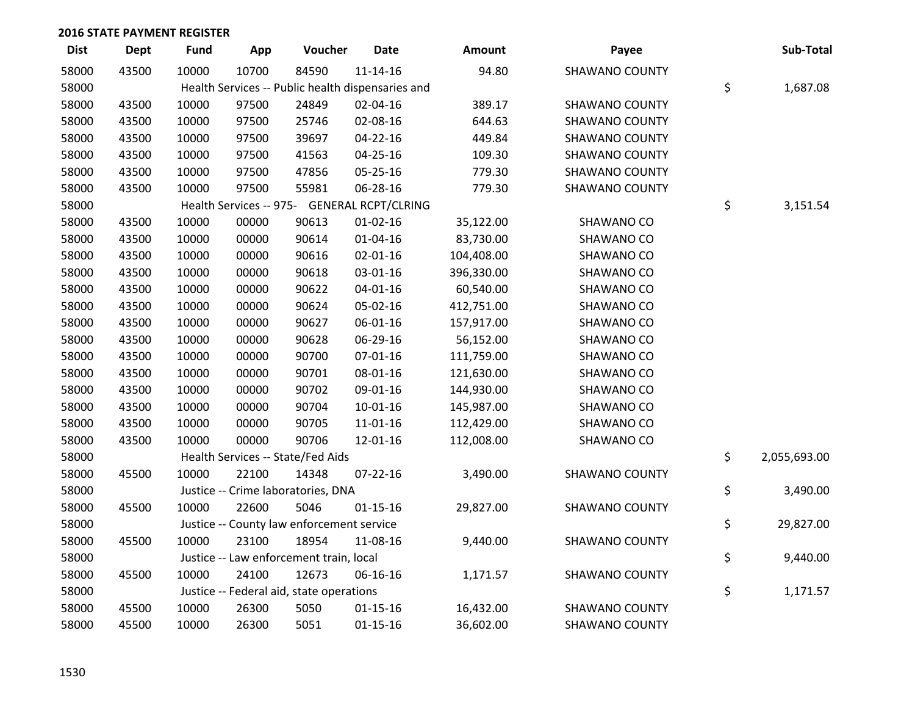| <b>Dist</b> | <b>Dept</b> | <b>Fund</b> | App   | Voucher                                           | <b>Date</b>    | Amount     | Payee                 | Sub-Total          |
|-------------|-------------|-------------|-------|---------------------------------------------------|----------------|------------|-----------------------|--------------------|
| 58000       | 43500       | 10000       | 10700 | 84590                                             | $11 - 14 - 16$ | 94.80      | <b>SHAWANO COUNTY</b> |                    |
| 58000       |             |             |       | Health Services -- Public health dispensaries and |                |            |                       | \$<br>1,687.08     |
| 58000       | 43500       | 10000       | 97500 | 24849                                             | 02-04-16       | 389.17     | <b>SHAWANO COUNTY</b> |                    |
| 58000       | 43500       | 10000       | 97500 | 25746                                             | 02-08-16       | 644.63     | <b>SHAWANO COUNTY</b> |                    |
| 58000       | 43500       | 10000       | 97500 | 39697                                             | $04 - 22 - 16$ | 449.84     | <b>SHAWANO COUNTY</b> |                    |
| 58000       | 43500       | 10000       | 97500 | 41563                                             | 04-25-16       | 109.30     | <b>SHAWANO COUNTY</b> |                    |
| 58000       | 43500       | 10000       | 97500 | 47856                                             | 05-25-16       | 779.30     | <b>SHAWANO COUNTY</b> |                    |
| 58000       | 43500       | 10000       | 97500 | 55981                                             | 06-28-16       | 779.30     | <b>SHAWANO COUNTY</b> |                    |
| 58000       |             |             |       | Health Services -- 975- GENERAL RCPT/CLRING       |                |            |                       | \$<br>3,151.54     |
| 58000       | 43500       | 10000       | 00000 | 90613                                             | $01 - 02 - 16$ | 35,122.00  | SHAWANO CO            |                    |
| 58000       | 43500       | 10000       | 00000 | 90614                                             | $01 - 04 - 16$ | 83,730.00  | SHAWANO CO            |                    |
| 58000       | 43500       | 10000       | 00000 | 90616                                             | $02 - 01 - 16$ | 104,408.00 | SHAWANO CO            |                    |
| 58000       | 43500       | 10000       | 00000 | 90618                                             | 03-01-16       | 396,330.00 | SHAWANO CO            |                    |
| 58000       | 43500       | 10000       | 00000 | 90622                                             | $04 - 01 - 16$ | 60,540.00  | SHAWANO CO            |                    |
| 58000       | 43500       | 10000       | 00000 | 90624                                             | 05-02-16       | 412,751.00 | SHAWANO CO            |                    |
| 58000       | 43500       | 10000       | 00000 | 90627                                             | 06-01-16       | 157,917.00 | SHAWANO CO            |                    |
| 58000       | 43500       | 10000       | 00000 | 90628                                             | 06-29-16       | 56,152.00  | SHAWANO CO            |                    |
| 58000       | 43500       | 10000       | 00000 | 90700                                             | $07 - 01 - 16$ | 111,759.00 | SHAWANO CO            |                    |
| 58000       | 43500       | 10000       | 00000 | 90701                                             | 08-01-16       | 121,630.00 | SHAWANO CO            |                    |
| 58000       | 43500       | 10000       | 00000 | 90702                                             | 09-01-16       | 144,930.00 | SHAWANO CO            |                    |
| 58000       | 43500       | 10000       | 00000 | 90704                                             | 10-01-16       | 145,987.00 | SHAWANO CO            |                    |
| 58000       | 43500       | 10000       | 00000 | 90705                                             | $11 - 01 - 16$ | 112,429.00 | SHAWANO CO            |                    |
| 58000       | 43500       | 10000       | 00000 | 90706                                             | 12-01-16       | 112,008.00 | SHAWANO CO            |                    |
| 58000       |             |             |       | Health Services -- State/Fed Aids                 |                |            |                       | \$<br>2,055,693.00 |
| 58000       | 45500       | 10000       | 22100 | 14348                                             | $07 - 22 - 16$ | 3,490.00   | <b>SHAWANO COUNTY</b> |                    |
| 58000       |             |             |       | Justice -- Crime laboratories, DNA                |                |            |                       | \$<br>3,490.00     |
| 58000       | 45500       | 10000       | 22600 | 5046                                              | $01 - 15 - 16$ | 29,827.00  | <b>SHAWANO COUNTY</b> |                    |
| 58000       |             |             |       | Justice -- County law enforcement service         |                |            |                       | \$<br>29,827.00    |
| 58000       | 45500       | 10000       | 23100 | 18954                                             | 11-08-16       | 9,440.00   | <b>SHAWANO COUNTY</b> |                    |
| 58000       |             |             |       | Justice -- Law enforcement train, local           |                |            |                       | \$<br>9,440.00     |
| 58000       | 45500       | 10000       | 24100 | 12673                                             | 06-16-16       | 1,171.57   | <b>SHAWANO COUNTY</b> |                    |
| 58000       |             |             |       | Justice -- Federal aid, state operations          |                |            |                       | \$<br>1,171.57     |
| 58000       | 45500       | 10000       | 26300 | 5050                                              | $01 - 15 - 16$ | 16,432.00  | <b>SHAWANO COUNTY</b> |                    |
| 58000       | 45500       | 10000       | 26300 | 5051                                              | $01 - 15 - 16$ | 36,602.00  | <b>SHAWANO COUNTY</b> |                    |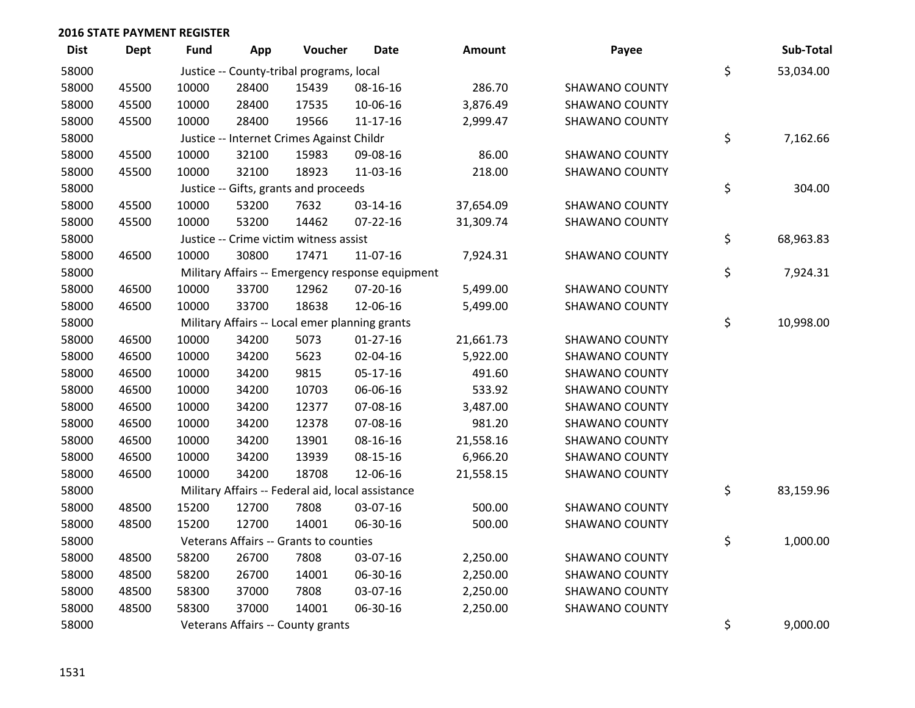| <b>Dist</b> | <b>Dept</b> | Fund  | App   | Voucher                                           | <b>Date</b>                                      | Amount    | Payee                 | Sub-Total       |
|-------------|-------------|-------|-------|---------------------------------------------------|--------------------------------------------------|-----------|-----------------------|-----------------|
| 58000       |             |       |       | Justice -- County-tribal programs, local          |                                                  |           |                       | \$<br>53,034.00 |
| 58000       | 45500       | 10000 | 28400 | 15439                                             | 08-16-16                                         | 286.70    | <b>SHAWANO COUNTY</b> |                 |
| 58000       | 45500       | 10000 | 28400 | 17535                                             | 10-06-16                                         | 3,876.49  | <b>SHAWANO COUNTY</b> |                 |
| 58000       | 45500       | 10000 | 28400 | 19566                                             | $11 - 17 - 16$                                   | 2,999.47  | <b>SHAWANO COUNTY</b> |                 |
| 58000       |             |       |       | Justice -- Internet Crimes Against Childr         |                                                  |           |                       | \$<br>7,162.66  |
| 58000       | 45500       | 10000 | 32100 | 15983                                             | 09-08-16                                         | 86.00     | <b>SHAWANO COUNTY</b> |                 |
| 58000       | 45500       | 10000 | 32100 | 18923                                             | 11-03-16                                         | 218.00    | <b>SHAWANO COUNTY</b> |                 |
| 58000       |             |       |       | Justice -- Gifts, grants and proceeds             |                                                  |           |                       | \$<br>304.00    |
| 58000       | 45500       | 10000 | 53200 | 7632                                              | 03-14-16                                         | 37,654.09 | <b>SHAWANO COUNTY</b> |                 |
| 58000       | 45500       | 10000 | 53200 | 14462                                             | $07 - 22 - 16$                                   | 31,309.74 | <b>SHAWANO COUNTY</b> |                 |
| 58000       |             |       |       | Justice -- Crime victim witness assist            |                                                  |           |                       | \$<br>68,963.83 |
| 58000       | 46500       | 10000 | 30800 | 17471                                             | 11-07-16                                         | 7,924.31  | <b>SHAWANO COUNTY</b> |                 |
| 58000       |             |       |       |                                                   | Military Affairs -- Emergency response equipment |           |                       | \$<br>7,924.31  |
| 58000       | 46500       | 10000 | 33700 | 12962                                             | 07-20-16                                         | 5,499.00  | <b>SHAWANO COUNTY</b> |                 |
| 58000       | 46500       | 10000 | 33700 | 18638                                             | 12-06-16                                         | 5,499.00  | <b>SHAWANO COUNTY</b> |                 |
| 58000       |             |       |       | Military Affairs -- Local emer planning grants    |                                                  |           |                       | \$<br>10,998.00 |
| 58000       | 46500       | 10000 | 34200 | 5073                                              | $01-27-16$                                       | 21,661.73 | <b>SHAWANO COUNTY</b> |                 |
| 58000       | 46500       | 10000 | 34200 | 5623                                              | 02-04-16                                         | 5,922.00  | <b>SHAWANO COUNTY</b> |                 |
| 58000       | 46500       | 10000 | 34200 | 9815                                              | 05-17-16                                         | 491.60    | <b>SHAWANO COUNTY</b> |                 |
| 58000       | 46500       | 10000 | 34200 | 10703                                             | 06-06-16                                         | 533.92    | <b>SHAWANO COUNTY</b> |                 |
| 58000       | 46500       | 10000 | 34200 | 12377                                             | 07-08-16                                         | 3,487.00  | <b>SHAWANO COUNTY</b> |                 |
| 58000       | 46500       | 10000 | 34200 | 12378                                             | 07-08-16                                         | 981.20    | <b>SHAWANO COUNTY</b> |                 |
| 58000       | 46500       | 10000 | 34200 | 13901                                             | 08-16-16                                         | 21,558.16 | <b>SHAWANO COUNTY</b> |                 |
| 58000       | 46500       | 10000 | 34200 | 13939                                             | 08-15-16                                         | 6,966.20  | <b>SHAWANO COUNTY</b> |                 |
| 58000       | 46500       | 10000 | 34200 | 18708                                             | 12-06-16                                         | 21,558.15 | <b>SHAWANO COUNTY</b> |                 |
| 58000       |             |       |       | Military Affairs -- Federal aid, local assistance |                                                  |           |                       | \$<br>83,159.96 |
| 58000       | 48500       | 15200 | 12700 | 7808                                              | 03-07-16                                         | 500.00    | <b>SHAWANO COUNTY</b> |                 |
| 58000       | 48500       | 15200 | 12700 | 14001                                             | 06-30-16                                         | 500.00    | <b>SHAWANO COUNTY</b> |                 |
| 58000       |             |       |       | Veterans Affairs -- Grants to counties            |                                                  |           |                       | \$<br>1,000.00  |
| 58000       | 48500       | 58200 | 26700 | 7808                                              | 03-07-16                                         | 2,250.00  | <b>SHAWANO COUNTY</b> |                 |
| 58000       | 48500       | 58200 | 26700 | 14001                                             | 06-30-16                                         | 2,250.00  | <b>SHAWANO COUNTY</b> |                 |
| 58000       | 48500       | 58300 | 37000 | 7808                                              | 03-07-16                                         | 2,250.00  | <b>SHAWANO COUNTY</b> |                 |
| 58000       | 48500       | 58300 | 37000 | 14001                                             | 06-30-16                                         | 2,250.00  | <b>SHAWANO COUNTY</b> |                 |
| 58000       |             |       |       | Veterans Affairs -- County grants                 |                                                  |           |                       | \$<br>9,000.00  |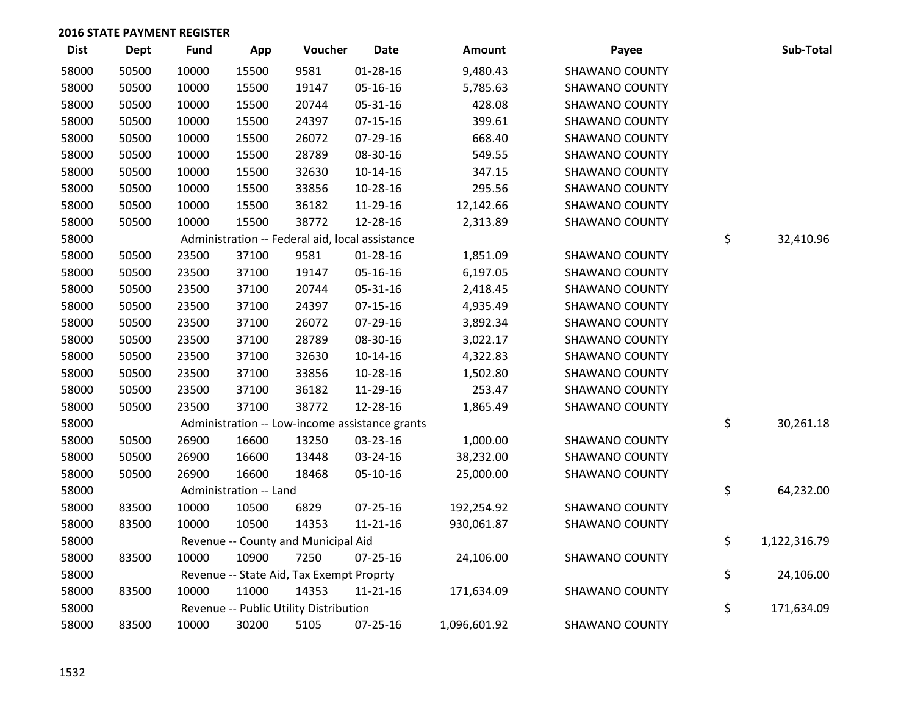| <b>Dist</b> | Dept  | <b>Fund</b> | App                    | Voucher                                         | <b>Date</b>    | Amount       | Payee                 | Sub-Total          |
|-------------|-------|-------------|------------------------|-------------------------------------------------|----------------|--------------|-----------------------|--------------------|
| 58000       | 50500 | 10000       | 15500                  | 9581                                            | $01 - 28 - 16$ | 9,480.43     | <b>SHAWANO COUNTY</b> |                    |
| 58000       | 50500 | 10000       | 15500                  | 19147                                           | 05-16-16       | 5,785.63     | <b>SHAWANO COUNTY</b> |                    |
| 58000       | 50500 | 10000       | 15500                  | 20744                                           | 05-31-16       | 428.08       | <b>SHAWANO COUNTY</b> |                    |
| 58000       | 50500 | 10000       | 15500                  | 24397                                           | $07-15-16$     | 399.61       | <b>SHAWANO COUNTY</b> |                    |
| 58000       | 50500 | 10000       | 15500                  | 26072                                           | 07-29-16       | 668.40       | <b>SHAWANO COUNTY</b> |                    |
| 58000       | 50500 | 10000       | 15500                  | 28789                                           | 08-30-16       | 549.55       | <b>SHAWANO COUNTY</b> |                    |
| 58000       | 50500 | 10000       | 15500                  | 32630                                           | $10-14-16$     | 347.15       | <b>SHAWANO COUNTY</b> |                    |
| 58000       | 50500 | 10000       | 15500                  | 33856                                           | 10-28-16       | 295.56       | <b>SHAWANO COUNTY</b> |                    |
| 58000       | 50500 | 10000       | 15500                  | 36182                                           | 11-29-16       | 12,142.66    | <b>SHAWANO COUNTY</b> |                    |
| 58000       | 50500 | 10000       | 15500                  | 38772                                           | 12-28-16       | 2,313.89     | <b>SHAWANO COUNTY</b> |                    |
| 58000       |       |             |                        | Administration -- Federal aid, local assistance |                |              |                       | \$<br>32,410.96    |
| 58000       | 50500 | 23500       | 37100                  | 9581                                            | $01 - 28 - 16$ | 1,851.09     | SHAWANO COUNTY        |                    |
| 58000       | 50500 | 23500       | 37100                  | 19147                                           | 05-16-16       | 6,197.05     | <b>SHAWANO COUNTY</b> |                    |
| 58000       | 50500 | 23500       | 37100                  | 20744                                           | 05-31-16       | 2,418.45     | <b>SHAWANO COUNTY</b> |                    |
| 58000       | 50500 | 23500       | 37100                  | 24397                                           | $07 - 15 - 16$ | 4,935.49     | <b>SHAWANO COUNTY</b> |                    |
| 58000       | 50500 | 23500       | 37100                  | 26072                                           | 07-29-16       | 3,892.34     | <b>SHAWANO COUNTY</b> |                    |
| 58000       | 50500 | 23500       | 37100                  | 28789                                           | 08-30-16       | 3,022.17     | <b>SHAWANO COUNTY</b> |                    |
| 58000       | 50500 | 23500       | 37100                  | 32630                                           | 10-14-16       | 4,322.83     | <b>SHAWANO COUNTY</b> |                    |
| 58000       | 50500 | 23500       | 37100                  | 33856                                           | 10-28-16       | 1,502.80     | <b>SHAWANO COUNTY</b> |                    |
| 58000       | 50500 | 23500       | 37100                  | 36182                                           | 11-29-16       | 253.47       | <b>SHAWANO COUNTY</b> |                    |
| 58000       | 50500 | 23500       | 37100                  | 38772                                           | 12-28-16       | 1,865.49     | <b>SHAWANO COUNTY</b> |                    |
| 58000       |       |             |                        | Administration -- Low-income assistance grants  |                |              |                       | \$<br>30,261.18    |
| 58000       | 50500 | 26900       | 16600                  | 13250                                           | 03-23-16       | 1,000.00     | <b>SHAWANO COUNTY</b> |                    |
| 58000       | 50500 | 26900       | 16600                  | 13448                                           | 03-24-16       | 38,232.00    | <b>SHAWANO COUNTY</b> |                    |
| 58000       | 50500 | 26900       | 16600                  | 18468                                           | 05-10-16       | 25,000.00    | <b>SHAWANO COUNTY</b> |                    |
| 58000       |       |             | Administration -- Land |                                                 |                |              |                       | \$<br>64,232.00    |
| 58000       | 83500 | 10000       | 10500                  | 6829                                            | 07-25-16       | 192,254.92   | <b>SHAWANO COUNTY</b> |                    |
| 58000       | 83500 | 10000       | 10500                  | 14353                                           | $11 - 21 - 16$ | 930,061.87   | <b>SHAWANO COUNTY</b> |                    |
| 58000       |       |             |                        | Revenue -- County and Municipal Aid             |                |              |                       | \$<br>1,122,316.79 |
| 58000       | 83500 | 10000       | 10900                  | 7250                                            | 07-25-16       | 24,106.00    | <b>SHAWANO COUNTY</b> |                    |
| 58000       |       |             |                        | Revenue -- State Aid, Tax Exempt Proprty        |                |              |                       | \$<br>24,106.00    |
| 58000       | 83500 | 10000       | 11000                  | 14353                                           | 11-21-16       | 171,634.09   | SHAWANO COUNTY        |                    |
| 58000       |       |             |                        | Revenue -- Public Utility Distribution          |                |              |                       | \$<br>171,634.09   |
| 58000       | 83500 | 10000       | 30200                  | 5105                                            | $07 - 25 - 16$ | 1,096,601.92 | <b>SHAWANO COUNTY</b> |                    |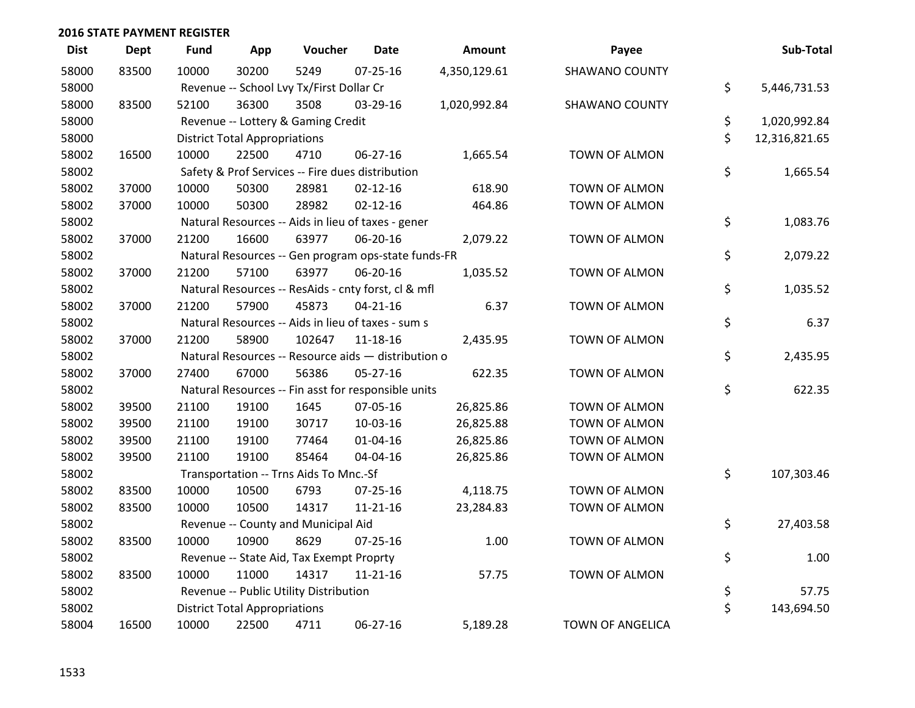| <b>Dist</b> | <b>Dept</b> | <b>Fund</b> | App                                  | Voucher                                             | <b>Date</b>    | Amount       | Payee                   | Sub-Total           |
|-------------|-------------|-------------|--------------------------------------|-----------------------------------------------------|----------------|--------------|-------------------------|---------------------|
| 58000       | 83500       | 10000       | 30200                                | 5249                                                | $07 - 25 - 16$ | 4,350,129.61 | <b>SHAWANO COUNTY</b>   |                     |
| 58000       |             |             |                                      | Revenue -- School Lvy Tx/First Dollar Cr            |                |              |                         | \$<br>5,446,731.53  |
| 58000       | 83500       | 52100       | 36300                                | 3508                                                | 03-29-16       | 1,020,992.84 | <b>SHAWANO COUNTY</b>   |                     |
| 58000       |             |             |                                      | Revenue -- Lottery & Gaming Credit                  |                |              |                         | \$<br>1,020,992.84  |
| 58000       |             |             | <b>District Total Appropriations</b> |                                                     |                |              |                         | \$<br>12,316,821.65 |
| 58002       | 16500       | 10000       | 22500                                | 4710                                                | 06-27-16       | 1,665.54     | TOWN OF ALMON           |                     |
| 58002       |             |             |                                      | Safety & Prof Services -- Fire dues distribution    |                |              |                         | \$<br>1,665.54      |
| 58002       | 37000       | 10000       | 50300                                | 28981                                               | $02 - 12 - 16$ | 618.90       | <b>TOWN OF ALMON</b>    |                     |
| 58002       | 37000       | 10000       | 50300                                | 28982                                               | $02 - 12 - 16$ | 464.86       | TOWN OF ALMON           |                     |
| 58002       |             |             |                                      | Natural Resources -- Aids in lieu of taxes - gener  |                |              |                         | \$<br>1,083.76      |
| 58002       | 37000       | 21200       | 16600                                | 63977                                               | 06-20-16       | 2,079.22     | TOWN OF ALMON           |                     |
| 58002       |             |             |                                      | Natural Resources -- Gen program ops-state funds-FR |                |              |                         | \$<br>2,079.22      |
| 58002       | 37000       | 21200       | 57100                                | 63977                                               | 06-20-16       | 1,035.52     | TOWN OF ALMON           |                     |
| 58002       |             |             |                                      | Natural Resources -- ResAids - cnty forst, cl & mfl |                |              |                         | \$<br>1,035.52      |
| 58002       | 37000       | 21200       | 57900                                | 45873                                               | $04 - 21 - 16$ | 6.37         | <b>TOWN OF ALMON</b>    |                     |
| 58002       |             |             |                                      | Natural Resources -- Aids in lieu of taxes - sum s  |                |              |                         | \$<br>6.37          |
| 58002       | 37000       | 21200       | 58900                                | 102647                                              | 11-18-16       | 2,435.95     | <b>TOWN OF ALMON</b>    |                     |
| 58002       |             |             |                                      | Natural Resources -- Resource aids - distribution o |                |              |                         | \$<br>2,435.95      |
| 58002       | 37000       | 27400       | 67000                                | 56386                                               | 05-27-16       | 622.35       | TOWN OF ALMON           |                     |
| 58002       |             |             |                                      | Natural Resources -- Fin asst for responsible units |                |              |                         | \$<br>622.35        |
| 58002       | 39500       | 21100       | 19100                                | 1645                                                | 07-05-16       | 26,825.86    | TOWN OF ALMON           |                     |
| 58002       | 39500       | 21100       | 19100                                | 30717                                               | $10-03-16$     | 26,825.88    | <b>TOWN OF ALMON</b>    |                     |
| 58002       | 39500       | 21100       | 19100                                | 77464                                               | $01 - 04 - 16$ | 26,825.86    | TOWN OF ALMON           |                     |
| 58002       | 39500       | 21100       | 19100                                | 85464                                               | 04-04-16       | 26,825.86    | TOWN OF ALMON           |                     |
| 58002       |             |             |                                      | Transportation -- Trns Aids To Mnc.-Sf              |                |              |                         | \$<br>107,303.46    |
| 58002       | 83500       | 10000       | 10500                                | 6793                                                | $07 - 25 - 16$ | 4,118.75     | <b>TOWN OF ALMON</b>    |                     |
| 58002       | 83500       | 10000       | 10500                                | 14317                                               | $11 - 21 - 16$ | 23,284.83    | <b>TOWN OF ALMON</b>    |                     |
| 58002       |             |             |                                      | Revenue -- County and Municipal Aid                 |                |              |                         | \$<br>27,403.58     |
| 58002       | 83500       | 10000       | 10900                                | 8629                                                | $07 - 25 - 16$ | 1.00         | <b>TOWN OF ALMON</b>    |                     |
| 58002       |             |             |                                      | Revenue -- State Aid, Tax Exempt Proprty            |                |              |                         | \$<br>1.00          |
| 58002       | 83500       | 10000       | 11000                                | 14317                                               | $11 - 21 - 16$ | 57.75        | <b>TOWN OF ALMON</b>    |                     |
| 58002       |             |             |                                      | Revenue -- Public Utility Distribution              |                |              |                         | \$<br>57.75         |
| 58002       |             |             | <b>District Total Appropriations</b> |                                                     |                |              |                         | \$<br>143,694.50    |
| 58004       | 16500       | 10000       | 22500                                | 4711                                                | 06-27-16       | 5,189.28     | <b>TOWN OF ANGELICA</b> |                     |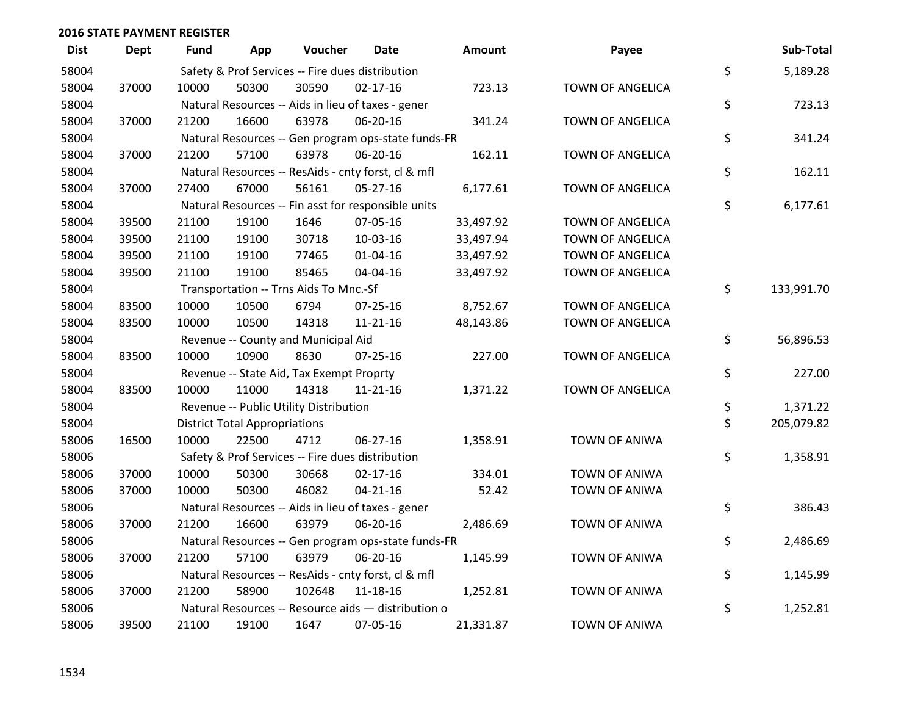| <b>Dist</b> | Dept  | Fund  | App                                  | Voucher                                             | Date           | Amount    | Payee                   | Sub-Total        |
|-------------|-------|-------|--------------------------------------|-----------------------------------------------------|----------------|-----------|-------------------------|------------------|
| 58004       |       |       |                                      | Safety & Prof Services -- Fire dues distribution    |                |           |                         | \$<br>5,189.28   |
| 58004       | 37000 | 10000 | 50300                                | 30590                                               | 02-17-16       | 723.13    | TOWN OF ANGELICA        |                  |
| 58004       |       |       |                                      | Natural Resources -- Aids in lieu of taxes - gener  |                |           |                         | \$<br>723.13     |
| 58004       | 37000 | 21200 | 16600                                | 63978                                               | 06-20-16       | 341.24    | TOWN OF ANGELICA        |                  |
| 58004       |       |       |                                      | Natural Resources -- Gen program ops-state funds-FR |                |           |                         | \$<br>341.24     |
| 58004       | 37000 | 21200 | 57100                                | 63978                                               | 06-20-16       | 162.11    | TOWN OF ANGELICA        |                  |
| 58004       |       |       |                                      | Natural Resources -- ResAids - cnty forst, cl & mfl |                |           |                         | \$<br>162.11     |
| 58004       | 37000 | 27400 | 67000                                | 56161                                               | 05-27-16       | 6,177.61  | TOWN OF ANGELICA        |                  |
| 58004       |       |       |                                      | Natural Resources -- Fin asst for responsible units |                |           |                         | \$<br>6,177.61   |
| 58004       | 39500 | 21100 | 19100                                | 1646                                                | 07-05-16       | 33,497.92 | <b>TOWN OF ANGELICA</b> |                  |
| 58004       | 39500 | 21100 | 19100                                | 30718                                               | 10-03-16       | 33,497.94 | <b>TOWN OF ANGELICA</b> |                  |
| 58004       | 39500 | 21100 | 19100                                | 77465                                               | $01 - 04 - 16$ | 33,497.92 | <b>TOWN OF ANGELICA</b> |                  |
| 58004       | 39500 | 21100 | 19100                                | 85465                                               | 04-04-16       | 33,497.92 | <b>TOWN OF ANGELICA</b> |                  |
| 58004       |       |       |                                      | Transportation -- Trns Aids To Mnc.-Sf              |                |           |                         | \$<br>133,991.70 |
| 58004       | 83500 | 10000 | 10500                                | 6794                                                | $07 - 25 - 16$ | 8,752.67  | TOWN OF ANGELICA        |                  |
| 58004       | 83500 | 10000 | 10500                                | 14318                                               | 11-21-16       | 48,143.86 | TOWN OF ANGELICA        |                  |
| 58004       |       |       |                                      | Revenue -- County and Municipal Aid                 |                |           |                         | \$<br>56,896.53  |
| 58004       | 83500 | 10000 | 10900                                | 8630                                                | $07 - 25 - 16$ | 227.00    | TOWN OF ANGELICA        |                  |
| 58004       |       |       |                                      | Revenue -- State Aid, Tax Exempt Proprty            |                |           |                         | \$<br>227.00     |
| 58004       | 83500 | 10000 | 11000                                | 14318                                               | 11-21-16       | 1,371.22  | TOWN OF ANGELICA        |                  |
| 58004       |       |       |                                      | Revenue -- Public Utility Distribution              |                |           |                         | \$<br>1,371.22   |
| 58004       |       |       | <b>District Total Appropriations</b> |                                                     |                |           |                         | \$<br>205,079.82 |
| 58006       | 16500 | 10000 | 22500                                | 4712                                                | 06-27-16       | 1,358.91  | <b>TOWN OF ANIWA</b>    |                  |
| 58006       |       |       |                                      | Safety & Prof Services -- Fire dues distribution    |                |           |                         | \$<br>1,358.91   |
| 58006       | 37000 | 10000 | 50300                                | 30668                                               | $02 - 17 - 16$ | 334.01    | <b>TOWN OF ANIWA</b>    |                  |
| 58006       | 37000 | 10000 | 50300                                | 46082                                               | $04 - 21 - 16$ | 52.42     | <b>TOWN OF ANIWA</b>    |                  |
| 58006       |       |       |                                      | Natural Resources -- Aids in lieu of taxes - gener  |                |           |                         | \$<br>386.43     |
| 58006       | 37000 | 21200 | 16600                                | 63979                                               | 06-20-16       | 2,486.69  | <b>TOWN OF ANIWA</b>    |                  |
| 58006       |       |       |                                      | Natural Resources -- Gen program ops-state funds-FR |                |           |                         | \$<br>2,486.69   |
| 58006       | 37000 | 21200 | 57100                                | 63979                                               | 06-20-16       | 1,145.99  | <b>TOWN OF ANIWA</b>    |                  |
| 58006       |       |       |                                      | Natural Resources -- ResAids - cnty forst, cl & mfl |                |           |                         | \$<br>1,145.99   |
| 58006       | 37000 | 21200 | 58900                                | 102648                                              | 11-18-16       | 1,252.81  | <b>TOWN OF ANIWA</b>    |                  |
| 58006       |       |       |                                      | Natural Resources -- Resource aids - distribution o |                |           |                         | \$<br>1,252.81   |
| 58006       | 39500 | 21100 | 19100                                | 1647                                                | 07-05-16       | 21,331.87 | TOWN OF ANIWA           |                  |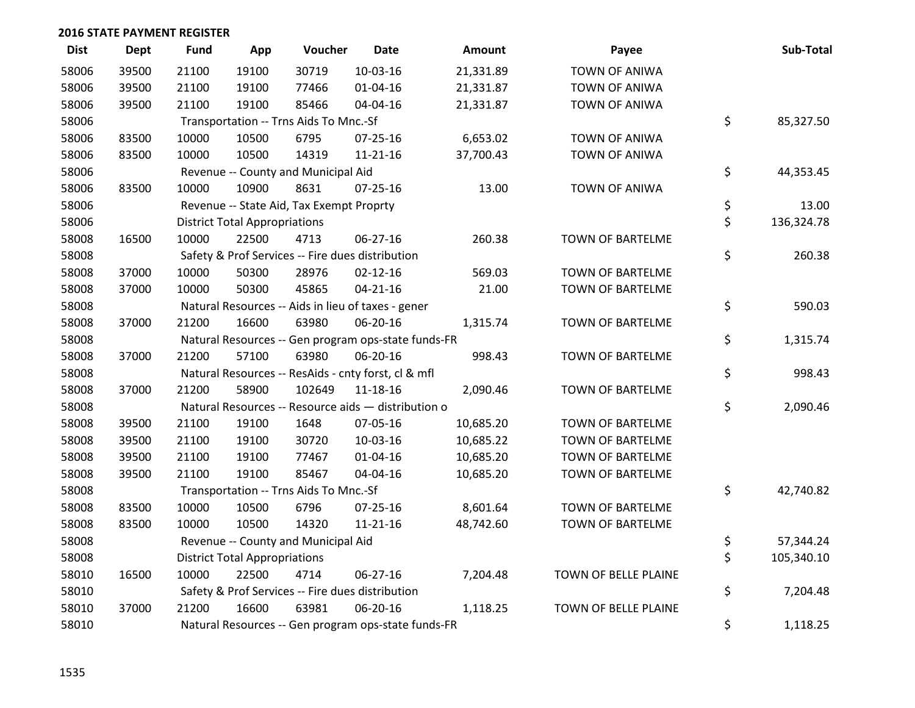| <b>Dist</b> | <b>Dept</b> | <b>Fund</b> | App                                  | Voucher                                  | <b>Date</b>                                         | <b>Amount</b> | Payee                   | Sub-Total        |
|-------------|-------------|-------------|--------------------------------------|------------------------------------------|-----------------------------------------------------|---------------|-------------------------|------------------|
| 58006       | 39500       | 21100       | 19100                                | 30719                                    | 10-03-16                                            | 21,331.89     | <b>TOWN OF ANIWA</b>    |                  |
| 58006       | 39500       | 21100       | 19100                                | 77466                                    | 01-04-16                                            | 21,331.87     | <b>TOWN OF ANIWA</b>    |                  |
| 58006       | 39500       | 21100       | 19100                                | 85466                                    | 04-04-16                                            | 21,331.87     | <b>TOWN OF ANIWA</b>    |                  |
| 58006       |             |             |                                      | Transportation -- Trns Aids To Mnc.-Sf   |                                                     |               |                         | \$<br>85,327.50  |
| 58006       | 83500       | 10000       | 10500                                | 6795                                     | $07 - 25 - 16$                                      | 6,653.02      | <b>TOWN OF ANIWA</b>    |                  |
| 58006       | 83500       | 10000       | 10500                                | 14319                                    | $11 - 21 - 16$                                      | 37,700.43     | <b>TOWN OF ANIWA</b>    |                  |
| 58006       |             |             |                                      | Revenue -- County and Municipal Aid      |                                                     |               |                         | \$<br>44,353.45  |
| 58006       | 83500       | 10000       | 10900                                | 8631                                     | 07-25-16                                            | 13.00         | <b>TOWN OF ANIWA</b>    |                  |
| 58006       |             |             |                                      | Revenue -- State Aid, Tax Exempt Proprty |                                                     |               |                         | \$<br>13.00      |
| 58006       |             |             | <b>District Total Appropriations</b> |                                          |                                                     |               |                         | \$<br>136,324.78 |
| 58008       | 16500       | 10000       | 22500                                | 4713                                     | 06-27-16                                            | 260.38        | TOWN OF BARTELME        |                  |
| 58008       |             |             |                                      |                                          | Safety & Prof Services -- Fire dues distribution    |               |                         | \$<br>260.38     |
| 58008       | 37000       | 10000       | 50300                                | 28976                                    | $02 - 12 - 16$                                      | 569.03        | TOWN OF BARTELME        |                  |
| 58008       | 37000       | 10000       | 50300                                | 45865                                    | $04 - 21 - 16$                                      | 21.00         | <b>TOWN OF BARTELME</b> |                  |
| 58008       |             |             |                                      |                                          | Natural Resources -- Aids in lieu of taxes - gener  |               |                         | \$<br>590.03     |
| 58008       | 37000       | 21200       | 16600                                | 63980                                    | 06-20-16                                            | 1,315.74      | TOWN OF BARTELME        |                  |
| 58008       |             |             |                                      |                                          | Natural Resources -- Gen program ops-state funds-FR |               |                         | \$<br>1,315.74   |
| 58008       | 37000       | 21200       | 57100                                | 63980                                    | 06-20-16                                            | 998.43        | <b>TOWN OF BARTELME</b> |                  |
| 58008       |             |             |                                      |                                          | Natural Resources -- ResAids - cnty forst, cl & mfl |               |                         | \$<br>998.43     |
| 58008       | 37000       | 21200       | 58900                                | 102649                                   | 11-18-16                                            | 2,090.46      | TOWN OF BARTELME        |                  |
| 58008       |             |             |                                      |                                          | Natural Resources -- Resource aids - distribution o |               |                         | \$<br>2,090.46   |
| 58008       | 39500       | 21100       | 19100                                | 1648                                     | 07-05-16                                            | 10,685.20     | TOWN OF BARTELME        |                  |
| 58008       | 39500       | 21100       | 19100                                | 30720                                    | 10-03-16                                            | 10,685.22     | <b>TOWN OF BARTELME</b> |                  |
| 58008       | 39500       | 21100       | 19100                                | 77467                                    | $01 - 04 - 16$                                      | 10,685.20     | <b>TOWN OF BARTELME</b> |                  |
| 58008       | 39500       | 21100       | 19100                                | 85467                                    | 04-04-16                                            | 10,685.20     | TOWN OF BARTELME        |                  |
| 58008       |             |             |                                      | Transportation -- Trns Aids To Mnc.-Sf   |                                                     |               |                         | \$<br>42,740.82  |
| 58008       | 83500       | 10000       | 10500                                | 6796                                     | $07 - 25 - 16$                                      | 8,601.64      | <b>TOWN OF BARTELME</b> |                  |
| 58008       | 83500       | 10000       | 10500                                | 14320                                    | $11 - 21 - 16$                                      | 48,742.60     | <b>TOWN OF BARTELME</b> |                  |
| 58008       |             |             |                                      | Revenue -- County and Municipal Aid      |                                                     |               |                         | \$<br>57,344.24  |
| 58008       |             |             | <b>District Total Appropriations</b> |                                          |                                                     |               |                         | \$<br>105,340.10 |
| 58010       | 16500       | 10000       | 22500                                | 4714                                     | 06-27-16                                            | 7,204.48      | TOWN OF BELLE PLAINE    |                  |
| 58010       |             |             |                                      |                                          | Safety & Prof Services -- Fire dues distribution    |               |                         | \$<br>7,204.48   |
| 58010       | 37000       | 21200       | 16600                                | 63981                                    | 06-20-16                                            | 1,118.25      | TOWN OF BELLE PLAINE    |                  |
| 58010       |             |             |                                      |                                          | Natural Resources -- Gen program ops-state funds-FR |               |                         | \$<br>1,118.25   |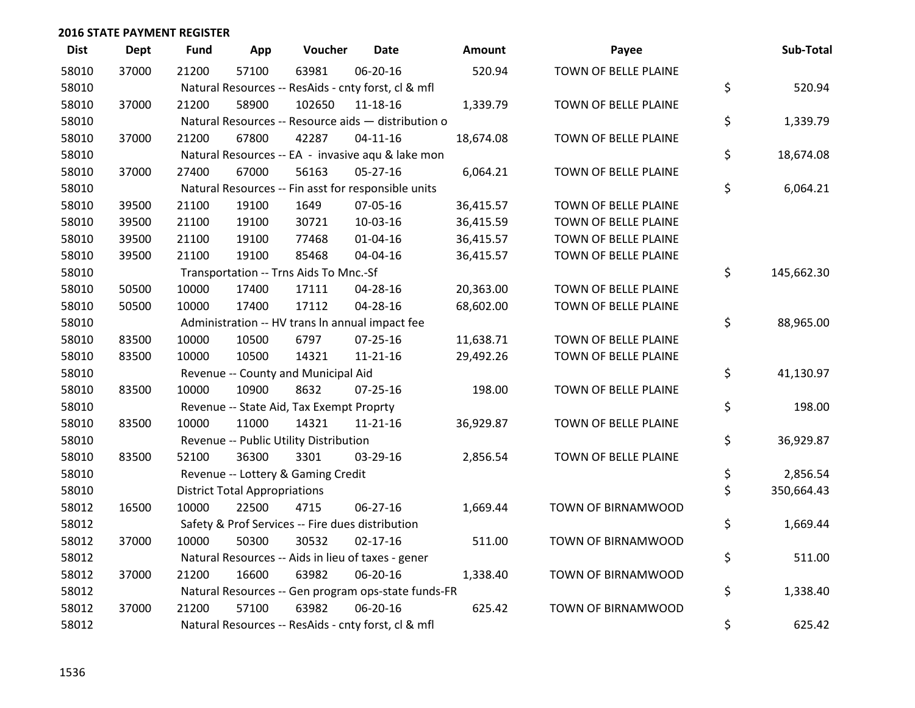| <b>Dist</b> | <b>Dept</b> | <b>Fund</b> | App                                  | Voucher                                             | Date           | <b>Amount</b> | Payee                | Sub-Total        |
|-------------|-------------|-------------|--------------------------------------|-----------------------------------------------------|----------------|---------------|----------------------|------------------|
| 58010       | 37000       | 21200       | 57100                                | 63981                                               | 06-20-16       | 520.94        | TOWN OF BELLE PLAINE |                  |
| 58010       |             |             |                                      | Natural Resources -- ResAids - cnty forst, cl & mfl |                |               |                      | \$<br>520.94     |
| 58010       | 37000       | 21200       | 58900                                | 102650                                              | 11-18-16       | 1,339.79      | TOWN OF BELLE PLAINE |                  |
| 58010       |             |             |                                      | Natural Resources -- Resource aids - distribution o |                |               |                      | \$<br>1,339.79   |
| 58010       | 37000       | 21200       | 67800                                | 42287                                               | $04 - 11 - 16$ | 18,674.08     | TOWN OF BELLE PLAINE |                  |
| 58010       |             |             |                                      | Natural Resources -- EA - invasive aqu & lake mon   |                |               |                      | \$<br>18,674.08  |
| 58010       | 37000       | 27400       | 67000                                | 56163                                               | $05 - 27 - 16$ | 6,064.21      | TOWN OF BELLE PLAINE |                  |
| 58010       |             |             |                                      | Natural Resources -- Fin asst for responsible units |                |               |                      | \$<br>6,064.21   |
| 58010       | 39500       | 21100       | 19100                                | 1649                                                | 07-05-16       | 36,415.57     | TOWN OF BELLE PLAINE |                  |
| 58010       | 39500       | 21100       | 19100                                | 30721                                               | 10-03-16       | 36,415.59     | TOWN OF BELLE PLAINE |                  |
| 58010       | 39500       | 21100       | 19100                                | 77468                                               | $01 - 04 - 16$ | 36,415.57     | TOWN OF BELLE PLAINE |                  |
| 58010       | 39500       | 21100       | 19100                                | 85468                                               | 04-04-16       | 36,415.57     | TOWN OF BELLE PLAINE |                  |
| 58010       |             |             |                                      | Transportation -- Trns Aids To Mnc.-Sf              |                |               |                      | \$<br>145,662.30 |
| 58010       | 50500       | 10000       | 17400                                | 17111                                               | 04-28-16       | 20,363.00     | TOWN OF BELLE PLAINE |                  |
| 58010       | 50500       | 10000       | 17400                                | 17112                                               | 04-28-16       | 68,602.00     | TOWN OF BELLE PLAINE |                  |
| 58010       |             |             |                                      | Administration -- HV trans In annual impact fee     |                |               |                      | \$<br>88,965.00  |
| 58010       | 83500       | 10000       | 10500                                | 6797                                                | 07-25-16       | 11,638.71     | TOWN OF BELLE PLAINE |                  |
| 58010       | 83500       | 10000       | 10500                                | 14321                                               | $11 - 21 - 16$ | 29,492.26     | TOWN OF BELLE PLAINE |                  |
| 58010       |             |             |                                      | Revenue -- County and Municipal Aid                 |                |               |                      | \$<br>41,130.97  |
| 58010       | 83500       | 10000       | 10900                                | 8632                                                | $07 - 25 - 16$ | 198.00        | TOWN OF BELLE PLAINE |                  |
| 58010       |             |             |                                      | Revenue -- State Aid, Tax Exempt Proprty            |                |               |                      | \$<br>198.00     |
| 58010       | 83500       | 10000       | 11000                                | 14321                                               | $11 - 21 - 16$ | 36,929.87     | TOWN OF BELLE PLAINE |                  |
| 58010       |             |             |                                      | Revenue -- Public Utility Distribution              |                |               |                      | \$<br>36,929.87  |
| 58010       | 83500       | 52100       | 36300                                | 3301                                                | 03-29-16       | 2,856.54      | TOWN OF BELLE PLAINE |                  |
| 58010       |             |             |                                      | Revenue -- Lottery & Gaming Credit                  |                |               |                      | \$<br>2,856.54   |
| 58010       |             |             | <b>District Total Appropriations</b> |                                                     |                |               |                      | \$<br>350,664.43 |
| 58012       | 16500       | 10000       | 22500                                | 4715                                                | 06-27-16       | 1,669.44      | TOWN OF BIRNAMWOOD   |                  |
| 58012       |             |             |                                      | Safety & Prof Services -- Fire dues distribution    |                |               |                      | \$<br>1,669.44   |
| 58012       | 37000       | 10000       | 50300                                | 30532                                               | $02 - 17 - 16$ | 511.00        | TOWN OF BIRNAMWOOD   |                  |
| 58012       |             |             |                                      | Natural Resources -- Aids in lieu of taxes - gener  |                |               |                      | \$<br>511.00     |
| 58012       | 37000       | 21200       | 16600                                | 63982                                               | 06-20-16       | 1,338.40      | TOWN OF BIRNAMWOOD   |                  |
| 58012       |             |             |                                      | Natural Resources -- Gen program ops-state funds-FR |                |               |                      | \$<br>1,338.40   |
| 58012       | 37000       | 21200       | 57100                                | 63982                                               | 06-20-16       | 625.42        | TOWN OF BIRNAMWOOD   |                  |
| 58012       |             |             |                                      | Natural Resources -- ResAids - cnty forst, cl & mfl |                |               |                      | \$<br>625.42     |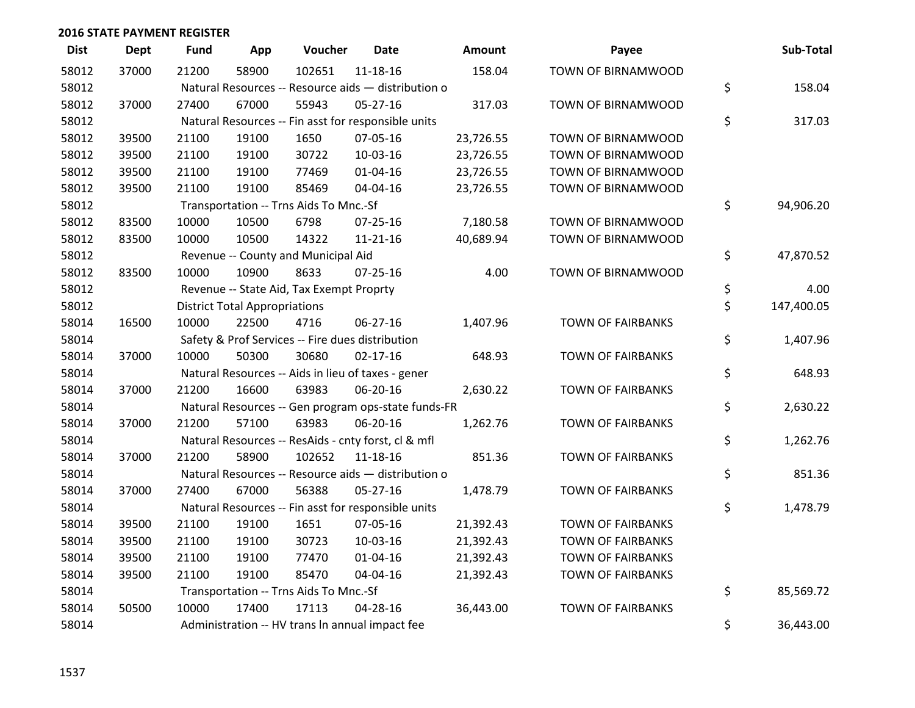| <b>Dist</b> | <b>Dept</b> | <b>Fund</b> | App                                  | Voucher                                             | Date           | <b>Amount</b> | Payee                    | Sub-Total        |
|-------------|-------------|-------------|--------------------------------------|-----------------------------------------------------|----------------|---------------|--------------------------|------------------|
| 58012       | 37000       | 21200       | 58900                                | 102651                                              | 11-18-16       | 158.04        | TOWN OF BIRNAMWOOD       |                  |
| 58012       |             |             |                                      | Natural Resources -- Resource aids - distribution o |                |               |                          | \$<br>158.04     |
| 58012       | 37000       | 27400       | 67000                                | 55943                                               | $05 - 27 - 16$ | 317.03        | TOWN OF BIRNAMWOOD       |                  |
| 58012       |             |             |                                      | Natural Resources -- Fin asst for responsible units |                |               |                          | \$<br>317.03     |
| 58012       | 39500       | 21100       | 19100                                | 1650                                                | 07-05-16       | 23,726.55     | TOWN OF BIRNAMWOOD       |                  |
| 58012       | 39500       | 21100       | 19100                                | 30722                                               | 10-03-16       | 23,726.55     | TOWN OF BIRNAMWOOD       |                  |
| 58012       | 39500       | 21100       | 19100                                | 77469                                               | $01 - 04 - 16$ | 23,726.55     | TOWN OF BIRNAMWOOD       |                  |
| 58012       | 39500       | 21100       | 19100                                | 85469                                               | 04-04-16       | 23,726.55     | TOWN OF BIRNAMWOOD       |                  |
| 58012       |             |             |                                      | Transportation -- Trns Aids To Mnc.-Sf              |                |               |                          | \$<br>94,906.20  |
| 58012       | 83500       | 10000       | 10500                                | 6798                                                | $07 - 25 - 16$ | 7,180.58      | TOWN OF BIRNAMWOOD       |                  |
| 58012       | 83500       | 10000       | 10500                                | 14322                                               | $11 - 21 - 16$ | 40,689.94     | TOWN OF BIRNAMWOOD       |                  |
| 58012       |             |             |                                      | Revenue -- County and Municipal Aid                 |                |               |                          | \$<br>47,870.52  |
| 58012       | 83500       | 10000       | 10900                                | 8633                                                | $07 - 25 - 16$ | 4.00          | TOWN OF BIRNAMWOOD       |                  |
| 58012       |             |             |                                      | Revenue -- State Aid, Tax Exempt Proprty            |                |               |                          | \$<br>4.00       |
| 58012       |             |             | <b>District Total Appropriations</b> |                                                     |                |               |                          | \$<br>147,400.05 |
| 58014       | 16500       | 10000       | 22500                                | 4716                                                | 06-27-16       | 1,407.96      | <b>TOWN OF FAIRBANKS</b> |                  |
| 58014       |             |             |                                      | Safety & Prof Services -- Fire dues distribution    |                |               |                          | \$<br>1,407.96   |
| 58014       | 37000       | 10000       | 50300                                | 30680                                               | $02 - 17 - 16$ | 648.93        | <b>TOWN OF FAIRBANKS</b> |                  |
| 58014       |             |             |                                      | Natural Resources -- Aids in lieu of taxes - gener  |                |               |                          | \$<br>648.93     |
| 58014       | 37000       | 21200       | 16600                                | 63983                                               | 06-20-16       | 2,630.22      | <b>TOWN OF FAIRBANKS</b> |                  |
| 58014       |             |             |                                      | Natural Resources -- Gen program ops-state funds-FR |                |               |                          | \$<br>2,630.22   |
| 58014       | 37000       | 21200       | 57100                                | 63983                                               | 06-20-16       | 1,262.76      | <b>TOWN OF FAIRBANKS</b> |                  |
| 58014       |             |             |                                      | Natural Resources -- ResAids - cnty forst, cl & mfl |                |               |                          | \$<br>1,262.76   |
| 58014       | 37000       | 21200       | 58900                                | 102652                                              | 11-18-16       | 851.36        | <b>TOWN OF FAIRBANKS</b> |                  |
| 58014       |             |             |                                      | Natural Resources -- Resource aids - distribution o |                |               |                          | \$<br>851.36     |
| 58014       | 37000       | 27400       | 67000                                | 56388                                               | $05 - 27 - 16$ | 1,478.79      | <b>TOWN OF FAIRBANKS</b> |                  |
| 58014       |             |             |                                      | Natural Resources -- Fin asst for responsible units |                |               |                          | \$<br>1,478.79   |
| 58014       | 39500       | 21100       | 19100                                | 1651                                                | 07-05-16       | 21,392.43     | <b>TOWN OF FAIRBANKS</b> |                  |
| 58014       | 39500       | 21100       | 19100                                | 30723                                               | 10-03-16       | 21,392.43     | <b>TOWN OF FAIRBANKS</b> |                  |
| 58014       | 39500       | 21100       | 19100                                | 77470                                               | $01 - 04 - 16$ | 21,392.43     | <b>TOWN OF FAIRBANKS</b> |                  |
| 58014       | 39500       | 21100       | 19100                                | 85470                                               | 04-04-16       | 21,392.43     | <b>TOWN OF FAIRBANKS</b> |                  |
| 58014       |             |             |                                      | Transportation -- Trns Aids To Mnc.-Sf              |                |               |                          | \$<br>85,569.72  |
| 58014       | 50500       | 10000       | 17400                                | 17113                                               | 04-28-16       | 36,443.00     | <b>TOWN OF FAIRBANKS</b> |                  |
| 58014       |             |             |                                      | Administration -- HV trans In annual impact fee     |                |               |                          | \$<br>36,443.00  |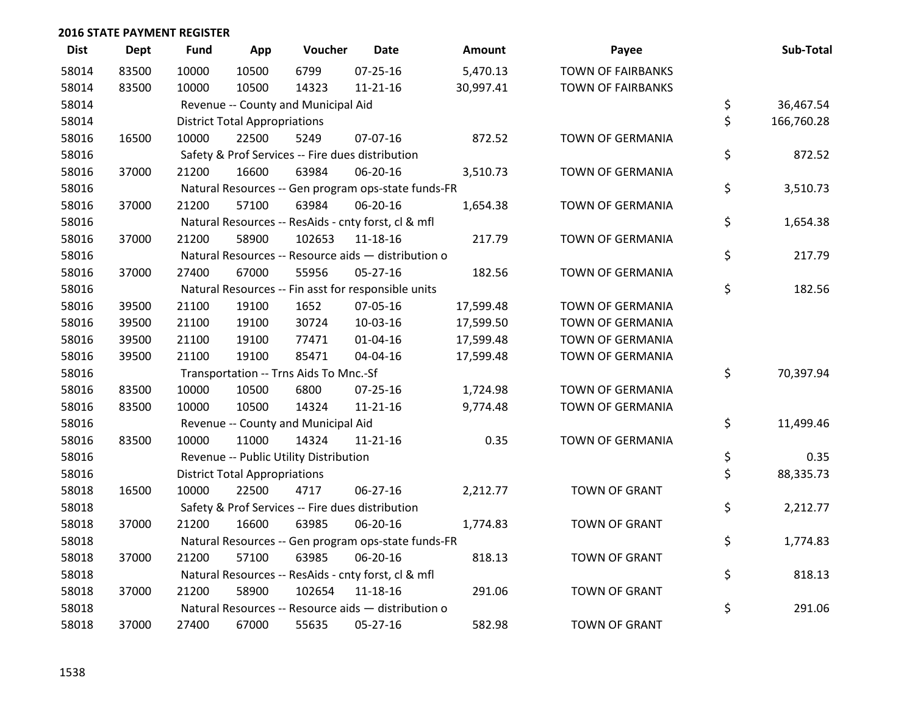| <b>Dist</b> | <b>Dept</b> | <b>Fund</b> | App                                  | Voucher                                             | <b>Date</b>    | <b>Amount</b> | Payee                    | Sub-Total        |
|-------------|-------------|-------------|--------------------------------------|-----------------------------------------------------|----------------|---------------|--------------------------|------------------|
| 58014       | 83500       | 10000       | 10500                                | 6799                                                | 07-25-16       | 5,470.13      | <b>TOWN OF FAIRBANKS</b> |                  |
| 58014       | 83500       | 10000       | 10500                                | 14323                                               | $11 - 21 - 16$ | 30,997.41     | <b>TOWN OF FAIRBANKS</b> |                  |
| 58014       |             |             |                                      | Revenue -- County and Municipal Aid                 |                |               |                          | \$<br>36,467.54  |
| 58014       |             |             | <b>District Total Appropriations</b> |                                                     |                |               |                          | \$<br>166,760.28 |
| 58016       | 16500       | 10000       | 22500                                | 5249                                                | 07-07-16       | 872.52        | TOWN OF GERMANIA         |                  |
| 58016       |             |             |                                      | Safety & Prof Services -- Fire dues distribution    |                |               |                          | \$<br>872.52     |
| 58016       | 37000       | 21200       | 16600                                | 63984                                               | 06-20-16       | 3,510.73      | <b>TOWN OF GERMANIA</b>  |                  |
| 58016       |             |             |                                      | Natural Resources -- Gen program ops-state funds-FR |                |               |                          | \$<br>3,510.73   |
| 58016       | 37000       | 21200       | 57100                                | 63984                                               | 06-20-16       | 1,654.38      | TOWN OF GERMANIA         |                  |
| 58016       |             |             |                                      | Natural Resources -- ResAids - cnty forst, cl & mfl |                |               |                          | \$<br>1,654.38   |
| 58016       | 37000       | 21200       | 58900                                | 102653                                              | 11-18-16       | 217.79        | <b>TOWN OF GERMANIA</b>  |                  |
| 58016       |             |             |                                      | Natural Resources -- Resource aids - distribution o |                |               |                          | \$<br>217.79     |
| 58016       | 37000       | 27400       | 67000                                | 55956                                               | 05-27-16       | 182.56        | TOWN OF GERMANIA         |                  |
| 58016       |             |             |                                      | Natural Resources -- Fin asst for responsible units |                |               |                          | \$<br>182.56     |
| 58016       | 39500       | 21100       | 19100                                | 1652                                                | 07-05-16       | 17,599.48     | TOWN OF GERMANIA         |                  |
| 58016       | 39500       | 21100       | 19100                                | 30724                                               | 10-03-16       | 17,599.50     | <b>TOWN OF GERMANIA</b>  |                  |
| 58016       | 39500       | 21100       | 19100                                | 77471                                               | 01-04-16       | 17,599.48     | <b>TOWN OF GERMANIA</b>  |                  |
| 58016       | 39500       | 21100       | 19100                                | 85471                                               | 04-04-16       | 17,599.48     | TOWN OF GERMANIA         |                  |
| 58016       |             |             |                                      | Transportation -- Trns Aids To Mnc.-Sf              |                |               |                          | \$<br>70,397.94  |
| 58016       | 83500       | 10000       | 10500                                | 6800                                                | 07-25-16       | 1,724.98      | TOWN OF GERMANIA         |                  |
| 58016       | 83500       | 10000       | 10500                                | 14324                                               | $11 - 21 - 16$ | 9,774.48      | <b>TOWN OF GERMANIA</b>  |                  |
| 58016       |             |             |                                      | Revenue -- County and Municipal Aid                 |                |               |                          | \$<br>11,499.46  |
| 58016       | 83500       | 10000       | 11000                                | 14324                                               | $11 - 21 - 16$ | 0.35          | <b>TOWN OF GERMANIA</b>  |                  |
| 58016       |             |             |                                      | Revenue -- Public Utility Distribution              |                |               |                          | \$<br>0.35       |
| 58016       |             |             | <b>District Total Appropriations</b> |                                                     |                |               |                          | \$<br>88,335.73  |
| 58018       | 16500       | 10000       | 22500                                | 4717                                                | 06-27-16       | 2,212.77      | <b>TOWN OF GRANT</b>     |                  |
| 58018       |             |             |                                      | Safety & Prof Services -- Fire dues distribution    |                |               |                          | \$<br>2,212.77   |
| 58018       | 37000       | 21200       | 16600                                | 63985                                               | 06-20-16       | 1,774.83      | <b>TOWN OF GRANT</b>     |                  |
| 58018       |             |             |                                      | Natural Resources -- Gen program ops-state funds-FR |                |               |                          | \$<br>1,774.83   |
| 58018       | 37000       | 21200       | 57100                                | 63985                                               | 06-20-16       | 818.13        | <b>TOWN OF GRANT</b>     |                  |
| 58018       |             |             |                                      | Natural Resources -- ResAids - cnty forst, cl & mfl |                |               |                          | \$<br>818.13     |
| 58018       | 37000       | 21200       | 58900                                | 102654                                              | 11-18-16       | 291.06        | <b>TOWN OF GRANT</b>     |                  |
| 58018       |             |             |                                      | Natural Resources -- Resource aids - distribution o |                |               |                          | \$<br>291.06     |
| 58018       | 37000       | 27400       | 67000                                | 55635                                               | 05-27-16       | 582.98        | <b>TOWN OF GRANT</b>     |                  |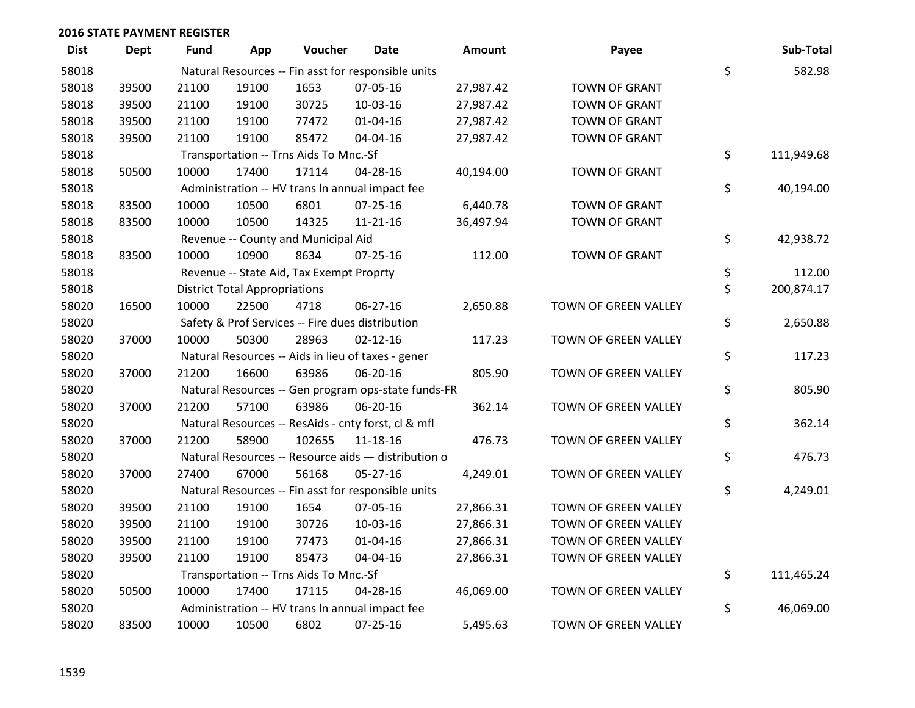| <b>Dist</b> | <b>Dept</b> | Fund  | App                                  | Voucher                                  | Date                                                | <b>Amount</b> | Payee                | Sub-Total        |
|-------------|-------------|-------|--------------------------------------|------------------------------------------|-----------------------------------------------------|---------------|----------------------|------------------|
| 58018       |             |       |                                      |                                          | Natural Resources -- Fin asst for responsible units |               |                      | \$<br>582.98     |
| 58018       | 39500       | 21100 | 19100                                | 1653                                     | 07-05-16                                            | 27,987.42     | <b>TOWN OF GRANT</b> |                  |
| 58018       | 39500       | 21100 | 19100                                | 30725                                    | 10-03-16                                            | 27,987.42     | <b>TOWN OF GRANT</b> |                  |
| 58018       | 39500       | 21100 | 19100                                | 77472                                    | $01 - 04 - 16$                                      | 27,987.42     | <b>TOWN OF GRANT</b> |                  |
| 58018       | 39500       | 21100 | 19100                                | 85472                                    | 04-04-16                                            | 27,987.42     | <b>TOWN OF GRANT</b> |                  |
| 58018       |             |       |                                      | Transportation -- Trns Aids To Mnc.-Sf   |                                                     |               |                      | \$<br>111,949.68 |
| 58018       | 50500       | 10000 | 17400                                | 17114                                    | $04 - 28 - 16$                                      | 40,194.00     | <b>TOWN OF GRANT</b> |                  |
| 58018       |             |       |                                      |                                          | Administration -- HV trans In annual impact fee     |               |                      | \$<br>40,194.00  |
| 58018       | 83500       | 10000 | 10500                                | 6801                                     | $07 - 25 - 16$                                      | 6,440.78      | <b>TOWN OF GRANT</b> |                  |
| 58018       | 83500       | 10000 | 10500                                | 14325                                    | $11 - 21 - 16$                                      | 36,497.94     | <b>TOWN OF GRANT</b> |                  |
| 58018       |             |       |                                      | Revenue -- County and Municipal Aid      |                                                     |               |                      | \$<br>42,938.72  |
| 58018       | 83500       | 10000 | 10900                                | 8634                                     | $07 - 25 - 16$                                      | 112.00        | <b>TOWN OF GRANT</b> |                  |
| 58018       |             |       |                                      | Revenue -- State Aid, Tax Exempt Proprty |                                                     |               |                      | \$<br>112.00     |
| 58018       |             |       | <b>District Total Appropriations</b> |                                          |                                                     |               |                      | \$<br>200,874.17 |
| 58020       | 16500       | 10000 | 22500                                | 4718                                     | 06-27-16                                            | 2,650.88      | TOWN OF GREEN VALLEY |                  |
| 58020       |             |       |                                      |                                          | Safety & Prof Services -- Fire dues distribution    |               |                      | \$<br>2,650.88   |
| 58020       | 37000       | 10000 | 50300                                | 28963                                    | $02 - 12 - 16$                                      | 117.23        | TOWN OF GREEN VALLEY |                  |
| 58020       |             |       |                                      |                                          | Natural Resources -- Aids in lieu of taxes - gener  |               |                      | \$<br>117.23     |
| 58020       | 37000       | 21200 | 16600                                | 63986                                    | 06-20-16                                            | 805.90        | TOWN OF GREEN VALLEY |                  |
| 58020       |             |       |                                      |                                          | Natural Resources -- Gen program ops-state funds-FR |               |                      | \$<br>805.90     |
| 58020       | 37000       | 21200 | 57100                                | 63986                                    | 06-20-16                                            | 362.14        | TOWN OF GREEN VALLEY |                  |
| 58020       |             |       |                                      |                                          | Natural Resources -- ResAids - cnty forst, cl & mfl |               |                      | \$<br>362.14     |
| 58020       | 37000       | 21200 | 58900                                | 102655                                   | 11-18-16                                            | 476.73        | TOWN OF GREEN VALLEY |                  |
| 58020       |             |       |                                      |                                          | Natural Resources -- Resource aids - distribution o |               |                      | \$<br>476.73     |
| 58020       | 37000       | 27400 | 67000                                | 56168                                    | $05 - 27 - 16$                                      | 4,249.01      | TOWN OF GREEN VALLEY |                  |
| 58020       |             |       |                                      |                                          | Natural Resources -- Fin asst for responsible units |               |                      | \$<br>4,249.01   |
| 58020       | 39500       | 21100 | 19100                                | 1654                                     | 07-05-16                                            | 27,866.31     | TOWN OF GREEN VALLEY |                  |
| 58020       | 39500       | 21100 | 19100                                | 30726                                    | 10-03-16                                            | 27,866.31     | TOWN OF GREEN VALLEY |                  |
| 58020       | 39500       | 21100 | 19100                                | 77473                                    | $01 - 04 - 16$                                      | 27,866.31     | TOWN OF GREEN VALLEY |                  |
| 58020       | 39500       | 21100 | 19100                                | 85473                                    | 04-04-16                                            | 27,866.31     | TOWN OF GREEN VALLEY |                  |
| 58020       |             |       |                                      | Transportation -- Trns Aids To Mnc.-Sf   |                                                     |               |                      | \$<br>111,465.24 |
| 58020       | 50500       | 10000 | 17400                                | 17115                                    | 04-28-16                                            | 46,069.00     | TOWN OF GREEN VALLEY |                  |
| 58020       |             |       |                                      |                                          | Administration -- HV trans In annual impact fee     |               |                      | \$<br>46,069.00  |
| 58020       | 83500       | 10000 | 10500                                | 6802                                     | 07-25-16                                            | 5,495.63      | TOWN OF GREEN VALLEY |                  |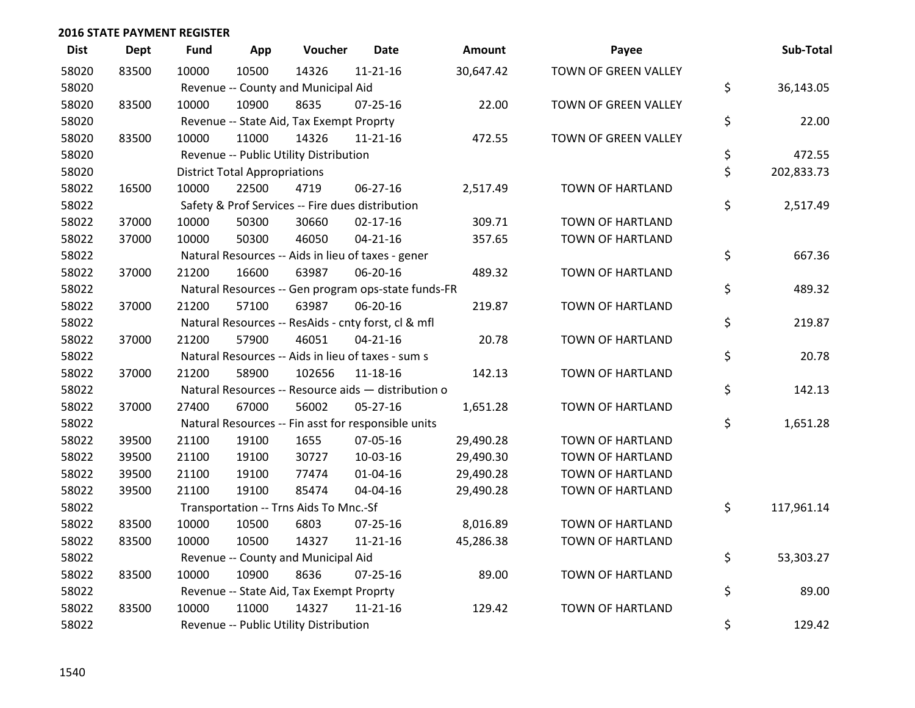| <b>Dist</b> | <b>Dept</b> | Fund  | App                                  | Voucher                                             | <b>Date</b>    | <b>Amount</b> | Payee                   | Sub-Total        |
|-------------|-------------|-------|--------------------------------------|-----------------------------------------------------|----------------|---------------|-------------------------|------------------|
| 58020       | 83500       | 10000 | 10500                                | 14326                                               | $11 - 21 - 16$ | 30,647.42     | TOWN OF GREEN VALLEY    |                  |
| 58020       |             |       |                                      | Revenue -- County and Municipal Aid                 |                |               |                         | \$<br>36,143.05  |
| 58020       | 83500       | 10000 | 10900                                | 8635                                                | $07 - 25 - 16$ | 22.00         | TOWN OF GREEN VALLEY    |                  |
| 58020       |             |       |                                      | Revenue -- State Aid, Tax Exempt Proprty            |                |               |                         | \$<br>22.00      |
| 58020       | 83500       | 10000 | 11000                                | 14326                                               | 11-21-16       | 472.55        | TOWN OF GREEN VALLEY    |                  |
| 58020       |             |       |                                      | Revenue -- Public Utility Distribution              |                |               |                         | \$<br>472.55     |
| 58020       |             |       | <b>District Total Appropriations</b> |                                                     |                |               |                         | \$<br>202,833.73 |
| 58022       | 16500       | 10000 | 22500                                | 4719                                                | 06-27-16       | 2,517.49      | TOWN OF HARTLAND        |                  |
| 58022       |             |       |                                      | Safety & Prof Services -- Fire dues distribution    |                |               |                         | \$<br>2,517.49   |
| 58022       | 37000       | 10000 | 50300                                | 30660                                               | $02 - 17 - 16$ | 309.71        | TOWN OF HARTLAND        |                  |
| 58022       | 37000       | 10000 | 50300                                | 46050                                               | $04 - 21 - 16$ | 357.65        | TOWN OF HARTLAND        |                  |
| 58022       |             |       |                                      | Natural Resources -- Aids in lieu of taxes - gener  |                |               |                         | \$<br>667.36     |
| 58022       | 37000       | 21200 | 16600                                | 63987                                               | 06-20-16       | 489.32        | TOWN OF HARTLAND        |                  |
| 58022       |             |       |                                      | Natural Resources -- Gen program ops-state funds-FR |                |               |                         | \$<br>489.32     |
| 58022       | 37000       | 21200 | 57100                                | 63987                                               | 06-20-16       | 219.87        | TOWN OF HARTLAND        |                  |
| 58022       |             |       |                                      | Natural Resources -- ResAids - cnty forst, cl & mfl |                |               |                         | \$<br>219.87     |
| 58022       | 37000       | 21200 | 57900                                | 46051                                               | $04 - 21 - 16$ | 20.78         | TOWN OF HARTLAND        |                  |
| 58022       |             |       |                                      | Natural Resources -- Aids in lieu of taxes - sum s  |                |               |                         | \$<br>20.78      |
| 58022       | 37000       | 21200 | 58900                                | 102656                                              | 11-18-16       | 142.13        | TOWN OF HARTLAND        |                  |
| 58022       |             |       |                                      | Natural Resources -- Resource aids - distribution o |                |               |                         | \$<br>142.13     |
| 58022       | 37000       | 27400 | 67000                                | 56002                                               | 05-27-16       | 1,651.28      | TOWN OF HARTLAND        |                  |
| 58022       |             |       |                                      | Natural Resources -- Fin asst for responsible units |                |               |                         | \$<br>1,651.28   |
| 58022       | 39500       | 21100 | 19100                                | 1655                                                | 07-05-16       | 29,490.28     | TOWN OF HARTLAND        |                  |
| 58022       | 39500       | 21100 | 19100                                | 30727                                               | 10-03-16       | 29,490.30     | TOWN OF HARTLAND        |                  |
| 58022       | 39500       | 21100 | 19100                                | 77474                                               | $01 - 04 - 16$ | 29,490.28     | <b>TOWN OF HARTLAND</b> |                  |
| 58022       | 39500       | 21100 | 19100                                | 85474                                               | 04-04-16       | 29,490.28     | TOWN OF HARTLAND        |                  |
| 58022       |             |       |                                      | Transportation -- Trns Aids To Mnc.-Sf              |                |               |                         | \$<br>117,961.14 |
| 58022       | 83500       | 10000 | 10500                                | 6803                                                | $07 - 25 - 16$ | 8,016.89      | <b>TOWN OF HARTLAND</b> |                  |
| 58022       | 83500       | 10000 | 10500                                | 14327                                               | $11 - 21 - 16$ | 45,286.38     | TOWN OF HARTLAND        |                  |
| 58022       |             |       |                                      | Revenue -- County and Municipal Aid                 |                |               |                         | \$<br>53,303.27  |
| 58022       | 83500       | 10000 | 10900                                | 8636                                                | 07-25-16       | 89.00         | TOWN OF HARTLAND        |                  |
| 58022       |             |       |                                      | Revenue -- State Aid, Tax Exempt Proprty            |                |               |                         | \$<br>89.00      |
| 58022       | 83500       | 10000 | 11000                                | 14327                                               | $11 - 21 - 16$ | 129.42        | <b>TOWN OF HARTLAND</b> |                  |
| 58022       |             |       |                                      | Revenue -- Public Utility Distribution              |                |               |                         | \$<br>129.42     |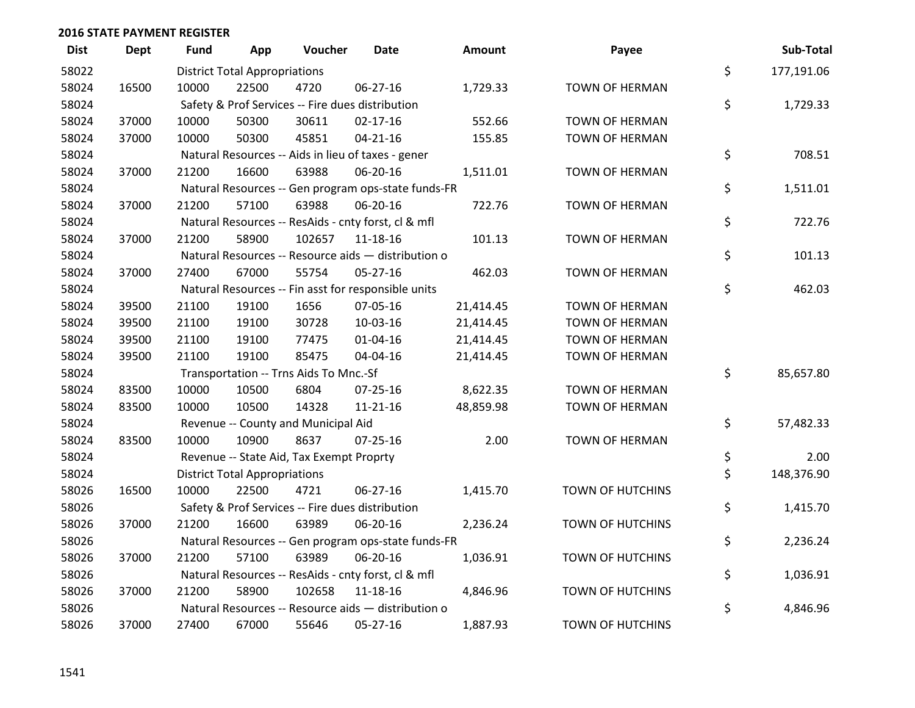| <b>Dist</b> | <b>Dept</b> | <b>Fund</b> | App                                  | Voucher                                             | <b>Date</b>    | <b>Amount</b> | Payee                   | Sub-Total        |
|-------------|-------------|-------------|--------------------------------------|-----------------------------------------------------|----------------|---------------|-------------------------|------------------|
| 58022       |             |             | <b>District Total Appropriations</b> |                                                     |                |               |                         | \$<br>177,191.06 |
| 58024       | 16500       | 10000       | 22500                                | 4720                                                | 06-27-16       | 1,729.33      | TOWN OF HERMAN          |                  |
| 58024       |             |             |                                      | Safety & Prof Services -- Fire dues distribution    |                |               |                         | \$<br>1,729.33   |
| 58024       | 37000       | 10000       | 50300                                | 30611                                               | $02 - 17 - 16$ | 552.66        | <b>TOWN OF HERMAN</b>   |                  |
| 58024       | 37000       | 10000       | 50300                                | 45851                                               | $04 - 21 - 16$ | 155.85        | TOWN OF HERMAN          |                  |
| 58024       |             |             |                                      | Natural Resources -- Aids in lieu of taxes - gener  |                |               |                         | \$<br>708.51     |
| 58024       | 37000       | 21200       | 16600                                | 63988                                               | 06-20-16       | 1,511.01      | <b>TOWN OF HERMAN</b>   |                  |
| 58024       |             |             |                                      | Natural Resources -- Gen program ops-state funds-FR |                |               |                         | \$<br>1,511.01   |
| 58024       | 37000       | 21200       | 57100                                | 63988                                               | 06-20-16       | 722.76        | TOWN OF HERMAN          |                  |
| 58024       |             |             |                                      | Natural Resources -- ResAids - cnty forst, cl & mfl |                |               |                         | \$<br>722.76     |
| 58024       | 37000       | 21200       | 58900                                | 102657                                              | 11-18-16       | 101.13        | <b>TOWN OF HERMAN</b>   |                  |
| 58024       |             |             |                                      | Natural Resources -- Resource aids - distribution o |                |               |                         | \$<br>101.13     |
| 58024       | 37000       | 27400       | 67000                                | 55754                                               | 05-27-16       | 462.03        | <b>TOWN OF HERMAN</b>   |                  |
| 58024       |             |             |                                      | Natural Resources -- Fin asst for responsible units |                |               |                         | \$<br>462.03     |
| 58024       | 39500       | 21100       | 19100                                | 1656                                                | 07-05-16       | 21,414.45     | <b>TOWN OF HERMAN</b>   |                  |
| 58024       | 39500       | 21100       | 19100                                | 30728                                               | 10-03-16       | 21,414.45     | <b>TOWN OF HERMAN</b>   |                  |
| 58024       | 39500       | 21100       | 19100                                | 77475                                               | $01 - 04 - 16$ | 21,414.45     | TOWN OF HERMAN          |                  |
| 58024       | 39500       | 21100       | 19100                                | 85475                                               | 04-04-16       | 21,414.45     | <b>TOWN OF HERMAN</b>   |                  |
| 58024       |             |             |                                      | Transportation -- Trns Aids To Mnc.-Sf              |                |               |                         | \$<br>85,657.80  |
| 58024       | 83500       | 10000       | 10500                                | 6804                                                | 07-25-16       | 8,622.35      | <b>TOWN OF HERMAN</b>   |                  |
| 58024       | 83500       | 10000       | 10500                                | 14328                                               | $11 - 21 - 16$ | 48,859.98     | <b>TOWN OF HERMAN</b>   |                  |
| 58024       |             |             |                                      | Revenue -- County and Municipal Aid                 |                |               |                         | \$<br>57,482.33  |
| 58024       | 83500       | 10000       | 10900                                | 8637                                                | $07 - 25 - 16$ | 2.00          | <b>TOWN OF HERMAN</b>   |                  |
| 58024       |             |             |                                      | Revenue -- State Aid, Tax Exempt Proprty            |                |               |                         | \$<br>2.00       |
| 58024       |             |             | <b>District Total Appropriations</b> |                                                     |                |               |                         | \$<br>148,376.90 |
| 58026       | 16500       | 10000       | 22500                                | 4721                                                | $06 - 27 - 16$ | 1,415.70      | TOWN OF HUTCHINS        |                  |
| 58026       |             |             |                                      | Safety & Prof Services -- Fire dues distribution    |                |               |                         | \$<br>1,415.70   |
| 58026       | 37000       | 21200       | 16600                                | 63989                                               | 06-20-16       | 2,236.24      | TOWN OF HUTCHINS        |                  |
| 58026       |             |             |                                      | Natural Resources -- Gen program ops-state funds-FR |                |               |                         | \$<br>2,236.24   |
| 58026       | 37000       | 21200       | 57100                                | 63989                                               | 06-20-16       | 1,036.91      | TOWN OF HUTCHINS        |                  |
| 58026       |             |             |                                      | Natural Resources -- ResAids - cnty forst, cl & mfl |                |               |                         | \$<br>1,036.91   |
| 58026       | 37000       | 21200       | 58900                                | 102658                                              | 11-18-16       | 4,846.96      | TOWN OF HUTCHINS        |                  |
| 58026       |             |             |                                      | Natural Resources -- Resource aids - distribution o |                |               |                         | \$<br>4,846.96   |
| 58026       | 37000       | 27400       | 67000                                | 55646                                               | 05-27-16       | 1,887.93      | <b>TOWN OF HUTCHINS</b> |                  |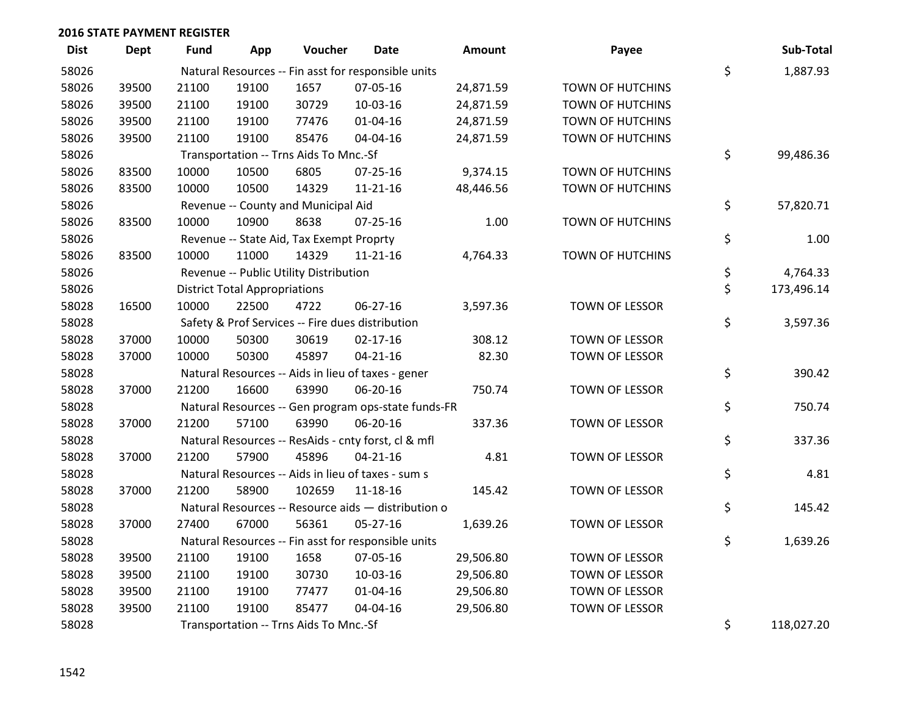| <b>Dist</b> | <b>Dept</b> | Fund  | App                                  | Voucher                                  | <b>Date</b>                                         | <b>Amount</b> | Payee                   | Sub-Total        |
|-------------|-------------|-------|--------------------------------------|------------------------------------------|-----------------------------------------------------|---------------|-------------------------|------------------|
| 58026       |             |       |                                      |                                          | Natural Resources -- Fin asst for responsible units |               |                         | \$<br>1,887.93   |
| 58026       | 39500       | 21100 | 19100                                | 1657                                     | 07-05-16                                            | 24,871.59     | <b>TOWN OF HUTCHINS</b> |                  |
| 58026       | 39500       | 21100 | 19100                                | 30729                                    | 10-03-16                                            | 24,871.59     | <b>TOWN OF HUTCHINS</b> |                  |
| 58026       | 39500       | 21100 | 19100                                | 77476                                    | $01 - 04 - 16$                                      | 24,871.59     | <b>TOWN OF HUTCHINS</b> |                  |
| 58026       | 39500       | 21100 | 19100                                | 85476                                    | 04-04-16                                            | 24,871.59     | <b>TOWN OF HUTCHINS</b> |                  |
| 58026       |             |       |                                      | Transportation -- Trns Aids To Mnc.-Sf   |                                                     |               |                         | \$<br>99,486.36  |
| 58026       | 83500       | 10000 | 10500                                | 6805                                     | $07 - 25 - 16$                                      | 9,374.15      | <b>TOWN OF HUTCHINS</b> |                  |
| 58026       | 83500       | 10000 | 10500                                | 14329                                    | $11 - 21 - 16$                                      | 48,446.56     | <b>TOWN OF HUTCHINS</b> |                  |
| 58026       |             |       |                                      | Revenue -- County and Municipal Aid      |                                                     |               |                         | \$<br>57,820.71  |
| 58026       | 83500       | 10000 | 10900                                | 8638                                     | $07 - 25 - 16$                                      | 1.00          | TOWN OF HUTCHINS        |                  |
| 58026       |             |       |                                      | Revenue -- State Aid, Tax Exempt Proprty |                                                     |               |                         | \$<br>1.00       |
| 58026       | 83500       | 10000 | 11000                                | 14329                                    | $11 - 21 - 16$                                      | 4,764.33      | <b>TOWN OF HUTCHINS</b> |                  |
| 58026       |             |       |                                      | Revenue -- Public Utility Distribution   |                                                     |               |                         | \$<br>4,764.33   |
| 58026       |             |       | <b>District Total Appropriations</b> |                                          |                                                     |               |                         | \$<br>173,496.14 |
| 58028       | 16500       | 10000 | 22500                                | 4722                                     | 06-27-16                                            | 3,597.36      | TOWN OF LESSOR          |                  |
| 58028       |             |       |                                      |                                          | Safety & Prof Services -- Fire dues distribution    |               |                         | \$<br>3,597.36   |
| 58028       | 37000       | 10000 | 50300                                | 30619                                    | $02 - 17 - 16$                                      | 308.12        | TOWN OF LESSOR          |                  |
| 58028       | 37000       | 10000 | 50300                                | 45897                                    | $04 - 21 - 16$                                      | 82.30         | TOWN OF LESSOR          |                  |
| 58028       |             |       |                                      |                                          | Natural Resources -- Aids in lieu of taxes - gener  |               |                         | \$<br>390.42     |
| 58028       | 37000       | 21200 | 16600                                | 63990                                    | 06-20-16                                            | 750.74        | <b>TOWN OF LESSOR</b>   |                  |
| 58028       |             |       |                                      |                                          | Natural Resources -- Gen program ops-state funds-FR |               |                         | \$<br>750.74     |
| 58028       | 37000       | 21200 | 57100                                | 63990                                    | 06-20-16                                            | 337.36        | TOWN OF LESSOR          |                  |
| 58028       |             |       |                                      |                                          | Natural Resources -- ResAids - cnty forst, cl & mfl |               |                         | \$<br>337.36     |
| 58028       | 37000       | 21200 | 57900                                | 45896                                    | $04 - 21 - 16$                                      | 4.81          | TOWN OF LESSOR          |                  |
| 58028       |             |       |                                      |                                          | Natural Resources -- Aids in lieu of taxes - sum s  |               |                         | \$<br>4.81       |
| 58028       | 37000       | 21200 | 58900                                | 102659                                   | 11-18-16                                            | 145.42        | TOWN OF LESSOR          |                  |
| 58028       |             |       |                                      |                                          | Natural Resources -- Resource aids - distribution o |               |                         | \$<br>145.42     |
| 58028       | 37000       | 27400 | 67000                                | 56361                                    | $05 - 27 - 16$                                      | 1,639.26      | TOWN OF LESSOR          |                  |
| 58028       |             |       |                                      |                                          | Natural Resources -- Fin asst for responsible units |               |                         | \$<br>1,639.26   |
| 58028       | 39500       | 21100 | 19100                                | 1658                                     | 07-05-16                                            | 29,506.80     | <b>TOWN OF LESSOR</b>   |                  |
| 58028       | 39500       | 21100 | 19100                                | 30730                                    | 10-03-16                                            | 29,506.80     | TOWN OF LESSOR          |                  |
| 58028       | 39500       | 21100 | 19100                                | 77477                                    | $01 - 04 - 16$                                      | 29,506.80     | TOWN OF LESSOR          |                  |
| 58028       | 39500       | 21100 | 19100                                | 85477                                    | 04-04-16                                            | 29,506.80     | TOWN OF LESSOR          |                  |
| 58028       |             |       |                                      | Transportation -- Trns Aids To Mnc.-Sf   |                                                     |               |                         | \$<br>118,027.20 |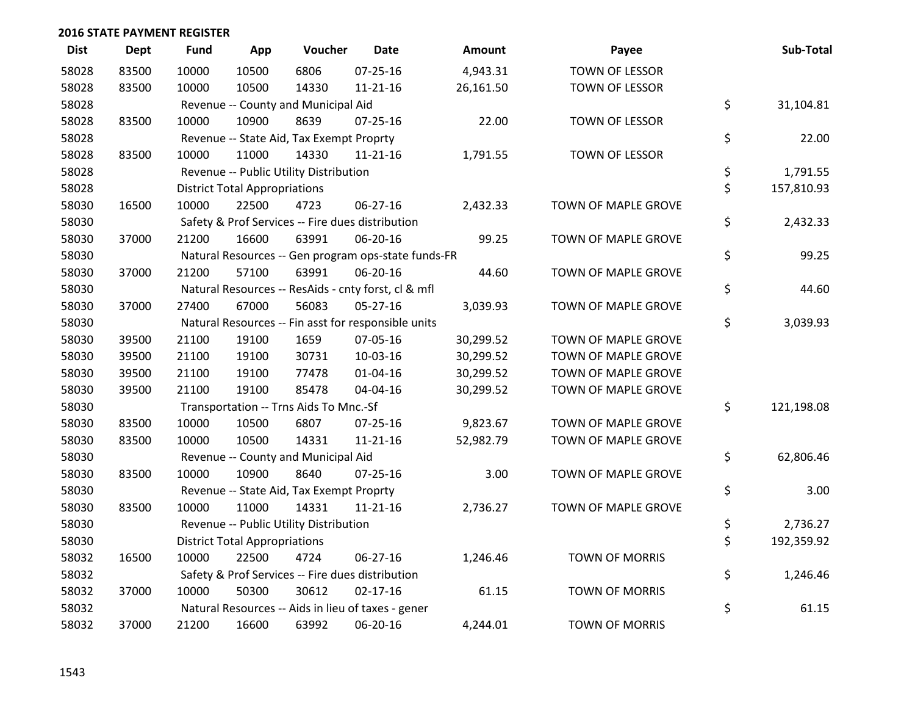| <b>Dist</b> | Dept  | <b>Fund</b> | App                                  | Voucher                                  | Date                                                | <b>Amount</b> | Payee                      | Sub-Total        |
|-------------|-------|-------------|--------------------------------------|------------------------------------------|-----------------------------------------------------|---------------|----------------------------|------------------|
| 58028       | 83500 | 10000       | 10500                                | 6806                                     | $07 - 25 - 16$                                      | 4,943.31      | TOWN OF LESSOR             |                  |
| 58028       | 83500 | 10000       | 10500                                | 14330                                    | $11 - 21 - 16$                                      | 26,161.50     | TOWN OF LESSOR             |                  |
| 58028       |       |             |                                      | Revenue -- County and Municipal Aid      |                                                     |               |                            | \$<br>31,104.81  |
| 58028       | 83500 | 10000       | 10900                                | 8639                                     | $07 - 25 - 16$                                      | 22.00         | TOWN OF LESSOR             |                  |
| 58028       |       |             |                                      | Revenue -- State Aid, Tax Exempt Proprty |                                                     |               |                            | \$<br>22.00      |
| 58028       | 83500 | 10000       | 11000                                | 14330                                    | $11 - 21 - 16$                                      | 1,791.55      | TOWN OF LESSOR             |                  |
| 58028       |       |             |                                      | Revenue -- Public Utility Distribution   |                                                     |               |                            | \$<br>1,791.55   |
| 58028       |       |             | <b>District Total Appropriations</b> |                                          |                                                     |               |                            | \$<br>157,810.93 |
| 58030       | 16500 | 10000       | 22500                                | 4723                                     | 06-27-16                                            | 2,432.33      | TOWN OF MAPLE GROVE        |                  |
| 58030       |       |             |                                      |                                          | Safety & Prof Services -- Fire dues distribution    |               |                            | \$<br>2,432.33   |
| 58030       | 37000 | 21200       | 16600                                | 63991                                    | 06-20-16                                            | 99.25         | TOWN OF MAPLE GROVE        |                  |
| 58030       |       |             |                                      |                                          | Natural Resources -- Gen program ops-state funds-FR |               |                            | \$<br>99.25      |
| 58030       | 37000 | 21200       | 57100                                | 63991                                    | 06-20-16                                            | 44.60         | <b>TOWN OF MAPLE GROVE</b> |                  |
| 58030       |       |             |                                      |                                          | Natural Resources -- ResAids - cnty forst, cl & mfl |               |                            | \$<br>44.60      |
| 58030       | 37000 | 27400       | 67000                                | 56083                                    | $05 - 27 - 16$                                      | 3,039.93      | TOWN OF MAPLE GROVE        |                  |
| 58030       |       |             |                                      |                                          | Natural Resources -- Fin asst for responsible units |               |                            | \$<br>3,039.93   |
| 58030       | 39500 | 21100       | 19100                                | 1659                                     | 07-05-16                                            | 30,299.52     | TOWN OF MAPLE GROVE        |                  |
| 58030       | 39500 | 21100       | 19100                                | 30731                                    | 10-03-16                                            | 30,299.52     | TOWN OF MAPLE GROVE        |                  |
| 58030       | 39500 | 21100       | 19100                                | 77478                                    | $01 - 04 - 16$                                      | 30,299.52     | TOWN OF MAPLE GROVE        |                  |
| 58030       | 39500 | 21100       | 19100                                | 85478                                    | 04-04-16                                            | 30,299.52     | TOWN OF MAPLE GROVE        |                  |
| 58030       |       |             |                                      | Transportation -- Trns Aids To Mnc.-Sf   |                                                     |               |                            | \$<br>121,198.08 |
| 58030       | 83500 | 10000       | 10500                                | 6807                                     | $07 - 25 - 16$                                      | 9,823.67      | TOWN OF MAPLE GROVE        |                  |
| 58030       | 83500 | 10000       | 10500                                | 14331                                    | $11 - 21 - 16$                                      | 52,982.79     | TOWN OF MAPLE GROVE        |                  |
| 58030       |       |             |                                      | Revenue -- County and Municipal Aid      |                                                     |               |                            | \$<br>62,806.46  |
| 58030       | 83500 | 10000       | 10900                                | 8640                                     | $07 - 25 - 16$                                      | 3.00          | TOWN OF MAPLE GROVE        |                  |
| 58030       |       |             |                                      | Revenue -- State Aid, Tax Exempt Proprty |                                                     |               |                            | \$<br>3.00       |
| 58030       | 83500 | 10000       | 11000                                | 14331                                    | $11 - 21 - 16$                                      | 2,736.27      | TOWN OF MAPLE GROVE        |                  |
| 58030       |       |             |                                      | Revenue -- Public Utility Distribution   |                                                     |               |                            | \$<br>2,736.27   |
| 58030       |       |             | <b>District Total Appropriations</b> |                                          |                                                     |               |                            | \$<br>192,359.92 |
| 58032       | 16500 | 10000       | 22500                                | 4724                                     | $06 - 27 - 16$                                      | 1,246.46      | <b>TOWN OF MORRIS</b>      |                  |
| 58032       |       |             |                                      |                                          | Safety & Prof Services -- Fire dues distribution    |               |                            | \$<br>1,246.46   |
| 58032       | 37000 | 10000       | 50300                                | 30612                                    | $02 - 17 - 16$                                      | 61.15         | <b>TOWN OF MORRIS</b>      |                  |
| 58032       |       |             |                                      |                                          | Natural Resources -- Aids in lieu of taxes - gener  |               |                            | \$<br>61.15      |
| 58032       | 37000 | 21200       | 16600                                | 63992                                    | 06-20-16                                            | 4,244.01      | <b>TOWN OF MORRIS</b>      |                  |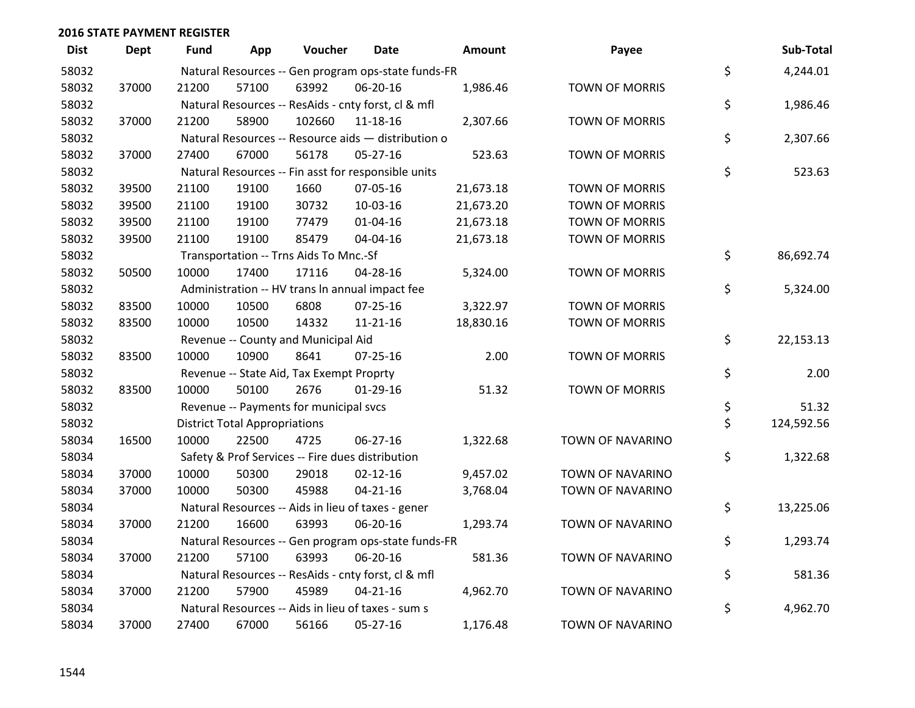| <b>Dist</b> | <b>Dept</b> | Fund  | App                                  | Voucher                                             | <b>Date</b>    | Amount    | Payee                 | Sub-Total        |
|-------------|-------------|-------|--------------------------------------|-----------------------------------------------------|----------------|-----------|-----------------------|------------------|
| 58032       |             |       |                                      | Natural Resources -- Gen program ops-state funds-FR |                |           |                       | \$<br>4,244.01   |
| 58032       | 37000       | 21200 | 57100                                | 63992                                               | 06-20-16       | 1,986.46  | <b>TOWN OF MORRIS</b> |                  |
| 58032       |             |       |                                      | Natural Resources -- ResAids - cnty forst, cl & mfl |                |           |                       | \$<br>1,986.46   |
| 58032       | 37000       | 21200 | 58900                                | 102660                                              | 11-18-16       | 2,307.66  | <b>TOWN OF MORRIS</b> |                  |
| 58032       |             |       |                                      | Natural Resources -- Resource aids - distribution o |                |           |                       | \$<br>2,307.66   |
| 58032       | 37000       | 27400 | 67000                                | 56178                                               | $05 - 27 - 16$ | 523.63    | TOWN OF MORRIS        |                  |
| 58032       |             |       |                                      | Natural Resources -- Fin asst for responsible units |                |           |                       | \$<br>523.63     |
| 58032       | 39500       | 21100 | 19100                                | 1660                                                | 07-05-16       | 21,673.18 | <b>TOWN OF MORRIS</b> |                  |
| 58032       | 39500       | 21100 | 19100                                | 30732                                               | 10-03-16       | 21,673.20 | <b>TOWN OF MORRIS</b> |                  |
| 58032       | 39500       | 21100 | 19100                                | 77479                                               | $01 - 04 - 16$ | 21,673.18 | <b>TOWN OF MORRIS</b> |                  |
| 58032       | 39500       | 21100 | 19100                                | 85479                                               | 04-04-16       | 21,673.18 | <b>TOWN OF MORRIS</b> |                  |
| 58032       |             |       |                                      | Transportation -- Trns Aids To Mnc.-Sf              |                |           |                       | \$<br>86,692.74  |
| 58032       | 50500       | 10000 | 17400                                | 17116                                               | 04-28-16       | 5,324.00  | <b>TOWN OF MORRIS</b> |                  |
| 58032       |             |       |                                      | Administration -- HV trans In annual impact fee     |                |           |                       | \$<br>5,324.00   |
| 58032       | 83500       | 10000 | 10500                                | 6808                                                | 07-25-16       | 3,322.97  | <b>TOWN OF MORRIS</b> |                  |
| 58032       | 83500       | 10000 | 10500                                | 14332                                               | $11 - 21 - 16$ | 18,830.16 | TOWN OF MORRIS        |                  |
| 58032       |             |       |                                      | Revenue -- County and Municipal Aid                 |                |           |                       | \$<br>22,153.13  |
| 58032       | 83500       | 10000 | 10900                                | 8641                                                | 07-25-16       | 2.00      | <b>TOWN OF MORRIS</b> |                  |
| 58032       |             |       |                                      | Revenue -- State Aid, Tax Exempt Proprty            |                |           |                       | \$<br>2.00       |
| 58032       | 83500       | 10000 | 50100                                | 2676                                                | $01-29-16$     | 51.32     | <b>TOWN OF MORRIS</b> |                  |
| 58032       |             |       |                                      | Revenue -- Payments for municipal svcs              |                |           |                       | \$<br>51.32      |
| 58032       |             |       | <b>District Total Appropriations</b> |                                                     |                |           |                       | \$<br>124,592.56 |
| 58034       | 16500       | 10000 | 22500                                | 4725                                                | 06-27-16       | 1,322.68  | TOWN OF NAVARINO      |                  |
| 58034       |             |       |                                      | Safety & Prof Services -- Fire dues distribution    |                |           |                       | \$<br>1,322.68   |
| 58034       | 37000       | 10000 | 50300                                | 29018                                               | $02 - 12 - 16$ | 9,457.02  | TOWN OF NAVARINO      |                  |
| 58034       | 37000       | 10000 | 50300                                | 45988                                               | $04 - 21 - 16$ | 3,768.04  | TOWN OF NAVARINO      |                  |
| 58034       |             |       |                                      | Natural Resources -- Aids in lieu of taxes - gener  |                |           |                       | \$<br>13,225.06  |
| 58034       | 37000       | 21200 | 16600                                | 63993                                               | 06-20-16       | 1,293.74  | TOWN OF NAVARINO      |                  |
| 58034       |             |       |                                      | Natural Resources -- Gen program ops-state funds-FR |                |           |                       | \$<br>1,293.74   |
| 58034       | 37000       | 21200 | 57100                                | 63993                                               | 06-20-16       | 581.36    | TOWN OF NAVARINO      |                  |
| 58034       |             |       |                                      | Natural Resources -- ResAids - cnty forst, cl & mfl |                |           |                       | \$<br>581.36     |
| 58034       | 37000       | 21200 | 57900                                | 45989                                               | $04 - 21 - 16$ | 4,962.70  | TOWN OF NAVARINO      |                  |
| 58034       |             |       |                                      | Natural Resources -- Aids in lieu of taxes - sum s  |                |           |                       | \$<br>4,962.70   |
| 58034       | 37000       | 27400 | 67000                                | 56166                                               | 05-27-16       | 1,176.48  | TOWN OF NAVARINO      |                  |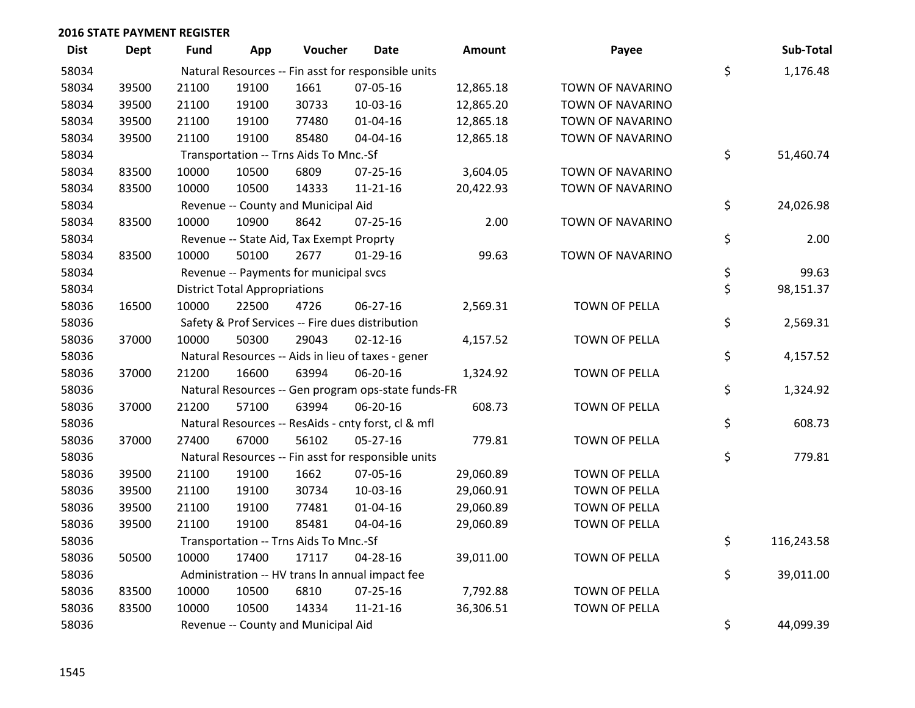| <b>Dist</b> | <b>Dept</b> | Fund  | App                                  | Voucher                                  | <b>Date</b>                                         | <b>Amount</b> | Payee                | Sub-Total        |
|-------------|-------------|-------|--------------------------------------|------------------------------------------|-----------------------------------------------------|---------------|----------------------|------------------|
| 58034       |             |       |                                      |                                          | Natural Resources -- Fin asst for responsible units |               |                      | \$<br>1,176.48   |
| 58034       | 39500       | 21100 | 19100                                | 1661                                     | 07-05-16                                            | 12,865.18     | TOWN OF NAVARINO     |                  |
| 58034       | 39500       | 21100 | 19100                                | 30733                                    | 10-03-16                                            | 12,865.20     | TOWN OF NAVARINO     |                  |
| 58034       | 39500       | 21100 | 19100                                | 77480                                    | $01 - 04 - 16$                                      | 12,865.18     | TOWN OF NAVARINO     |                  |
| 58034       | 39500       | 21100 | 19100                                | 85480                                    | 04-04-16                                            | 12,865.18     | TOWN OF NAVARINO     |                  |
| 58034       |             |       |                                      | Transportation -- Trns Aids To Mnc.-Sf   |                                                     |               |                      | \$<br>51,460.74  |
| 58034       | 83500       | 10000 | 10500                                | 6809                                     | $07 - 25 - 16$                                      | 3,604.05      | TOWN OF NAVARINO     |                  |
| 58034       | 83500       | 10000 | 10500                                | 14333                                    | $11 - 21 - 16$                                      | 20,422.93     | TOWN OF NAVARINO     |                  |
| 58034       |             |       |                                      | Revenue -- County and Municipal Aid      |                                                     |               |                      | \$<br>24,026.98  |
| 58034       | 83500       | 10000 | 10900                                | 8642                                     | 07-25-16                                            | 2.00          | TOWN OF NAVARINO     |                  |
| 58034       |             |       |                                      | Revenue -- State Aid, Tax Exempt Proprty |                                                     |               |                      | \$<br>2.00       |
| 58034       | 83500       | 10000 | 50100                                | 2677                                     | $01-29-16$                                          | 99.63         | TOWN OF NAVARINO     |                  |
| 58034       |             |       |                                      | Revenue -- Payments for municipal svcs   |                                                     |               |                      | \$<br>99.63      |
| 58034       |             |       | <b>District Total Appropriations</b> |                                          |                                                     |               |                      | \$<br>98,151.37  |
| 58036       | 16500       | 10000 | 22500                                | 4726                                     | 06-27-16                                            | 2,569.31      | <b>TOWN OF PELLA</b> |                  |
| 58036       |             |       |                                      |                                          | Safety & Prof Services -- Fire dues distribution    |               |                      | \$<br>2,569.31   |
| 58036       | 37000       | 10000 | 50300                                | 29043                                    | $02 - 12 - 16$                                      | 4,157.52      | TOWN OF PELLA        |                  |
| 58036       |             |       |                                      |                                          | Natural Resources -- Aids in lieu of taxes - gener  |               |                      | \$<br>4,157.52   |
| 58036       | 37000       | 21200 | 16600                                | 63994                                    | 06-20-16                                            | 1,324.92      | TOWN OF PELLA        |                  |
| 58036       |             |       |                                      |                                          | Natural Resources -- Gen program ops-state funds-FR |               |                      | \$<br>1,324.92   |
| 58036       | 37000       | 21200 | 57100                                | 63994                                    | 06-20-16                                            | 608.73        | <b>TOWN OF PELLA</b> |                  |
| 58036       |             |       |                                      |                                          | Natural Resources -- ResAids - cnty forst, cl & mfl |               |                      | \$<br>608.73     |
| 58036       | 37000       | 27400 | 67000                                | 56102                                    | $05 - 27 - 16$                                      | 779.81        | TOWN OF PELLA        |                  |
| 58036       |             |       |                                      |                                          | Natural Resources -- Fin asst for responsible units |               |                      | \$<br>779.81     |
| 58036       | 39500       | 21100 | 19100                                | 1662                                     | 07-05-16                                            | 29,060.89     | TOWN OF PELLA        |                  |
| 58036       | 39500       | 21100 | 19100                                | 30734                                    | 10-03-16                                            | 29,060.91     | TOWN OF PELLA        |                  |
| 58036       | 39500       | 21100 | 19100                                | 77481                                    | 01-04-16                                            | 29,060.89     | TOWN OF PELLA        |                  |
| 58036       | 39500       | 21100 | 19100                                | 85481                                    | 04-04-16                                            | 29,060.89     | TOWN OF PELLA        |                  |
| 58036       |             |       |                                      | Transportation -- Trns Aids To Mnc.-Sf   |                                                     |               |                      | \$<br>116,243.58 |
| 58036       | 50500       | 10000 | 17400                                | 17117                                    | 04-28-16                                            | 39,011.00     | TOWN OF PELLA        |                  |
| 58036       |             |       |                                      |                                          | Administration -- HV trans In annual impact fee     |               |                      | \$<br>39,011.00  |
| 58036       | 83500       | 10000 | 10500                                | 6810                                     | $07 - 25 - 16$                                      | 7,792.88      | TOWN OF PELLA        |                  |
| 58036       | 83500       | 10000 | 10500                                | 14334                                    | $11 - 21 - 16$                                      | 36,306.51     | TOWN OF PELLA        |                  |
| 58036       |             |       |                                      | Revenue -- County and Municipal Aid      |                                                     |               |                      | \$<br>44,099.39  |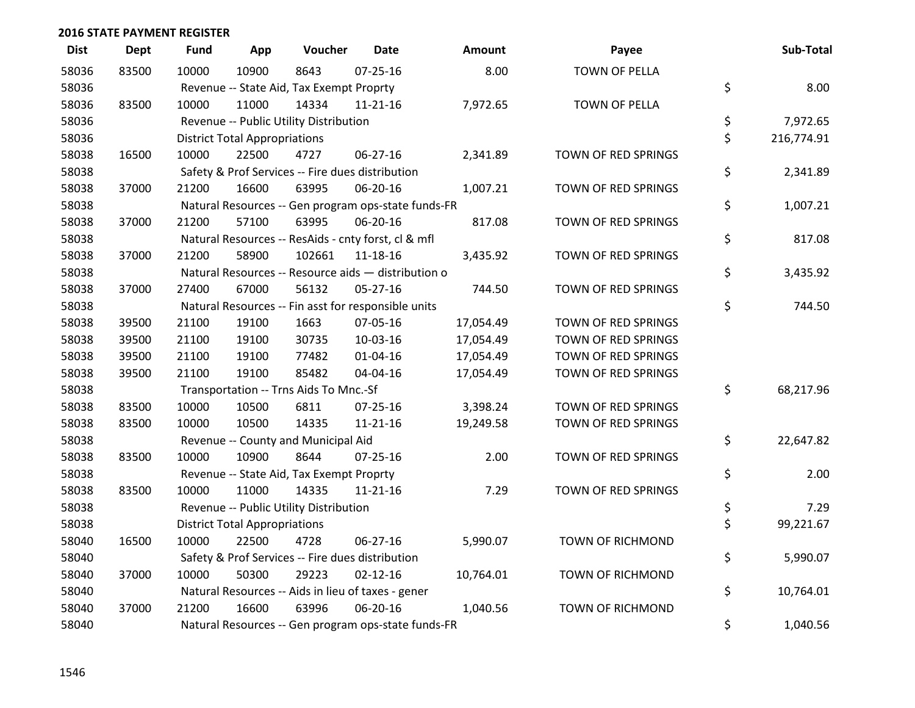| <b>Dist</b> | <b>Dept</b> | <b>Fund</b> | App                                  | Voucher                                  | <b>Date</b>                                         | <b>Amount</b> | Payee                   | Sub-Total        |
|-------------|-------------|-------------|--------------------------------------|------------------------------------------|-----------------------------------------------------|---------------|-------------------------|------------------|
| 58036       | 83500       | 10000       | 10900                                | 8643                                     | $07 - 25 - 16$                                      | 8.00          | <b>TOWN OF PELLA</b>    |                  |
| 58036       |             |             |                                      | Revenue -- State Aid, Tax Exempt Proprty |                                                     |               |                         | \$<br>8.00       |
| 58036       | 83500       | 10000       | 11000                                | 14334                                    | $11 - 21 - 16$                                      | 7,972.65      | <b>TOWN OF PELLA</b>    |                  |
| 58036       |             |             |                                      | Revenue -- Public Utility Distribution   |                                                     |               |                         | \$<br>7,972.65   |
| 58036       |             |             | <b>District Total Appropriations</b> |                                          |                                                     |               |                         | \$<br>216,774.91 |
| 58038       | 16500       | 10000       | 22500                                | 4727                                     | 06-27-16                                            | 2,341.89      | TOWN OF RED SPRINGS     |                  |
| 58038       |             |             |                                      |                                          | Safety & Prof Services -- Fire dues distribution    |               |                         | \$<br>2,341.89   |
| 58038       | 37000       | 21200       | 16600                                | 63995                                    | 06-20-16                                            | 1,007.21      | TOWN OF RED SPRINGS     |                  |
| 58038       |             |             |                                      |                                          | Natural Resources -- Gen program ops-state funds-FR |               |                         | \$<br>1,007.21   |
| 58038       | 37000       | 21200       | 57100                                | 63995                                    | 06-20-16                                            | 817.08        | TOWN OF RED SPRINGS     |                  |
| 58038       |             |             |                                      |                                          | Natural Resources -- ResAids - cnty forst, cl & mfl |               |                         | \$<br>817.08     |
| 58038       | 37000       | 21200       | 58900                                | 102661                                   | 11-18-16                                            | 3,435.92      | TOWN OF RED SPRINGS     |                  |
| 58038       |             |             |                                      |                                          | Natural Resources -- Resource aids - distribution o |               |                         | \$<br>3,435.92   |
| 58038       | 37000       | 27400       | 67000                                | 56132                                    | $05 - 27 - 16$                                      | 744.50        | TOWN OF RED SPRINGS     |                  |
| 58038       |             |             |                                      |                                          | Natural Resources -- Fin asst for responsible units |               |                         | \$<br>744.50     |
| 58038       | 39500       | 21100       | 19100                                | 1663                                     | 07-05-16                                            | 17,054.49     | TOWN OF RED SPRINGS     |                  |
| 58038       | 39500       | 21100       | 19100                                | 30735                                    | 10-03-16                                            | 17,054.49     | TOWN OF RED SPRINGS     |                  |
| 58038       | 39500       | 21100       | 19100                                | 77482                                    | $01 - 04 - 16$                                      | 17,054.49     | TOWN OF RED SPRINGS     |                  |
| 58038       | 39500       | 21100       | 19100                                | 85482                                    | 04-04-16                                            | 17,054.49     | TOWN OF RED SPRINGS     |                  |
| 58038       |             |             |                                      | Transportation -- Trns Aids To Mnc.-Sf   |                                                     |               |                         | \$<br>68,217.96  |
| 58038       | 83500       | 10000       | 10500                                | 6811                                     | $07 - 25 - 16$                                      | 3,398.24      | TOWN OF RED SPRINGS     |                  |
| 58038       | 83500       | 10000       | 10500                                | 14335                                    | $11 - 21 - 16$                                      | 19,249.58     | TOWN OF RED SPRINGS     |                  |
| 58038       |             |             |                                      | Revenue -- County and Municipal Aid      |                                                     |               |                         | \$<br>22,647.82  |
| 58038       | 83500       | 10000       | 10900                                | 8644                                     | $07 - 25 - 16$                                      | 2.00          | TOWN OF RED SPRINGS     |                  |
| 58038       |             |             |                                      | Revenue -- State Aid, Tax Exempt Proprty |                                                     |               |                         | \$<br>2.00       |
| 58038       | 83500       | 10000       | 11000                                | 14335                                    | $11 - 21 - 16$                                      | 7.29          | TOWN OF RED SPRINGS     |                  |
| 58038       |             |             |                                      | Revenue -- Public Utility Distribution   |                                                     |               |                         | \$<br>7.29       |
| 58038       |             |             | <b>District Total Appropriations</b> |                                          |                                                     |               |                         | \$<br>99,221.67  |
| 58040       | 16500       | 10000       | 22500                                | 4728                                     | 06-27-16                                            | 5,990.07      | <b>TOWN OF RICHMOND</b> |                  |
| 58040       |             |             |                                      |                                          | Safety & Prof Services -- Fire dues distribution    |               |                         | \$<br>5,990.07   |
| 58040       | 37000       | 10000       | 50300                                | 29223                                    | $02 - 12 - 16$                                      | 10,764.01     | TOWN OF RICHMOND        |                  |
| 58040       |             |             |                                      |                                          | Natural Resources -- Aids in lieu of taxes - gener  |               |                         | \$<br>10,764.01  |
| 58040       | 37000       | 21200       | 16600                                | 63996                                    | 06-20-16                                            | 1,040.56      | <b>TOWN OF RICHMOND</b> |                  |
| 58040       |             |             |                                      |                                          | Natural Resources -- Gen program ops-state funds-FR |               |                         | \$<br>1,040.56   |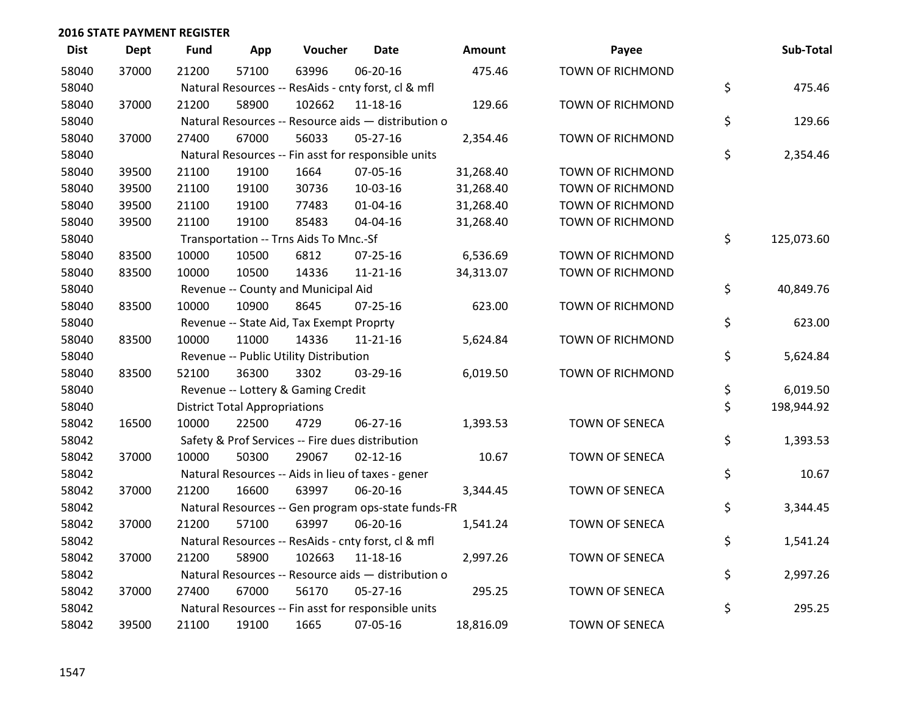| <b>Dist</b> | <b>Dept</b> | <b>Fund</b> | App                                  | Voucher                                             | <b>Date</b>    | Amount    | Payee                   | Sub-Total        |
|-------------|-------------|-------------|--------------------------------------|-----------------------------------------------------|----------------|-----------|-------------------------|------------------|
| 58040       | 37000       | 21200       | 57100                                | 63996                                               | 06-20-16       | 475.46    | <b>TOWN OF RICHMOND</b> |                  |
| 58040       |             |             |                                      | Natural Resources -- ResAids - cnty forst, cl & mfl |                |           |                         | \$<br>475.46     |
| 58040       | 37000       | 21200       | 58900                                | 102662                                              | 11-18-16       | 129.66    | <b>TOWN OF RICHMOND</b> |                  |
| 58040       |             |             |                                      | Natural Resources -- Resource aids - distribution o |                |           |                         | \$<br>129.66     |
| 58040       | 37000       | 27400       | 67000                                | 56033                                               | $05 - 27 - 16$ | 2,354.46  | TOWN OF RICHMOND        |                  |
| 58040       |             |             |                                      | Natural Resources -- Fin asst for responsible units |                |           |                         | \$<br>2,354.46   |
| 58040       | 39500       | 21100       | 19100                                | 1664                                                | 07-05-16       | 31,268.40 | <b>TOWN OF RICHMOND</b> |                  |
| 58040       | 39500       | 21100       | 19100                                | 30736                                               | 10-03-16       | 31,268.40 | <b>TOWN OF RICHMOND</b> |                  |
| 58040       | 39500       | 21100       | 19100                                | 77483                                               | 01-04-16       | 31,268.40 | TOWN OF RICHMOND        |                  |
| 58040       | 39500       | 21100       | 19100                                | 85483                                               | 04-04-16       | 31,268.40 | TOWN OF RICHMOND        |                  |
| 58040       |             |             |                                      | Transportation -- Trns Aids To Mnc.-Sf              |                |           |                         | \$<br>125,073.60 |
| 58040       | 83500       | 10000       | 10500                                | 6812                                                | $07 - 25 - 16$ | 6,536.69  | <b>TOWN OF RICHMOND</b> |                  |
| 58040       | 83500       | 10000       | 10500                                | 14336                                               | $11 - 21 - 16$ | 34,313.07 | TOWN OF RICHMOND        |                  |
| 58040       |             |             |                                      | Revenue -- County and Municipal Aid                 |                |           |                         | \$<br>40,849.76  |
| 58040       | 83500       | 10000       | 10900                                | 8645                                                | $07 - 25 - 16$ | 623.00    | <b>TOWN OF RICHMOND</b> |                  |
| 58040       |             |             |                                      | Revenue -- State Aid, Tax Exempt Proprty            |                |           |                         | \$<br>623.00     |
| 58040       | 83500       | 10000       | 11000                                | 14336                                               | 11-21-16       | 5,624.84  | TOWN OF RICHMOND        |                  |
| 58040       |             |             |                                      | Revenue -- Public Utility Distribution              |                |           |                         | \$<br>5,624.84   |
| 58040       | 83500       | 52100       | 36300                                | 3302                                                | 03-29-16       | 6,019.50  | TOWN OF RICHMOND        |                  |
| 58040       |             |             |                                      | Revenue -- Lottery & Gaming Credit                  |                |           |                         | \$<br>6,019.50   |
| 58040       |             |             | <b>District Total Appropriations</b> |                                                     |                |           |                         | \$<br>198,944.92 |
| 58042       | 16500       | 10000       | 22500                                | 4729                                                | $06 - 27 - 16$ | 1,393.53  | TOWN OF SENECA          |                  |
| 58042       |             |             |                                      | Safety & Prof Services -- Fire dues distribution    |                |           |                         | \$<br>1,393.53   |
| 58042       | 37000       | 10000       | 50300                                | 29067                                               | $02 - 12 - 16$ | 10.67     | TOWN OF SENECA          |                  |
| 58042       |             |             |                                      | Natural Resources -- Aids in lieu of taxes - gener  |                |           |                         | \$<br>10.67      |
| 58042       | 37000       | 21200       | 16600                                | 63997                                               | 06-20-16       | 3,344.45  | TOWN OF SENECA          |                  |
| 58042       |             |             |                                      | Natural Resources -- Gen program ops-state funds-FR |                |           |                         | \$<br>3,344.45   |
| 58042       | 37000       | 21200       | 57100                                | 63997                                               | 06-20-16       | 1,541.24  | TOWN OF SENECA          |                  |
| 58042       |             |             |                                      | Natural Resources -- ResAids - cnty forst, cl & mfl |                |           |                         | \$<br>1,541.24   |
| 58042       | 37000       | 21200       | 58900                                | 102663                                              | 11-18-16       | 2,997.26  | TOWN OF SENECA          |                  |
| 58042       |             |             |                                      | Natural Resources -- Resource aids - distribution o |                |           |                         | \$<br>2,997.26   |
| 58042       | 37000       | 27400       | 67000                                | 56170                                               | $05 - 27 - 16$ | 295.25    | <b>TOWN OF SENECA</b>   |                  |
| 58042       |             |             |                                      | Natural Resources -- Fin asst for responsible units |                |           |                         | \$<br>295.25     |
| 58042       | 39500       | 21100       | 19100                                | 1665                                                | 07-05-16       | 18,816.09 | <b>TOWN OF SENECA</b>   |                  |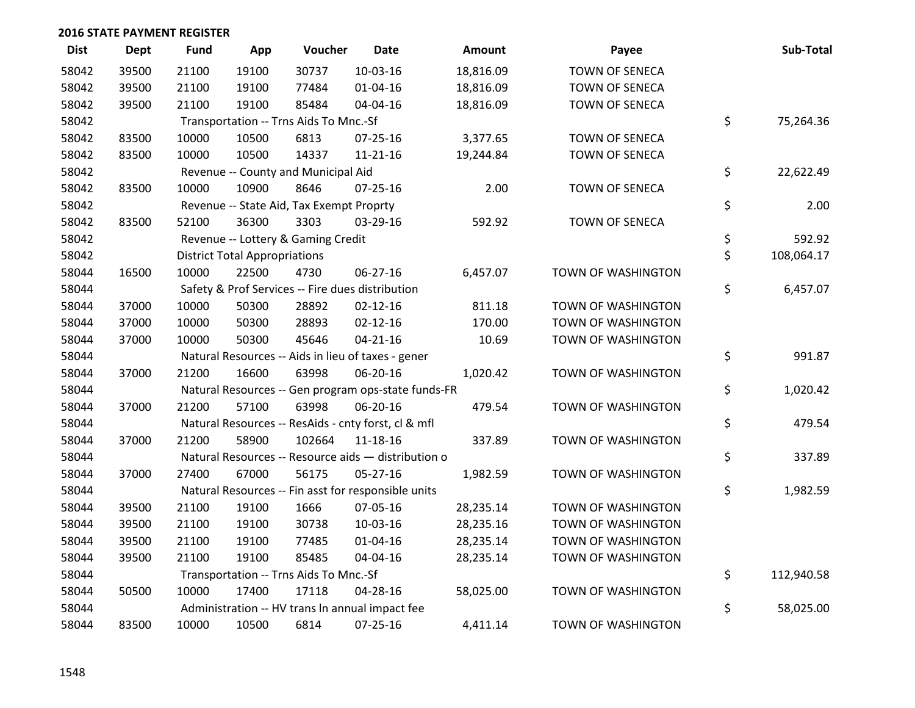| <b>Dist</b> | <b>Dept</b> | <b>Fund</b> | App                                  | Voucher                                             | Date           | <b>Amount</b> | Payee                 | Sub-Total        |
|-------------|-------------|-------------|--------------------------------------|-----------------------------------------------------|----------------|---------------|-----------------------|------------------|
| 58042       | 39500       | 21100       | 19100                                | 30737                                               | 10-03-16       | 18,816.09     | <b>TOWN OF SENECA</b> |                  |
| 58042       | 39500       | 21100       | 19100                                | 77484                                               | 01-04-16       | 18,816.09     | TOWN OF SENECA        |                  |
| 58042       | 39500       | 21100       | 19100                                | 85484                                               | 04-04-16       | 18,816.09     | TOWN OF SENECA        |                  |
| 58042       |             |             |                                      | Transportation -- Trns Aids To Mnc.-Sf              |                |               |                       | \$<br>75,264.36  |
| 58042       | 83500       | 10000       | 10500                                | 6813                                                | $07 - 25 - 16$ | 3,377.65      | <b>TOWN OF SENECA</b> |                  |
| 58042       | 83500       | 10000       | 10500                                | 14337                                               | $11 - 21 - 16$ | 19,244.84     | TOWN OF SENECA        |                  |
| 58042       |             |             |                                      | Revenue -- County and Municipal Aid                 |                |               |                       | \$<br>22,622.49  |
| 58042       | 83500       | 10000       | 10900                                | 8646                                                | $07 - 25 - 16$ | 2.00          | <b>TOWN OF SENECA</b> |                  |
| 58042       |             |             |                                      | Revenue -- State Aid, Tax Exempt Proprty            |                |               |                       | \$<br>2.00       |
| 58042       | 83500       | 52100       | 36300                                | 3303                                                | 03-29-16       | 592.92        | TOWN OF SENECA        |                  |
| 58042       |             |             |                                      | Revenue -- Lottery & Gaming Credit                  |                |               |                       | \$<br>592.92     |
| 58042       |             |             | <b>District Total Appropriations</b> |                                                     |                |               |                       | \$<br>108,064.17 |
| 58044       | 16500       | 10000       | 22500                                | 4730                                                | 06-27-16       | 6,457.07      | TOWN OF WASHINGTON    |                  |
| 58044       |             |             |                                      | Safety & Prof Services -- Fire dues distribution    |                |               |                       | \$<br>6,457.07   |
| 58044       | 37000       | 10000       | 50300                                | 28892                                               | $02 - 12 - 16$ | 811.18        | TOWN OF WASHINGTON    |                  |
| 58044       | 37000       | 10000       | 50300                                | 28893                                               | $02 - 12 - 16$ | 170.00        | TOWN OF WASHINGTON    |                  |
| 58044       | 37000       | 10000       | 50300                                | 45646                                               | $04 - 21 - 16$ | 10.69         | TOWN OF WASHINGTON    |                  |
| 58044       |             |             |                                      | Natural Resources -- Aids in lieu of taxes - gener  |                |               |                       | \$<br>991.87     |
| 58044       | 37000       | 21200       | 16600                                | 63998                                               | 06-20-16       | 1,020.42      | TOWN OF WASHINGTON    |                  |
| 58044       |             |             |                                      | Natural Resources -- Gen program ops-state funds-FR |                |               |                       | \$<br>1,020.42   |
| 58044       | 37000       | 21200       | 57100                                | 63998                                               | 06-20-16       | 479.54        | TOWN OF WASHINGTON    |                  |
| 58044       |             |             |                                      | Natural Resources -- ResAids - cnty forst, cl & mfl |                |               |                       | \$<br>479.54     |
| 58044       | 37000       | 21200       | 58900                                | 102664                                              | 11-18-16       | 337.89        | TOWN OF WASHINGTON    |                  |
| 58044       |             |             |                                      | Natural Resources -- Resource aids - distribution o |                |               |                       | \$<br>337.89     |
| 58044       | 37000       | 27400       | 67000                                | 56175                                               | $05 - 27 - 16$ | 1,982.59      | TOWN OF WASHINGTON    |                  |
| 58044       |             |             |                                      | Natural Resources -- Fin asst for responsible units |                |               |                       | \$<br>1,982.59   |
| 58044       | 39500       | 21100       | 19100                                | 1666                                                | 07-05-16       | 28,235.14     | TOWN OF WASHINGTON    |                  |
| 58044       | 39500       | 21100       | 19100                                | 30738                                               | 10-03-16       | 28,235.16     | TOWN OF WASHINGTON    |                  |
| 58044       | 39500       | 21100       | 19100                                | 77485                                               | $01 - 04 - 16$ | 28,235.14     | TOWN OF WASHINGTON    |                  |
| 58044       | 39500       | 21100       | 19100                                | 85485                                               | 04-04-16       | 28,235.14     | TOWN OF WASHINGTON    |                  |
| 58044       |             |             |                                      | Transportation -- Trns Aids To Mnc.-Sf              |                |               |                       | \$<br>112,940.58 |
| 58044       | 50500       | 10000       | 17400                                | 17118                                               | 04-28-16       | 58,025.00     | TOWN OF WASHINGTON    |                  |
| 58044       |             |             |                                      | Administration -- HV trans In annual impact fee     |                |               |                       | \$<br>58,025.00  |
| 58044       | 83500       | 10000       | 10500                                | 6814                                                | $07 - 25 - 16$ | 4,411.14      | TOWN OF WASHINGTON    |                  |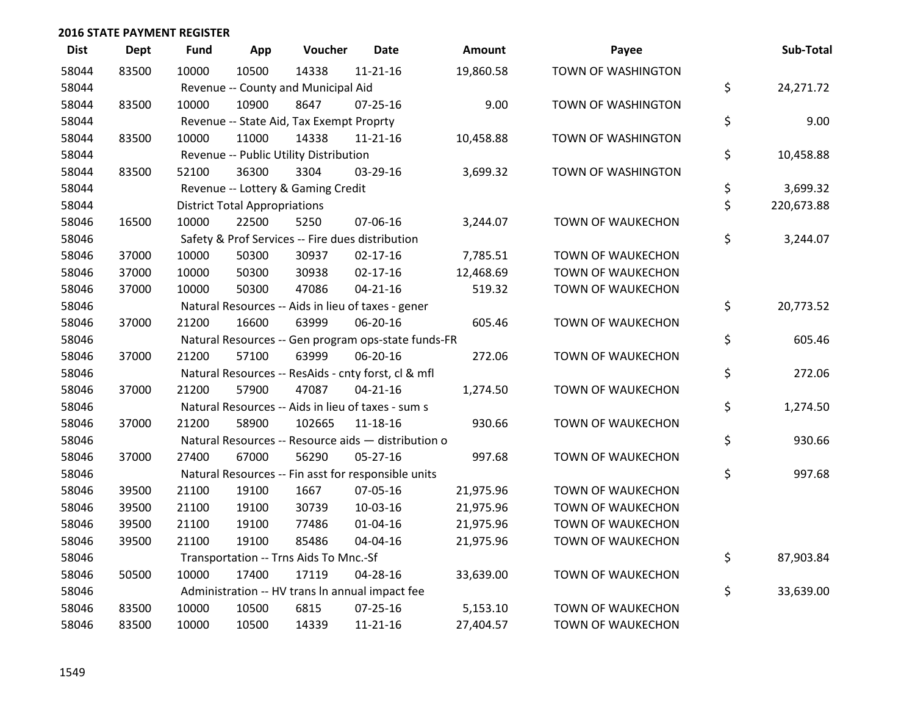| <b>Dist</b> | <b>Dept</b> | Fund  | App                                  | Voucher                                             | <b>Date</b>    | Amount    | Payee                    | Sub-Total        |
|-------------|-------------|-------|--------------------------------------|-----------------------------------------------------|----------------|-----------|--------------------------|------------------|
| 58044       | 83500       | 10000 | 10500                                | 14338                                               | $11 - 21 - 16$ | 19,860.58 | TOWN OF WASHINGTON       |                  |
| 58044       |             |       |                                      | Revenue -- County and Municipal Aid                 |                |           |                          | \$<br>24,271.72  |
| 58044       | 83500       | 10000 | 10900                                | 8647                                                | $07 - 25 - 16$ | 9.00      | TOWN OF WASHINGTON       |                  |
| 58044       |             |       |                                      | Revenue -- State Aid, Tax Exempt Proprty            |                |           |                          | \$<br>9.00       |
| 58044       | 83500       | 10000 | 11000                                | 14338                                               | $11 - 21 - 16$ | 10,458.88 | TOWN OF WASHINGTON       |                  |
| 58044       |             |       |                                      | Revenue -- Public Utility Distribution              |                |           |                          | \$<br>10,458.88  |
| 58044       | 83500       | 52100 | 36300                                | 3304                                                | 03-29-16       | 3,699.32  | TOWN OF WASHINGTON       |                  |
| 58044       |             |       |                                      | Revenue -- Lottery & Gaming Credit                  |                |           |                          | \$<br>3,699.32   |
| 58044       |             |       | <b>District Total Appropriations</b> |                                                     |                |           |                          | \$<br>220,673.88 |
| 58046       | 16500       | 10000 | 22500                                | 5250                                                | 07-06-16       | 3,244.07  | TOWN OF WAUKECHON        |                  |
| 58046       |             |       |                                      | Safety & Prof Services -- Fire dues distribution    |                |           |                          | \$<br>3,244.07   |
| 58046       | 37000       | 10000 | 50300                                | 30937                                               | $02 - 17 - 16$ | 7,785.51  | <b>TOWN OF WAUKECHON</b> |                  |
| 58046       | 37000       | 10000 | 50300                                | 30938                                               | $02 - 17 - 16$ | 12,468.69 | TOWN OF WAUKECHON        |                  |
| 58046       | 37000       | 10000 | 50300                                | 47086                                               | $04 - 21 - 16$ | 519.32    | TOWN OF WAUKECHON        |                  |
| 58046       |             |       |                                      | Natural Resources -- Aids in lieu of taxes - gener  |                |           |                          | \$<br>20,773.52  |
| 58046       | 37000       | 21200 | 16600                                | 63999                                               | 06-20-16       | 605.46    | <b>TOWN OF WAUKECHON</b> |                  |
| 58046       |             |       |                                      | Natural Resources -- Gen program ops-state funds-FR |                |           |                          | \$<br>605.46     |
| 58046       | 37000       | 21200 | 57100                                | 63999                                               | 06-20-16       | 272.06    | TOWN OF WAUKECHON        |                  |
| 58046       |             |       |                                      | Natural Resources -- ResAids - cnty forst, cl & mfl |                |           |                          | \$<br>272.06     |
| 58046       | 37000       | 21200 | 57900                                | 47087                                               | $04 - 21 - 16$ | 1,274.50  | TOWN OF WAUKECHON        |                  |
| 58046       |             |       |                                      | Natural Resources -- Aids in lieu of taxes - sum s  |                |           |                          | \$<br>1,274.50   |
| 58046       | 37000       | 21200 | 58900                                | 102665                                              | $11 - 18 - 16$ | 930.66    | TOWN OF WAUKECHON        |                  |
| 58046       |             |       |                                      | Natural Resources -- Resource aids - distribution o |                |           |                          | \$<br>930.66     |
| 58046       | 37000       | 27400 | 67000                                | 56290                                               | 05-27-16       | 997.68    | TOWN OF WAUKECHON        |                  |
| 58046       |             |       |                                      | Natural Resources -- Fin asst for responsible units |                |           |                          | \$<br>997.68     |
| 58046       | 39500       | 21100 | 19100                                | 1667                                                | 07-05-16       | 21,975.96 | TOWN OF WAUKECHON        |                  |
| 58046       | 39500       | 21100 | 19100                                | 30739                                               | 10-03-16       | 21,975.96 | TOWN OF WAUKECHON        |                  |
| 58046       | 39500       | 21100 | 19100                                | 77486                                               | $01 - 04 - 16$ | 21,975.96 | TOWN OF WAUKECHON        |                  |
| 58046       | 39500       | 21100 | 19100                                | 85486                                               | 04-04-16       | 21,975.96 | TOWN OF WAUKECHON        |                  |
| 58046       |             |       |                                      | Transportation -- Trns Aids To Mnc.-Sf              |                |           |                          | \$<br>87,903.84  |
| 58046       | 50500       | 10000 | 17400                                | 17119                                               | 04-28-16       | 33,639.00 | <b>TOWN OF WAUKECHON</b> |                  |
| 58046       |             |       |                                      | Administration -- HV trans In annual impact fee     |                |           |                          | \$<br>33,639.00  |
| 58046       | 83500       | 10000 | 10500                                | 6815                                                | $07 - 25 - 16$ | 5,153.10  | TOWN OF WAUKECHON        |                  |
| 58046       | 83500       | 10000 | 10500                                | 14339                                               | $11 - 21 - 16$ | 27,404.57 | TOWN OF WAUKECHON        |                  |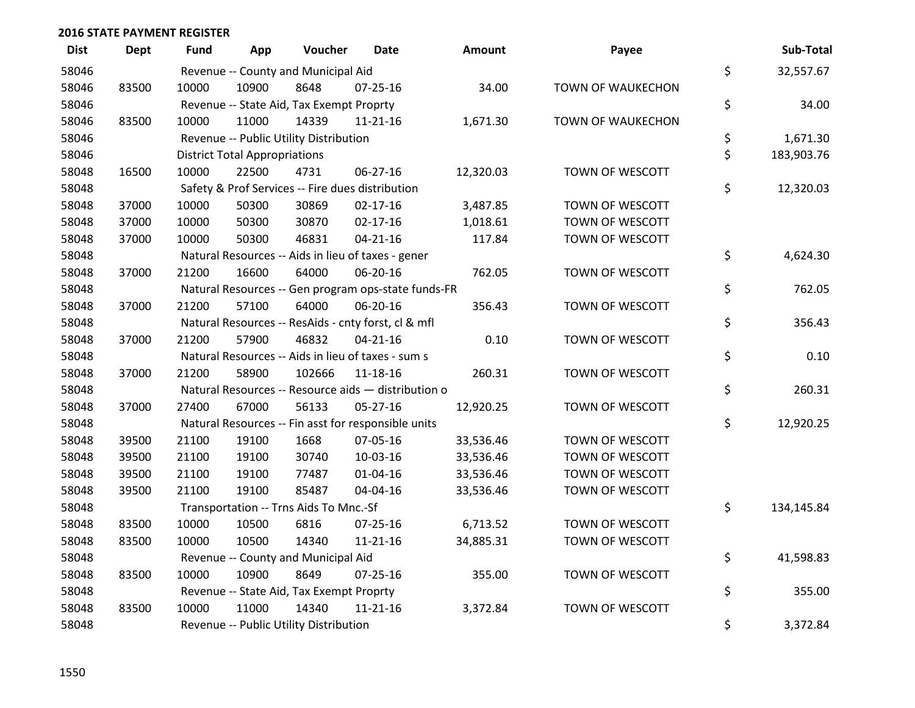| <b>Dist</b> | <b>Dept</b> | <b>Fund</b> | App                                  | Voucher                                  | <b>Date</b>                                         | Amount    | Payee                    | Sub-Total        |
|-------------|-------------|-------------|--------------------------------------|------------------------------------------|-----------------------------------------------------|-----------|--------------------------|------------------|
| 58046       |             |             |                                      | Revenue -- County and Municipal Aid      |                                                     |           |                          | \$<br>32,557.67  |
| 58046       | 83500       | 10000       | 10900                                | 8648                                     | $07 - 25 - 16$                                      | 34.00     | <b>TOWN OF WAUKECHON</b> |                  |
| 58046       |             |             |                                      | Revenue -- State Aid, Tax Exempt Proprty |                                                     |           |                          | \$<br>34.00      |
| 58046       | 83500       | 10000       | 11000                                | 14339                                    | 11-21-16                                            | 1,671.30  | TOWN OF WAUKECHON        |                  |
| 58046       |             |             |                                      | Revenue -- Public Utility Distribution   |                                                     |           |                          | \$<br>1,671.30   |
| 58046       |             |             | <b>District Total Appropriations</b> |                                          |                                                     |           |                          | \$<br>183,903.76 |
| 58048       | 16500       | 10000       | 22500                                | 4731                                     | $06 - 27 - 16$                                      | 12,320.03 | TOWN OF WESCOTT          |                  |
| 58048       |             |             |                                      |                                          | Safety & Prof Services -- Fire dues distribution    |           |                          | \$<br>12,320.03  |
| 58048       | 37000       | 10000       | 50300                                | 30869                                    | $02 - 17 - 16$                                      | 3,487.85  | TOWN OF WESCOTT          |                  |
| 58048       | 37000       | 10000       | 50300                                | 30870                                    | $02 - 17 - 16$                                      | 1,018.61  | TOWN OF WESCOTT          |                  |
| 58048       | 37000       | 10000       | 50300                                | 46831                                    | $04 - 21 - 16$                                      | 117.84    | TOWN OF WESCOTT          |                  |
| 58048       |             |             |                                      |                                          | Natural Resources -- Aids in lieu of taxes - gener  |           |                          | \$<br>4,624.30   |
| 58048       | 37000       | 21200       | 16600                                | 64000                                    | 06-20-16                                            | 762.05    | TOWN OF WESCOTT          |                  |
| 58048       |             |             |                                      |                                          | Natural Resources -- Gen program ops-state funds-FR |           |                          | \$<br>762.05     |
| 58048       | 37000       | 21200       | 57100                                | 64000                                    | 06-20-16                                            | 356.43    | TOWN OF WESCOTT          |                  |
| 58048       |             |             |                                      |                                          | Natural Resources -- ResAids - cnty forst, cl & mfl |           |                          | \$<br>356.43     |
| 58048       | 37000       | 21200       | 57900                                | 46832                                    | $04 - 21 - 16$                                      | 0.10      | TOWN OF WESCOTT          |                  |
| 58048       |             |             |                                      |                                          | Natural Resources -- Aids in lieu of taxes - sum s  |           |                          | \$<br>0.10       |
| 58048       | 37000       | 21200       | 58900                                | 102666                                   | 11-18-16                                            | 260.31    | TOWN OF WESCOTT          |                  |
| 58048       |             |             |                                      |                                          | Natural Resources -- Resource aids - distribution o |           |                          | \$<br>260.31     |
| 58048       | 37000       | 27400       | 67000                                | 56133                                    | 05-27-16                                            | 12,920.25 | TOWN OF WESCOTT          |                  |
| 58048       |             |             |                                      |                                          | Natural Resources -- Fin asst for responsible units |           |                          | \$<br>12,920.25  |
| 58048       | 39500       | 21100       | 19100                                | 1668                                     | 07-05-16                                            | 33,536.46 | TOWN OF WESCOTT          |                  |
| 58048       | 39500       | 21100       | 19100                                | 30740                                    | 10-03-16                                            | 33,536.46 | TOWN OF WESCOTT          |                  |
| 58048       | 39500       | 21100       | 19100                                | 77487                                    | $01 - 04 - 16$                                      | 33,536.46 | TOWN OF WESCOTT          |                  |
| 58048       | 39500       | 21100       | 19100                                | 85487                                    | 04-04-16                                            | 33,536.46 | TOWN OF WESCOTT          |                  |
| 58048       |             |             |                                      | Transportation -- Trns Aids To Mnc.-Sf   |                                                     |           |                          | \$<br>134,145.84 |
| 58048       | 83500       | 10000       | 10500                                | 6816                                     | $07 - 25 - 16$                                      | 6,713.52  | TOWN OF WESCOTT          |                  |
| 58048       | 83500       | 10000       | 10500                                | 14340                                    | $11 - 21 - 16$                                      | 34,885.31 | TOWN OF WESCOTT          |                  |
| 58048       |             |             |                                      | Revenue -- County and Municipal Aid      |                                                     |           |                          | \$<br>41,598.83  |
| 58048       | 83500       | 10000       | 10900                                | 8649                                     | 07-25-16                                            | 355.00    | TOWN OF WESCOTT          |                  |
| 58048       |             |             |                                      | Revenue -- State Aid, Tax Exempt Proprty |                                                     |           |                          | \$<br>355.00     |
| 58048       | 83500       | 10000       | 11000                                | 14340                                    | $11 - 21 - 16$                                      | 3,372.84  | TOWN OF WESCOTT          |                  |
| 58048       |             |             |                                      | Revenue -- Public Utility Distribution   |                                                     |           |                          | \$<br>3,372.84   |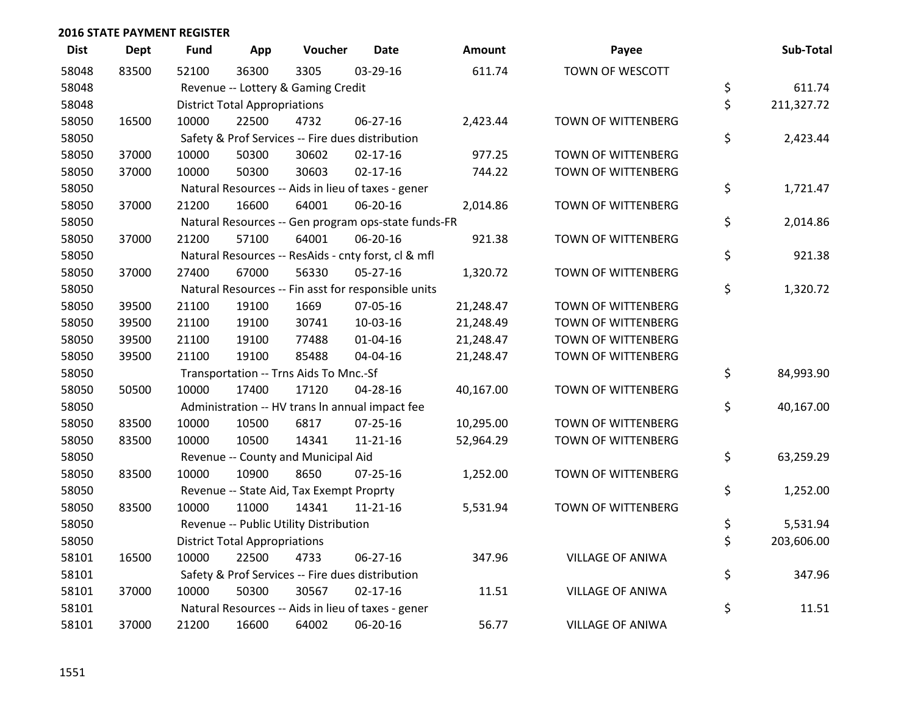| <b>Dist</b> | <b>Dept</b> | <b>Fund</b> | App                                  | Voucher                                             | <b>Date</b>    | <b>Amount</b> | Payee                     | Sub-Total        |
|-------------|-------------|-------------|--------------------------------------|-----------------------------------------------------|----------------|---------------|---------------------------|------------------|
| 58048       | 83500       | 52100       | 36300                                | 3305                                                | 03-29-16       | 611.74        | TOWN OF WESCOTT           |                  |
| 58048       |             |             |                                      | Revenue -- Lottery & Gaming Credit                  |                |               |                           | \$<br>611.74     |
| 58048       |             |             | <b>District Total Appropriations</b> |                                                     |                |               |                           | \$<br>211,327.72 |
| 58050       | 16500       | 10000       | 22500                                | 4732                                                | 06-27-16       | 2,423.44      | TOWN OF WITTENBERG        |                  |
| 58050       |             |             |                                      | Safety & Prof Services -- Fire dues distribution    |                |               |                           | \$<br>2,423.44   |
| 58050       | 37000       | 10000       | 50300                                | 30602                                               | $02 - 17 - 16$ | 977.25        | TOWN OF WITTENBERG        |                  |
| 58050       | 37000       | 10000       | 50300                                | 30603                                               | $02 - 17 - 16$ | 744.22        | TOWN OF WITTENBERG        |                  |
| 58050       |             |             |                                      | Natural Resources -- Aids in lieu of taxes - gener  |                |               |                           | \$<br>1,721.47   |
| 58050       | 37000       | 21200       | 16600                                | 64001                                               | 06-20-16       | 2,014.86      | TOWN OF WITTENBERG        |                  |
| 58050       |             |             |                                      | Natural Resources -- Gen program ops-state funds-FR |                |               |                           | \$<br>2,014.86   |
| 58050       | 37000       | 21200       | 57100                                | 64001                                               | 06-20-16       | 921.38        | TOWN OF WITTENBERG        |                  |
| 58050       |             |             |                                      | Natural Resources -- ResAids - cnty forst, cl & mfl |                |               |                           | \$<br>921.38     |
| 58050       | 37000       | 27400       | 67000                                | 56330                                               | 05-27-16       | 1,320.72      | TOWN OF WITTENBERG        |                  |
| 58050       |             |             |                                      | Natural Resources -- Fin asst for responsible units |                |               |                           | \$<br>1,320.72   |
| 58050       | 39500       | 21100       | 19100                                | 1669                                                | 07-05-16       | 21,248.47     | <b>TOWN OF WITTENBERG</b> |                  |
| 58050       | 39500       | 21100       | 19100                                | 30741                                               | 10-03-16       | 21,248.49     | <b>TOWN OF WITTENBERG</b> |                  |
| 58050       | 39500       | 21100       | 19100                                | 77488                                               | 01-04-16       | 21,248.47     | TOWN OF WITTENBERG        |                  |
| 58050       | 39500       | 21100       | 19100                                | 85488                                               | 04-04-16       | 21,248.47     | TOWN OF WITTENBERG        |                  |
| 58050       |             |             |                                      | Transportation -- Trns Aids To Mnc.-Sf              |                |               |                           | \$<br>84,993.90  |
| 58050       | 50500       | 10000       | 17400                                | 17120                                               | 04-28-16       | 40,167.00     | <b>TOWN OF WITTENBERG</b> |                  |
| 58050       |             |             |                                      | Administration -- HV trans In annual impact fee     |                |               |                           | \$<br>40,167.00  |
| 58050       | 83500       | 10000       | 10500                                | 6817                                                | $07 - 25 - 16$ | 10,295.00     | TOWN OF WITTENBERG        |                  |
| 58050       | 83500       | 10000       | 10500                                | 14341                                               | 11-21-16       | 52,964.29     | TOWN OF WITTENBERG        |                  |
| 58050       |             |             |                                      | Revenue -- County and Municipal Aid                 |                |               |                           | \$<br>63,259.29  |
| 58050       | 83500       | 10000       | 10900                                | 8650                                                | $07 - 25 - 16$ | 1,252.00      | TOWN OF WITTENBERG        |                  |
| 58050       |             |             |                                      | Revenue -- State Aid, Tax Exempt Proprty            |                |               |                           | \$<br>1,252.00   |
| 58050       | 83500       | 10000       | 11000                                | 14341                                               | $11 - 21 - 16$ | 5,531.94      | TOWN OF WITTENBERG        |                  |
| 58050       |             |             |                                      | Revenue -- Public Utility Distribution              |                |               |                           | \$<br>5,531.94   |
| 58050       |             |             | <b>District Total Appropriations</b> |                                                     |                |               |                           | \$<br>203,606.00 |
| 58101       | 16500       | 10000       | 22500                                | 4733                                                | 06-27-16       | 347.96        | <b>VILLAGE OF ANIWA</b>   |                  |
| 58101       |             |             |                                      | Safety & Prof Services -- Fire dues distribution    |                |               |                           | \$<br>347.96     |
| 58101       | 37000       | 10000       | 50300                                | 30567                                               | $02 - 17 - 16$ | 11.51         | VILLAGE OF ANIWA          |                  |
| 58101       |             |             |                                      | Natural Resources -- Aids in lieu of taxes - gener  |                |               |                           | \$<br>11.51      |
| 58101       | 37000       | 21200       | 16600                                | 64002                                               | 06-20-16       | 56.77         | <b>VILLAGE OF ANIWA</b>   |                  |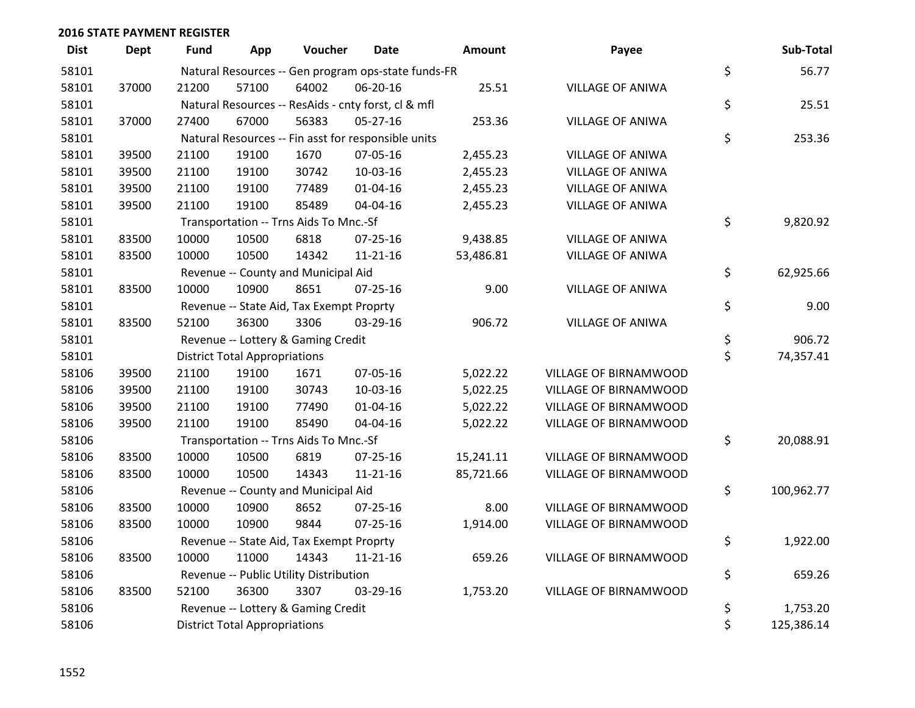| <b>Dist</b> | <b>Dept</b> | <b>Fund</b>                            | App                                  | Voucher                                  | <b>Date</b>                                         | Amount    | Payee                   | Sub-Total        |
|-------------|-------------|----------------------------------------|--------------------------------------|------------------------------------------|-----------------------------------------------------|-----------|-------------------------|------------------|
| 58101       |             |                                        |                                      |                                          | Natural Resources -- Gen program ops-state funds-FR |           |                         | \$<br>56.77      |
| 58101       | 37000       | 21200                                  | 57100                                | 64002                                    | 06-20-16                                            | 25.51     | <b>VILLAGE OF ANIWA</b> |                  |
| 58101       |             |                                        |                                      |                                          | Natural Resources -- ResAids - cnty forst, cl & mfl |           |                         | \$<br>25.51      |
| 58101       | 37000       | 27400                                  | 67000                                | 56383                                    | $05 - 27 - 16$                                      | 253.36    | <b>VILLAGE OF ANIWA</b> |                  |
| 58101       |             |                                        |                                      |                                          | Natural Resources -- Fin asst for responsible units |           |                         | \$<br>253.36     |
| 58101       | 39500       | 21100                                  | 19100                                | 1670                                     | 07-05-16                                            | 2,455.23  | <b>VILLAGE OF ANIWA</b> |                  |
| 58101       | 39500       | 21100                                  | 19100                                | 30742                                    | 10-03-16                                            | 2,455.23  | <b>VILLAGE OF ANIWA</b> |                  |
| 58101       | 39500       | 21100                                  | 19100                                | 77489                                    | $01 - 04 - 16$                                      | 2,455.23  | <b>VILLAGE OF ANIWA</b> |                  |
| 58101       | 39500       | 21100                                  | 19100                                | 85489                                    | 04-04-16                                            | 2,455.23  | <b>VILLAGE OF ANIWA</b> |                  |
| 58101       |             | Transportation -- Trns Aids To Mnc.-Sf | \$<br>9,820.92                       |                                          |                                                     |           |                         |                  |
| 58101       | 83500       | 10000                                  | 10500                                | 6818                                     | 07-25-16                                            | 9,438.85  | <b>VILLAGE OF ANIWA</b> |                  |
| 58101       | 83500       | 10000                                  | 10500                                | 14342                                    | $11 - 21 - 16$                                      | 53,486.81 | <b>VILLAGE OF ANIWA</b> |                  |
| 58101       |             |                                        |                                      | Revenue -- County and Municipal Aid      |                                                     |           |                         | \$<br>62,925.66  |
| 58101       | 83500       | 10000                                  | 10900                                | 8651                                     | $07 - 25 - 16$                                      | 9.00      | <b>VILLAGE OF ANIWA</b> |                  |
| 58101       |             |                                        |                                      | Revenue -- State Aid, Tax Exempt Proprty |                                                     |           |                         | \$<br>9.00       |
| 58101       | 83500       | 52100                                  | 36300                                | 3306                                     | 03-29-16                                            | 906.72    | <b>VILLAGE OF ANIWA</b> |                  |
| 58101       |             |                                        |                                      | Revenue -- Lottery & Gaming Credit       |                                                     |           |                         | \$<br>906.72     |
| 58101       |             |                                        | <b>District Total Appropriations</b> |                                          |                                                     |           |                         | \$<br>74,357.41  |
| 58106       | 39500       | 21100                                  | 19100                                | 1671                                     | 07-05-16                                            | 5,022.22  | VILLAGE OF BIRNAMWOOD   |                  |
| 58106       | 39500       | 21100                                  | 19100                                | 30743                                    | 10-03-16                                            | 5,022.25  | VILLAGE OF BIRNAMWOOD   |                  |
| 58106       | 39500       | 21100                                  | 19100                                | 77490                                    | $01 - 04 - 16$                                      | 5,022.22  | VILLAGE OF BIRNAMWOOD   |                  |
| 58106       | 39500       | 21100                                  | 19100                                | 85490                                    | 04-04-16                                            | 5,022.22  | VILLAGE OF BIRNAMWOOD   |                  |
| 58106       |             |                                        |                                      | Transportation -- Trns Aids To Mnc.-Sf   |                                                     |           |                         | \$<br>20,088.91  |
| 58106       | 83500       | 10000                                  | 10500                                | 6819                                     | 07-25-16                                            | 15,241.11 | VILLAGE OF BIRNAMWOOD   |                  |
| 58106       | 83500       | 10000                                  | 10500                                | 14343                                    | $11 - 21 - 16$                                      | 85,721.66 | VILLAGE OF BIRNAMWOOD   |                  |
| 58106       |             |                                        |                                      | Revenue -- County and Municipal Aid      |                                                     |           |                         | \$<br>100,962.77 |
| 58106       | 83500       | 10000                                  | 10900                                | 8652                                     | 07-25-16                                            | 8.00      | VILLAGE OF BIRNAMWOOD   |                  |
| 58106       | 83500       | 10000                                  | 10900                                | 9844                                     | 07-25-16                                            | 1,914.00  | VILLAGE OF BIRNAMWOOD   |                  |
| 58106       |             |                                        |                                      | Revenue -- State Aid, Tax Exempt Proprty |                                                     |           |                         | \$<br>1,922.00   |
| 58106       | 83500       | 10000                                  | 11000                                | 14343                                    | $11 - 21 - 16$                                      | 659.26    | VILLAGE OF BIRNAMWOOD   |                  |
| 58106       |             |                                        |                                      | Revenue -- Public Utility Distribution   |                                                     |           |                         | \$<br>659.26     |
| 58106       | 83500       | 52100                                  | 36300                                | 3307                                     | 03-29-16                                            | 1,753.20  | VILLAGE OF BIRNAMWOOD   |                  |
| 58106       |             |                                        |                                      | Revenue -- Lottery & Gaming Credit       |                                                     |           |                         | \$<br>1,753.20   |
| 58106       |             |                                        | <b>District Total Appropriations</b> |                                          |                                                     |           |                         | \$<br>125,386.14 |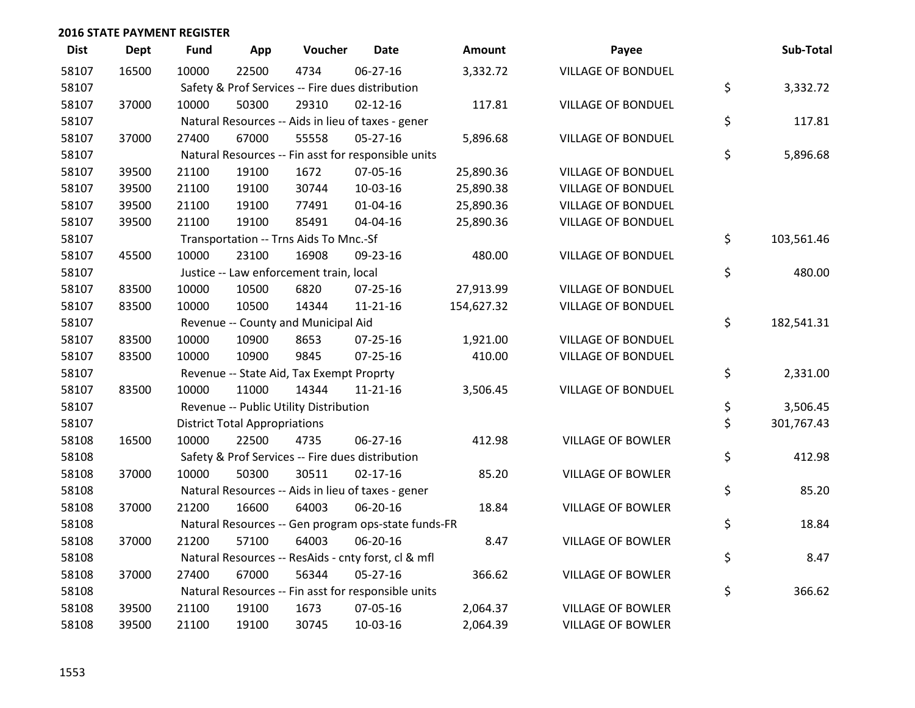| <b>Dist</b> | Dept  | <b>Fund</b> | App                                  | Voucher                                  | <b>Date</b>                                         | <b>Amount</b> | Payee                     | Sub-Total        |
|-------------|-------|-------------|--------------------------------------|------------------------------------------|-----------------------------------------------------|---------------|---------------------------|------------------|
| 58107       | 16500 | 10000       | 22500                                | 4734                                     | $06 - 27 - 16$                                      | 3,332.72      | <b>VILLAGE OF BONDUEL</b> |                  |
| 58107       |       |             |                                      |                                          | Safety & Prof Services -- Fire dues distribution    |               |                           | \$<br>3,332.72   |
| 58107       | 37000 | 10000       | 50300                                | 29310                                    | $02 - 12 - 16$                                      | 117.81        | <b>VILLAGE OF BONDUEL</b> |                  |
| 58107       |       |             |                                      |                                          | Natural Resources -- Aids in lieu of taxes - gener  |               |                           | \$<br>117.81     |
| 58107       | 37000 | 27400       | 67000                                | 55558                                    | 05-27-16                                            | 5,896.68      | <b>VILLAGE OF BONDUEL</b> |                  |
| 58107       |       |             |                                      |                                          | Natural Resources -- Fin asst for responsible units |               |                           | \$<br>5,896.68   |
| 58107       | 39500 | 21100       | 19100                                | 1672                                     | 07-05-16                                            | 25,890.36     | <b>VILLAGE OF BONDUEL</b> |                  |
| 58107       | 39500 | 21100       | 19100                                | 30744                                    | 10-03-16                                            | 25,890.38     | <b>VILLAGE OF BONDUEL</b> |                  |
| 58107       | 39500 | 21100       | 19100                                | 77491                                    | $01 - 04 - 16$                                      | 25,890.36     | <b>VILLAGE OF BONDUEL</b> |                  |
| 58107       | 39500 | 21100       | 19100                                | 85491                                    | 04-04-16                                            | 25,890.36     | VILLAGE OF BONDUEL        |                  |
| 58107       |       |             |                                      | Transportation -- Trns Aids To Mnc.-Sf   |                                                     |               |                           | \$<br>103,561.46 |
| 58107       | 45500 | 10000       | 23100                                | 16908                                    | 09-23-16                                            | 480.00        | <b>VILLAGE OF BONDUEL</b> |                  |
| 58107       |       |             |                                      | Justice -- Law enforcement train, local  |                                                     |               |                           | \$<br>480.00     |
| 58107       | 83500 | 10000       | 10500                                | 6820                                     | $07 - 25 - 16$                                      | 27,913.99     | <b>VILLAGE OF BONDUEL</b> |                  |
| 58107       | 83500 | 10000       | 10500                                | 14344                                    | $11 - 21 - 16$                                      | 154,627.32    | <b>VILLAGE OF BONDUEL</b> |                  |
| 58107       |       |             |                                      | Revenue -- County and Municipal Aid      |                                                     |               |                           | \$<br>182,541.31 |
| 58107       | 83500 | 10000       | 10900                                | 8653                                     | 07-25-16                                            | 1,921.00      | <b>VILLAGE OF BONDUEL</b> |                  |
| 58107       | 83500 | 10000       | 10900                                | 9845                                     | $07 - 25 - 16$                                      | 410.00        | <b>VILLAGE OF BONDUEL</b> |                  |
| 58107       |       |             |                                      | Revenue -- State Aid, Tax Exempt Proprty |                                                     |               |                           | \$<br>2,331.00   |
| 58107       | 83500 | 10000       | 11000                                | 14344                                    | 11-21-16                                            | 3,506.45      | <b>VILLAGE OF BONDUEL</b> |                  |
| 58107       |       |             |                                      | Revenue -- Public Utility Distribution   |                                                     |               |                           | \$<br>3,506.45   |
| 58107       |       |             | <b>District Total Appropriations</b> |                                          |                                                     |               |                           | \$<br>301,767.43 |
| 58108       | 16500 | 10000       | 22500                                | 4735                                     | $06 - 27 - 16$                                      | 412.98        | <b>VILLAGE OF BOWLER</b>  |                  |
| 58108       |       |             |                                      |                                          | Safety & Prof Services -- Fire dues distribution    |               |                           | \$<br>412.98     |
| 58108       | 37000 | 10000       | 50300                                | 30511                                    | $02 - 17 - 16$                                      | 85.20         | <b>VILLAGE OF BOWLER</b>  |                  |
| 58108       |       |             |                                      |                                          | Natural Resources -- Aids in lieu of taxes - gener  |               |                           | \$<br>85.20      |
| 58108       | 37000 | 21200       | 16600                                | 64003                                    | 06-20-16                                            | 18.84         | <b>VILLAGE OF BOWLER</b>  |                  |
| 58108       |       |             |                                      |                                          | Natural Resources -- Gen program ops-state funds-FR |               |                           | \$<br>18.84      |
| 58108       | 37000 | 21200       | 57100                                | 64003                                    | 06-20-16                                            | 8.47          | <b>VILLAGE OF BOWLER</b>  |                  |
| 58108       |       |             |                                      |                                          | Natural Resources -- ResAids - cnty forst, cl & mfl |               |                           | \$<br>8.47       |
| 58108       | 37000 | 27400       | 67000                                | 56344                                    | $05 - 27 - 16$                                      | 366.62        | <b>VILLAGE OF BOWLER</b>  |                  |
| 58108       |       |             |                                      |                                          | Natural Resources -- Fin asst for responsible units |               |                           | \$<br>366.62     |
| 58108       | 39500 | 21100       | 19100                                | 1673                                     | 07-05-16                                            | 2,064.37      | <b>VILLAGE OF BOWLER</b>  |                  |
| 58108       | 39500 | 21100       | 19100                                | 30745                                    | 10-03-16                                            | 2,064.39      | VILLAGE OF BOWLER         |                  |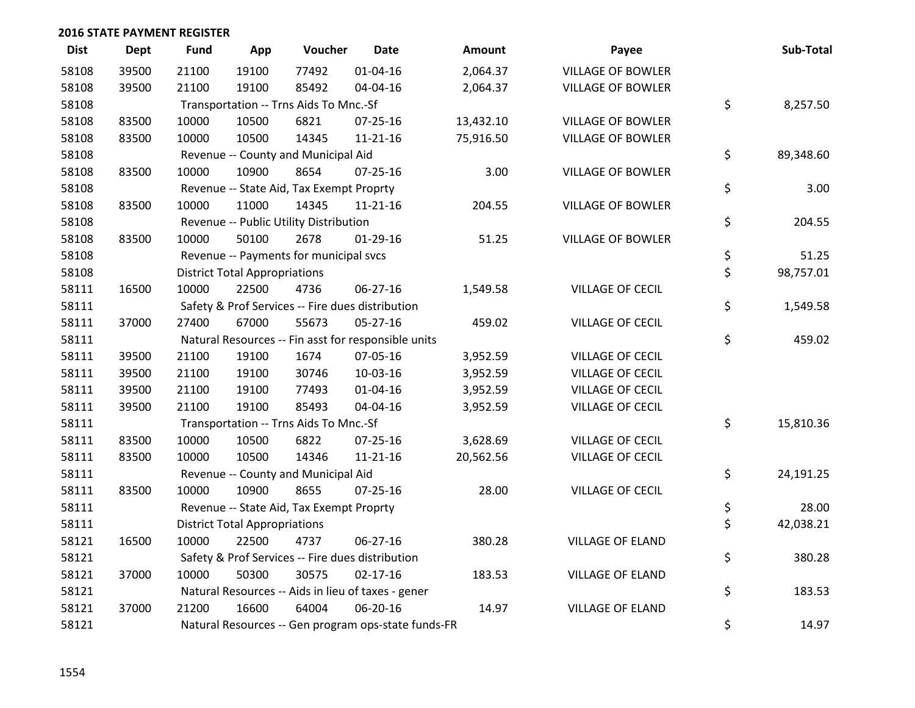| <b>Dist</b> | Dept  | <b>Fund</b> | App                                  | Voucher                                  | <b>Date</b>                                         | <b>Amount</b> | Payee                    | Sub-Total       |
|-------------|-------|-------------|--------------------------------------|------------------------------------------|-----------------------------------------------------|---------------|--------------------------|-----------------|
| 58108       | 39500 | 21100       | 19100                                | 77492                                    | $01 - 04 - 16$                                      | 2,064.37      | <b>VILLAGE OF BOWLER</b> |                 |
| 58108       | 39500 | 21100       | 19100                                | 85492                                    | 04-04-16                                            | 2,064.37      | <b>VILLAGE OF BOWLER</b> |                 |
| 58108       |       |             |                                      | Transportation -- Trns Aids To Mnc.-Sf   |                                                     |               |                          | \$<br>8,257.50  |
| 58108       | 83500 | 10000       | 10500                                | 6821                                     | 07-25-16                                            | 13,432.10     | VILLAGE OF BOWLER        |                 |
| 58108       | 83500 | 10000       | 10500                                | 14345                                    | 11-21-16                                            | 75,916.50     | <b>VILLAGE OF BOWLER</b> |                 |
| 58108       |       |             |                                      | Revenue -- County and Municipal Aid      |                                                     |               |                          | \$<br>89,348.60 |
| 58108       | 83500 | 10000       | 10900                                | 8654                                     | $07 - 25 - 16$                                      | 3.00          | <b>VILLAGE OF BOWLER</b> |                 |
| 58108       |       |             |                                      | Revenue -- State Aid, Tax Exempt Proprty |                                                     |               |                          | \$<br>3.00      |
| 58108       | 83500 | 10000       | 11000                                | 14345                                    | $11 - 21 - 16$                                      | 204.55        | <b>VILLAGE OF BOWLER</b> |                 |
| 58108       |       |             |                                      | Revenue -- Public Utility Distribution   |                                                     |               |                          | \$<br>204.55    |
| 58108       | 83500 | 10000       | 50100                                | 2678                                     | $01-29-16$                                          | 51.25         | <b>VILLAGE OF BOWLER</b> |                 |
| 58108       |       |             |                                      | Revenue -- Payments for municipal svcs   |                                                     |               |                          | \$<br>51.25     |
| 58108       |       |             | <b>District Total Appropriations</b> |                                          |                                                     |               |                          | \$<br>98,757.01 |
| 58111       | 16500 | 10000       | 22500                                | 4736                                     | 06-27-16                                            | 1,549.58      | <b>VILLAGE OF CECIL</b>  |                 |
| 58111       |       |             |                                      |                                          | Safety & Prof Services -- Fire dues distribution    |               |                          | \$<br>1,549.58  |
| 58111       | 37000 | 27400       | 67000                                | 55673                                    | $05 - 27 - 16$                                      | 459.02        | VILLAGE OF CECIL         |                 |
| 58111       |       |             |                                      |                                          | Natural Resources -- Fin asst for responsible units |               |                          | \$<br>459.02    |
| 58111       | 39500 | 21100       | 19100                                | 1674                                     | 07-05-16                                            | 3,952.59      | <b>VILLAGE OF CECIL</b>  |                 |
| 58111       | 39500 | 21100       | 19100                                | 30746                                    | 10-03-16                                            | 3,952.59      | <b>VILLAGE OF CECIL</b>  |                 |
| 58111       | 39500 | 21100       | 19100                                | 77493                                    | 01-04-16                                            | 3,952.59      | VILLAGE OF CECIL         |                 |
| 58111       | 39500 | 21100       | 19100                                | 85493                                    | 04-04-16                                            | 3,952.59      | <b>VILLAGE OF CECIL</b>  |                 |
| 58111       |       |             |                                      | Transportation -- Trns Aids To Mnc.-Sf   |                                                     |               |                          | \$<br>15,810.36 |
| 58111       | 83500 | 10000       | 10500                                | 6822                                     | $07 - 25 - 16$                                      | 3,628.69      | <b>VILLAGE OF CECIL</b>  |                 |
| 58111       | 83500 | 10000       | 10500                                | 14346                                    | 11-21-16                                            | 20,562.56     | VILLAGE OF CECIL         |                 |
| 58111       |       |             |                                      | Revenue -- County and Municipal Aid      |                                                     |               |                          | \$<br>24,191.25 |
| 58111       | 83500 | 10000       | 10900                                | 8655                                     | $07 - 25 - 16$                                      | 28.00         | VILLAGE OF CECIL         |                 |
| 58111       |       |             |                                      | Revenue -- State Aid, Tax Exempt Proprty |                                                     |               |                          | \$<br>28.00     |
| 58111       |       |             | <b>District Total Appropriations</b> |                                          |                                                     |               |                          | \$<br>42,038.21 |
| 58121       | 16500 | 10000       | 22500                                | 4737                                     | 06-27-16                                            | 380.28        | <b>VILLAGE OF ELAND</b>  |                 |
| 58121       |       |             |                                      |                                          | Safety & Prof Services -- Fire dues distribution    |               |                          | \$<br>380.28    |
| 58121       | 37000 | 10000       | 50300                                | 30575                                    | $02 - 17 - 16$                                      | 183.53        | <b>VILLAGE OF ELAND</b>  |                 |
| 58121       |       |             |                                      |                                          | Natural Resources -- Aids in lieu of taxes - gener  |               |                          | \$<br>183.53    |
| 58121       | 37000 | 21200       | 16600                                | 64004                                    | 06-20-16                                            | 14.97         | <b>VILLAGE OF ELAND</b>  |                 |
| 58121       |       |             |                                      |                                          | Natural Resources -- Gen program ops-state funds-FR |               |                          | \$<br>14.97     |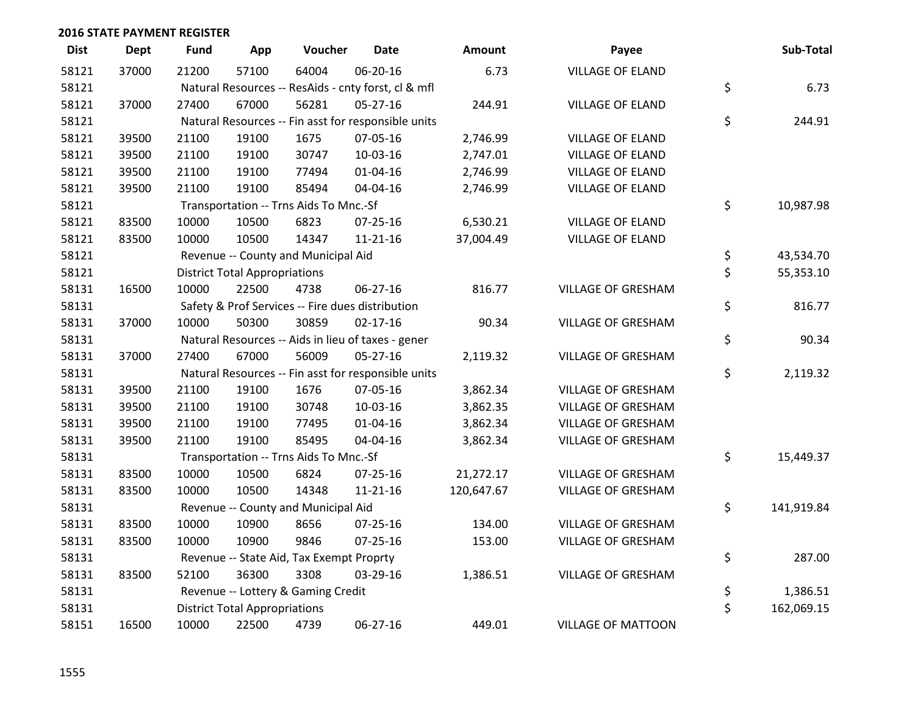| <b>Dist</b> | <b>Dept</b> | <b>Fund</b> | App                                  | Voucher                                          | <b>Date</b>                                         | Amount     | Payee                     | Sub-Total        |
|-------------|-------------|-------------|--------------------------------------|--------------------------------------------------|-----------------------------------------------------|------------|---------------------------|------------------|
| 58121       | 37000       | 21200       | 57100                                | 64004                                            | 06-20-16                                            | 6.73       | <b>VILLAGE OF ELAND</b>   |                  |
| 58121       |             |             |                                      |                                                  | Natural Resources -- ResAids - cnty forst, cl & mfl |            |                           | \$<br>6.73       |
| 58121       | 37000       | 27400       | 67000                                | 56281                                            | $05 - 27 - 16$                                      | 244.91     | <b>VILLAGE OF ELAND</b>   |                  |
| 58121       |             |             |                                      |                                                  | Natural Resources -- Fin asst for responsible units |            |                           | \$<br>244.91     |
| 58121       | 39500       | 21100       | 19100                                | 1675                                             | 07-05-16                                            | 2,746.99   | <b>VILLAGE OF ELAND</b>   |                  |
| 58121       | 39500       | 21100       | 19100                                | 30747                                            | 10-03-16                                            | 2,747.01   | <b>VILLAGE OF ELAND</b>   |                  |
| 58121       | 39500       | 21100       | 19100                                | 77494                                            | $01 - 04 - 16$                                      | 2,746.99   | <b>VILLAGE OF ELAND</b>   |                  |
| 58121       | 39500       | 21100       | 19100                                | 85494                                            | 04-04-16                                            | 2,746.99   | <b>VILLAGE OF ELAND</b>   |                  |
| 58121       |             |             |                                      | Transportation -- Trns Aids To Mnc.-Sf           |                                                     |            |                           | \$<br>10,987.98  |
| 58121       | 83500       | 10000       | 10500                                | 6823                                             | $07 - 25 - 16$                                      | 6,530.21   | <b>VILLAGE OF ELAND</b>   |                  |
| 58121       | 83500       | 10000       | 10500                                | 14347                                            | $11 - 21 - 16$                                      | 37,004.49  | <b>VILLAGE OF ELAND</b>   |                  |
| 58121       |             |             |                                      | Revenue -- County and Municipal Aid              |                                                     |            |                           | \$<br>43,534.70  |
| 58121       |             |             | <b>District Total Appropriations</b> |                                                  |                                                     |            |                           | \$<br>55,353.10  |
| 58131       | 16500       | 10000       | 22500                                | 4738                                             | 06-27-16                                            | 816.77     | VILLAGE OF GRESHAM        |                  |
| 58131       |             |             |                                      | Safety & Prof Services -- Fire dues distribution |                                                     |            |                           | \$<br>816.77     |
| 58131       | 37000       | 10000       | 50300                                | 30859                                            | $02 - 17 - 16$                                      | 90.34      | VILLAGE OF GRESHAM        |                  |
| 58131       |             |             |                                      |                                                  | Natural Resources -- Aids in lieu of taxes - gener  |            |                           | \$<br>90.34      |
| 58131       | 37000       | 27400       | 67000                                | 56009                                            | 05-27-16                                            | 2,119.32   | VILLAGE OF GRESHAM        |                  |
| 58131       |             |             |                                      |                                                  | Natural Resources -- Fin asst for responsible units |            |                           | \$<br>2,119.32   |
| 58131       | 39500       | 21100       | 19100                                | 1676                                             | 07-05-16                                            | 3,862.34   | VILLAGE OF GRESHAM        |                  |
| 58131       | 39500       | 21100       | 19100                                | 30748                                            | 10-03-16                                            | 3,862.35   | <b>VILLAGE OF GRESHAM</b> |                  |
| 58131       | 39500       | 21100       | 19100                                | 77495                                            | $01 - 04 - 16$                                      | 3,862.34   | <b>VILLAGE OF GRESHAM</b> |                  |
| 58131       | 39500       | 21100       | 19100                                | 85495                                            | 04-04-16                                            | 3,862.34   | VILLAGE OF GRESHAM        |                  |
| 58131       |             |             |                                      | Transportation -- Trns Aids To Mnc.-Sf           |                                                     |            |                           | \$<br>15,449.37  |
| 58131       | 83500       | 10000       | 10500                                | 6824                                             | $07 - 25 - 16$                                      | 21,272.17  | <b>VILLAGE OF GRESHAM</b> |                  |
| 58131       | 83500       | 10000       | 10500                                | 14348                                            | $11 - 21 - 16$                                      | 120,647.67 | VILLAGE OF GRESHAM        |                  |
| 58131       |             |             |                                      | Revenue -- County and Municipal Aid              |                                                     |            |                           | \$<br>141,919.84 |
| 58131       | 83500       | 10000       | 10900                                | 8656                                             | $07 - 25 - 16$                                      | 134.00     | VILLAGE OF GRESHAM        |                  |
| 58131       | 83500       | 10000       | 10900                                | 9846                                             | 07-25-16                                            | 153.00     | <b>VILLAGE OF GRESHAM</b> |                  |
| 58131       |             |             |                                      | Revenue -- State Aid, Tax Exempt Proprty         |                                                     |            |                           | \$<br>287.00     |
| 58131       | 83500       | 52100       | 36300                                | 3308                                             | 03-29-16                                            | 1,386.51   | VILLAGE OF GRESHAM        |                  |
| 58131       |             |             |                                      | Revenue -- Lottery & Gaming Credit               |                                                     |            |                           | \$<br>1,386.51   |
| 58131       |             |             | <b>District Total Appropriations</b> |                                                  |                                                     |            |                           | \$<br>162,069.15 |
| 58151       | 16500       | 10000       | 22500                                | 4739                                             | 06-27-16                                            | 449.01     | <b>VILLAGE OF MATTOON</b> |                  |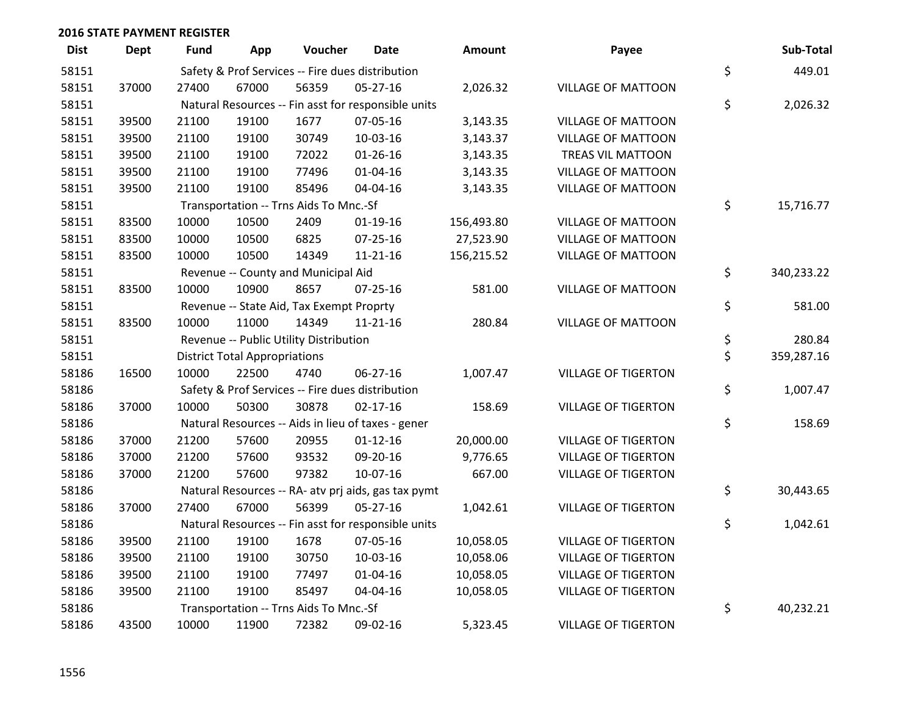| <b>Dist</b> | <b>Dept</b> | <b>Fund</b> | App                                  | Voucher                                  | <b>Date</b>                                         | <b>Amount</b> | Payee                      | Sub-Total        |
|-------------|-------------|-------------|--------------------------------------|------------------------------------------|-----------------------------------------------------|---------------|----------------------------|------------------|
| 58151       |             |             |                                      |                                          | Safety & Prof Services -- Fire dues distribution    |               |                            | \$<br>449.01     |
| 58151       | 37000       | 27400       | 67000                                | 56359                                    | $05 - 27 - 16$                                      | 2,026.32      | <b>VILLAGE OF MATTOON</b>  |                  |
| 58151       |             |             |                                      |                                          | Natural Resources -- Fin asst for responsible units |               |                            | \$<br>2,026.32   |
| 58151       | 39500       | 21100       | 19100                                | 1677                                     | 07-05-16                                            | 3,143.35      | <b>VILLAGE OF MATTOON</b>  |                  |
| 58151       | 39500       | 21100       | 19100                                | 30749                                    | 10-03-16                                            | 3,143.37      | <b>VILLAGE OF MATTOON</b>  |                  |
| 58151       | 39500       | 21100       | 19100                                | 72022                                    | $01 - 26 - 16$                                      | 3,143.35      | TREAS VIL MATTOON          |                  |
| 58151       | 39500       | 21100       | 19100                                | 77496                                    | $01 - 04 - 16$                                      | 3,143.35      | <b>VILLAGE OF MATTOON</b>  |                  |
| 58151       | 39500       | 21100       | 19100                                | 85496                                    | 04-04-16                                            | 3,143.35      | <b>VILLAGE OF MATTOON</b>  |                  |
| 58151       |             |             |                                      | Transportation -- Trns Aids To Mnc.-Sf   |                                                     |               |                            | \$<br>15,716.77  |
| 58151       | 83500       | 10000       | 10500                                | 2409                                     | $01-19-16$                                          | 156,493.80    | <b>VILLAGE OF MATTOON</b>  |                  |
| 58151       | 83500       | 10000       | 10500                                | 6825                                     | 07-25-16                                            | 27,523.90     | <b>VILLAGE OF MATTOON</b>  |                  |
| 58151       | 83500       | 10000       | 10500                                | 14349                                    | $11 - 21 - 16$                                      | 156,215.52    | <b>VILLAGE OF MATTOON</b>  |                  |
| 58151       |             |             |                                      | Revenue -- County and Municipal Aid      |                                                     |               |                            | \$<br>340,233.22 |
| 58151       | 83500       | 10000       | 10900                                | 8657                                     | $07 - 25 - 16$                                      | 581.00        | <b>VILLAGE OF MATTOON</b>  |                  |
| 58151       |             |             |                                      | Revenue -- State Aid, Tax Exempt Proprty |                                                     |               |                            | \$<br>581.00     |
| 58151       | 83500       | 10000       | 11000                                | 14349                                    | $11 - 21 - 16$                                      | 280.84        | <b>VILLAGE OF MATTOON</b>  |                  |
| 58151       |             |             |                                      | Revenue -- Public Utility Distribution   |                                                     |               |                            | \$<br>280.84     |
| 58151       |             |             | <b>District Total Appropriations</b> |                                          |                                                     |               |                            | \$<br>359,287.16 |
| 58186       | 16500       | 10000       | 22500                                | 4740                                     | 06-27-16                                            | 1,007.47      | <b>VILLAGE OF TIGERTON</b> |                  |
| 58186       |             |             |                                      |                                          | Safety & Prof Services -- Fire dues distribution    |               |                            | \$<br>1,007.47   |
| 58186       | 37000       | 10000       | 50300                                | 30878                                    | $02 - 17 - 16$                                      | 158.69        | <b>VILLAGE OF TIGERTON</b> |                  |
| 58186       |             |             |                                      |                                          | Natural Resources -- Aids in lieu of taxes - gener  |               |                            | \$<br>158.69     |
| 58186       | 37000       | 21200       | 57600                                | 20955                                    | $01 - 12 - 16$                                      | 20,000.00     | <b>VILLAGE OF TIGERTON</b> |                  |
| 58186       | 37000       | 21200       | 57600                                | 93532                                    | 09-20-16                                            | 9,776.65      | <b>VILLAGE OF TIGERTON</b> |                  |
| 58186       | 37000       | 21200       | 57600                                | 97382                                    | 10-07-16                                            | 667.00        | <b>VILLAGE OF TIGERTON</b> |                  |
| 58186       |             |             |                                      |                                          | Natural Resources -- RA- atv prj aids, gas tax pymt |               |                            | \$<br>30,443.65  |
| 58186       | 37000       | 27400       | 67000                                | 56399                                    | $05 - 27 - 16$                                      | 1,042.61      | <b>VILLAGE OF TIGERTON</b> |                  |
| 58186       |             |             |                                      |                                          | Natural Resources -- Fin asst for responsible units |               |                            | \$<br>1,042.61   |
| 58186       | 39500       | 21100       | 19100                                | 1678                                     | 07-05-16                                            | 10,058.05     | <b>VILLAGE OF TIGERTON</b> |                  |
| 58186       | 39500       | 21100       | 19100                                | 30750                                    | 10-03-16                                            | 10,058.06     | <b>VILLAGE OF TIGERTON</b> |                  |
| 58186       | 39500       | 21100       | 19100                                | 77497                                    | $01 - 04 - 16$                                      | 10,058.05     | <b>VILLAGE OF TIGERTON</b> |                  |
| 58186       | 39500       | 21100       | 19100                                | 85497                                    | 04-04-16                                            | 10,058.05     | <b>VILLAGE OF TIGERTON</b> |                  |
| 58186       |             |             |                                      | Transportation -- Trns Aids To Mnc.-Sf   |                                                     |               |                            | \$<br>40,232.21  |
| 58186       | 43500       | 10000       | 11900                                | 72382                                    | 09-02-16                                            | 5,323.45      | <b>VILLAGE OF TIGERTON</b> |                  |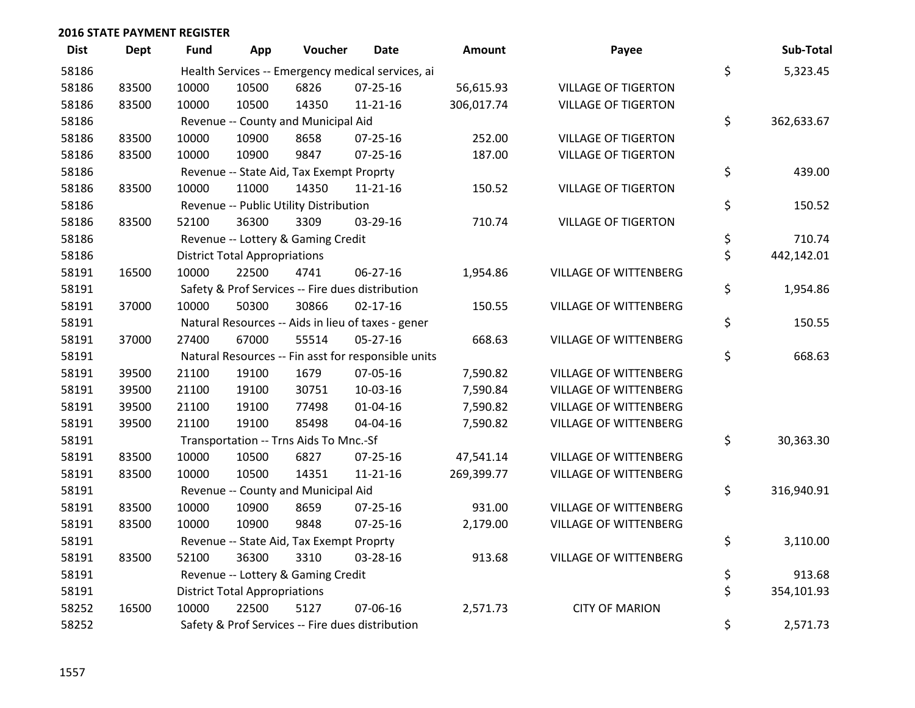| <b>Dist</b> | <b>Dept</b> | Fund  | App                                  | Voucher                                  | Date                                                | Amount     | Payee                        | Sub-Total        |
|-------------|-------------|-------|--------------------------------------|------------------------------------------|-----------------------------------------------------|------------|------------------------------|------------------|
| 58186       |             |       |                                      |                                          | Health Services -- Emergency medical services, ai   |            |                              | \$<br>5,323.45   |
| 58186       | 83500       | 10000 | 10500                                | 6826                                     | $07 - 25 - 16$                                      | 56,615.93  | <b>VILLAGE OF TIGERTON</b>   |                  |
| 58186       | 83500       | 10000 | 10500                                | 14350                                    | $11 - 21 - 16$                                      | 306,017.74 | <b>VILLAGE OF TIGERTON</b>   |                  |
| 58186       |             |       |                                      | Revenue -- County and Municipal Aid      |                                                     |            |                              | \$<br>362,633.67 |
| 58186       | 83500       | 10000 | 10900                                | 8658                                     | 07-25-16                                            | 252.00     | <b>VILLAGE OF TIGERTON</b>   |                  |
| 58186       | 83500       | 10000 | 10900                                | 9847                                     | $07 - 25 - 16$                                      | 187.00     | <b>VILLAGE OF TIGERTON</b>   |                  |
| 58186       |             |       |                                      | Revenue -- State Aid, Tax Exempt Proprty |                                                     |            |                              | \$<br>439.00     |
| 58186       | 83500       | 10000 | 11000                                | 14350                                    | $11 - 21 - 16$                                      | 150.52     | <b>VILLAGE OF TIGERTON</b>   |                  |
| 58186       |             |       |                                      | Revenue -- Public Utility Distribution   |                                                     |            |                              | \$<br>150.52     |
| 58186       | 83500       | 52100 | 36300                                | 3309                                     | 03-29-16                                            | 710.74     | <b>VILLAGE OF TIGERTON</b>   |                  |
| 58186       |             |       |                                      | Revenue -- Lottery & Gaming Credit       |                                                     |            |                              | \$<br>710.74     |
| 58186       |             |       | <b>District Total Appropriations</b> |                                          |                                                     |            |                              | \$<br>442,142.01 |
| 58191       | 16500       | 10000 | 22500                                | 4741                                     | 06-27-16                                            | 1,954.86   | <b>VILLAGE OF WITTENBERG</b> |                  |
| 58191       |             |       |                                      |                                          | Safety & Prof Services -- Fire dues distribution    |            |                              | \$<br>1,954.86   |
| 58191       | 37000       | 10000 | 50300                                | 30866                                    | $02 - 17 - 16$                                      | 150.55     | <b>VILLAGE OF WITTENBERG</b> |                  |
| 58191       |             |       |                                      |                                          | Natural Resources -- Aids in lieu of taxes - gener  |            |                              | \$<br>150.55     |
| 58191       | 37000       | 27400 | 67000                                | 55514                                    | $05 - 27 - 16$                                      | 668.63     | <b>VILLAGE OF WITTENBERG</b> |                  |
| 58191       |             |       |                                      |                                          | Natural Resources -- Fin asst for responsible units |            |                              | \$<br>668.63     |
| 58191       | 39500       | 21100 | 19100                                | 1679                                     | 07-05-16                                            | 7,590.82   | <b>VILLAGE OF WITTENBERG</b> |                  |
| 58191       | 39500       | 21100 | 19100                                | 30751                                    | 10-03-16                                            | 7,590.84   | <b>VILLAGE OF WITTENBERG</b> |                  |
| 58191       | 39500       | 21100 | 19100                                | 77498                                    | $01 - 04 - 16$                                      | 7,590.82   | <b>VILLAGE OF WITTENBERG</b> |                  |
| 58191       | 39500       | 21100 | 19100                                | 85498                                    | 04-04-16                                            | 7,590.82   | <b>VILLAGE OF WITTENBERG</b> |                  |
| 58191       |             |       |                                      | Transportation -- Trns Aids To Mnc.-Sf   |                                                     |            |                              | \$<br>30,363.30  |
| 58191       | 83500       | 10000 | 10500                                | 6827                                     | $07 - 25 - 16$                                      | 47,541.14  | <b>VILLAGE OF WITTENBERG</b> |                  |
| 58191       | 83500       | 10000 | 10500                                | 14351                                    | $11 - 21 - 16$                                      | 269,399.77 | <b>VILLAGE OF WITTENBERG</b> |                  |
| 58191       |             |       |                                      | Revenue -- County and Municipal Aid      |                                                     |            |                              | \$<br>316,940.91 |
| 58191       | 83500       | 10000 | 10900                                | 8659                                     | $07 - 25 - 16$                                      | 931.00     | <b>VILLAGE OF WITTENBERG</b> |                  |
| 58191       | 83500       | 10000 | 10900                                | 9848                                     | $07 - 25 - 16$                                      | 2,179.00   | <b>VILLAGE OF WITTENBERG</b> |                  |
| 58191       |             |       |                                      | Revenue -- State Aid, Tax Exempt Proprty |                                                     |            |                              | \$<br>3,110.00   |
| 58191       | 83500       | 52100 | 36300                                | 3310                                     | 03-28-16                                            | 913.68     | <b>VILLAGE OF WITTENBERG</b> |                  |
| 58191       |             |       |                                      | Revenue -- Lottery & Gaming Credit       |                                                     |            |                              | \$<br>913.68     |
| 58191       |             |       | <b>District Total Appropriations</b> |                                          |                                                     |            |                              | \$<br>354,101.93 |
| 58252       | 16500       | 10000 | 22500                                | 5127                                     | 07-06-16                                            | 2,571.73   | <b>CITY OF MARION</b>        |                  |
| 58252       |             |       |                                      |                                          | Safety & Prof Services -- Fire dues distribution    |            |                              | \$<br>2,571.73   |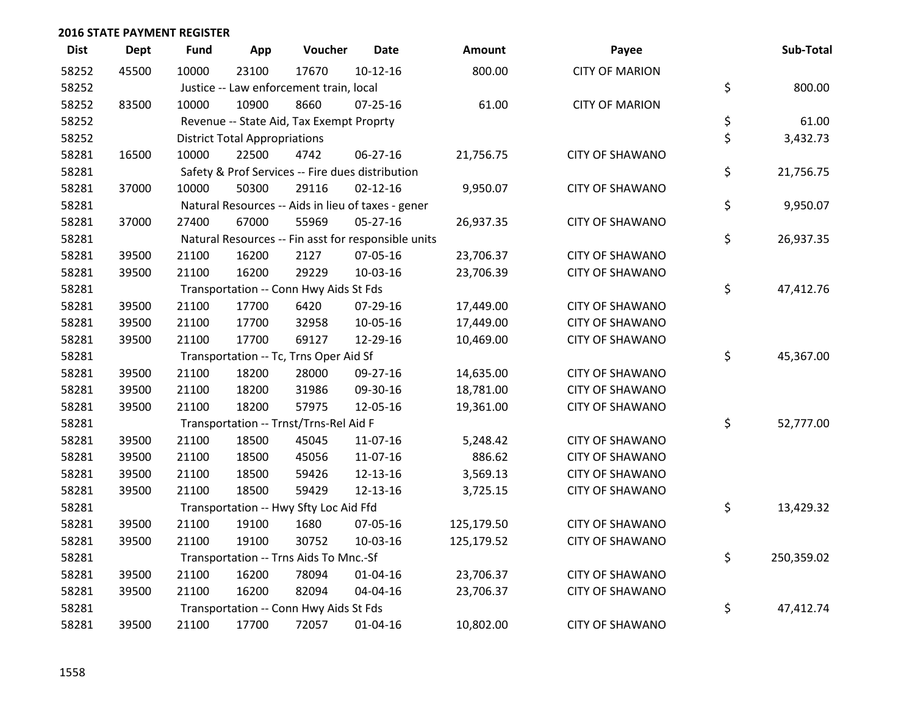| <b>Dist</b> | <b>Dept</b> | <b>Fund</b> | App                                  | Voucher                                  | <b>Date</b>                                         | Amount     | Payee                  | Sub-Total        |
|-------------|-------------|-------------|--------------------------------------|------------------------------------------|-----------------------------------------------------|------------|------------------------|------------------|
| 58252       | 45500       | 10000       | 23100                                | 17670                                    | $10-12-16$                                          | 800.00     | <b>CITY OF MARION</b>  |                  |
| 58252       |             |             |                                      | Justice -- Law enforcement train, local  |                                                     |            |                        | \$<br>800.00     |
| 58252       | 83500       | 10000       | 10900                                | 8660                                     | $07 - 25 - 16$                                      | 61.00      | <b>CITY OF MARION</b>  |                  |
| 58252       |             |             |                                      | Revenue -- State Aid, Tax Exempt Proprty |                                                     |            |                        | \$<br>61.00      |
| 58252       |             |             | <b>District Total Appropriations</b> |                                          |                                                     |            |                        | \$<br>3,432.73   |
| 58281       | 16500       | 10000       | 22500                                | 4742                                     | 06-27-16                                            | 21,756.75  | <b>CITY OF SHAWANO</b> |                  |
| 58281       |             |             |                                      |                                          | Safety & Prof Services -- Fire dues distribution    |            |                        | \$<br>21,756.75  |
| 58281       | 37000       | 10000       | 50300                                | 29116                                    | $02 - 12 - 16$                                      | 9,950.07   | <b>CITY OF SHAWANO</b> |                  |
| 58281       |             |             |                                      |                                          | Natural Resources -- Aids in lieu of taxes - gener  |            |                        | \$<br>9,950.07   |
| 58281       | 37000       | 27400       | 67000                                | 55969                                    | 05-27-16                                            | 26,937.35  | <b>CITY OF SHAWANO</b> |                  |
| 58281       |             |             |                                      |                                          | Natural Resources -- Fin asst for responsible units |            |                        | \$<br>26,937.35  |
| 58281       | 39500       | 21100       | 16200                                | 2127                                     | 07-05-16                                            | 23,706.37  | <b>CITY OF SHAWANO</b> |                  |
| 58281       | 39500       | 21100       | 16200                                | 29229                                    | 10-03-16                                            | 23,706.39  | <b>CITY OF SHAWANO</b> |                  |
| 58281       |             |             |                                      | Transportation -- Conn Hwy Aids St Fds   |                                                     |            |                        | \$<br>47,412.76  |
| 58281       | 39500       | 21100       | 17700                                | 6420                                     | 07-29-16                                            | 17,449.00  | <b>CITY OF SHAWANO</b> |                  |
| 58281       | 39500       | 21100       | 17700                                | 32958                                    | 10-05-16                                            | 17,449.00  | <b>CITY OF SHAWANO</b> |                  |
| 58281       | 39500       | 21100       | 17700                                | 69127                                    | 12-29-16                                            | 10,469.00  | <b>CITY OF SHAWANO</b> |                  |
| 58281       |             |             |                                      | Transportation -- Tc, Trns Oper Aid Sf   |                                                     |            |                        | \$<br>45,367.00  |
| 58281       | 39500       | 21100       | 18200                                | 28000                                    | 09-27-16                                            | 14,635.00  | <b>CITY OF SHAWANO</b> |                  |
| 58281       | 39500       | 21100       | 18200                                | 31986                                    | 09-30-16                                            | 18,781.00  | <b>CITY OF SHAWANO</b> |                  |
| 58281       | 39500       | 21100       | 18200                                | 57975                                    | 12-05-16                                            | 19,361.00  | <b>CITY OF SHAWANO</b> |                  |
| 58281       |             |             |                                      | Transportation -- Trnst/Trns-Rel Aid F   |                                                     |            |                        | \$<br>52,777.00  |
| 58281       | 39500       | 21100       | 18500                                | 45045                                    | 11-07-16                                            | 5,248.42   | <b>CITY OF SHAWANO</b> |                  |
| 58281       | 39500       | 21100       | 18500                                | 45056                                    | 11-07-16                                            | 886.62     | <b>CITY OF SHAWANO</b> |                  |
| 58281       | 39500       | 21100       | 18500                                | 59426                                    | 12-13-16                                            | 3,569.13   | <b>CITY OF SHAWANO</b> |                  |
| 58281       | 39500       | 21100       | 18500                                | 59429                                    | 12-13-16                                            | 3,725.15   | <b>CITY OF SHAWANO</b> |                  |
| 58281       |             |             |                                      | Transportation -- Hwy Sfty Loc Aid Ffd   |                                                     |            |                        | \$<br>13,429.32  |
| 58281       | 39500       | 21100       | 19100                                | 1680                                     | 07-05-16                                            | 125,179.50 | <b>CITY OF SHAWANO</b> |                  |
| 58281       | 39500       | 21100       | 19100                                | 30752                                    | 10-03-16                                            | 125,179.52 | <b>CITY OF SHAWANO</b> |                  |
| 58281       |             |             |                                      | Transportation -- Trns Aids To Mnc.-Sf   |                                                     |            |                        | \$<br>250,359.02 |
| 58281       | 39500       | 21100       | 16200                                | 78094                                    | $01 - 04 - 16$                                      | 23,706.37  | <b>CITY OF SHAWANO</b> |                  |
| 58281       | 39500       | 21100       | 16200                                | 82094                                    | 04-04-16                                            | 23,706.37  | <b>CITY OF SHAWANO</b> |                  |
| 58281       |             |             |                                      | Transportation -- Conn Hwy Aids St Fds   |                                                     |            |                        | \$<br>47,412.74  |
| 58281       | 39500       | 21100       | 17700                                | 72057                                    | $01 - 04 - 16$                                      | 10,802.00  | <b>CITY OF SHAWANO</b> |                  |